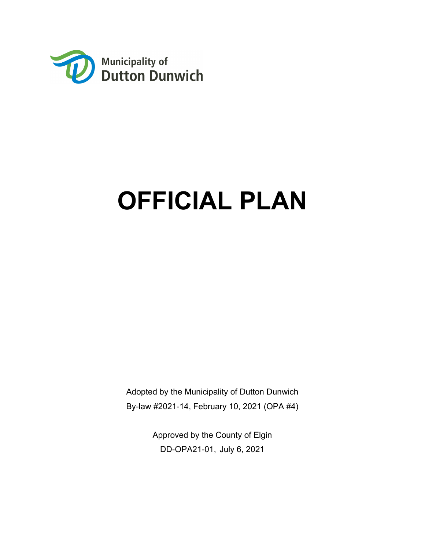

# **OFFICIAL PLAN**

Adopted by the Municipality of Dutton Dunwich By-law #2021-14, February 10, 2021 (OPA #4)

> Approved by the County of Elgin DD-OPA21-01, July 6, 2021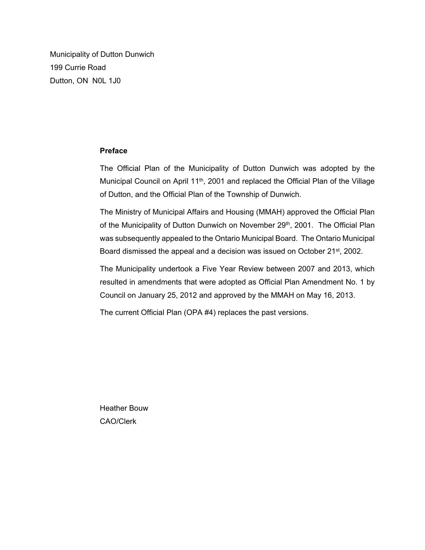Municipality of Dutton Dunwich 199 Currie Road Dutton, ON N0L 1J0

#### **Preface**

The Official Plan of the Municipality of Dutton Dunwich was adopted by the Municipal Council on April 11<sup>th</sup>, 2001 and replaced the Official Plan of the Village of Dutton, and the Official Plan of the Township of Dunwich.

The Ministry of Municipal Affairs and Housing (MMAH) approved the Official Plan of the Municipality of Dutton Dunwich on November 29<sup>th</sup>, 2001. The Official Plan was subsequently appealed to the Ontario Municipal Board. The Ontario Municipal Board dismissed the appeal and a decision was issued on October 21<sup>st</sup>, 2002.

The Municipality undertook a Five Year Review between 2007 and 2013, which resulted in amendments that were adopted as Official Plan Amendment No. 1 by Council on January 25, 2012 and approved by the MMAH on May 16, 2013.

The current Official Plan (OPA #4) replaces the past versions.

Heather Bouw CAO/Clerk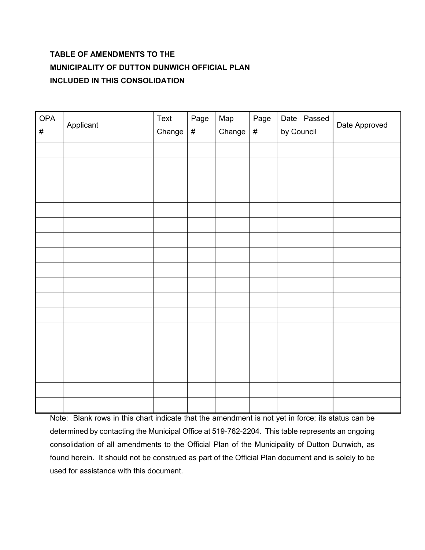# **TABLE OF AMENDMENTS TO THE MUNICIPALITY OF DUTTON DUNWICH OFFICIAL PLAN INCLUDED IN THIS CONSOLIDATION**

| <b>OPA</b><br>$\#$ | Applicant | Text<br>Change | Page<br>$\#$ | Map<br>Change | Page<br>$\#$ | Date Passed<br>by Council | Date Approved |
|--------------------|-----------|----------------|--------------|---------------|--------------|---------------------------|---------------|
|                    |           |                |              |               |              |                           |               |
|                    |           |                |              |               |              |                           |               |
|                    |           |                |              |               |              |                           |               |
|                    |           |                |              |               |              |                           |               |
|                    |           |                |              |               |              |                           |               |
|                    |           |                |              |               |              |                           |               |
|                    |           |                |              |               |              |                           |               |
|                    |           |                |              |               |              |                           |               |
|                    |           |                |              |               |              |                           |               |
|                    |           |                |              |               |              |                           |               |
|                    |           |                |              |               |              |                           |               |
|                    |           |                |              |               |              |                           |               |
|                    |           |                |              |               |              |                           |               |
|                    |           |                |              |               |              |                           |               |
|                    |           |                |              |               |              |                           |               |
|                    |           |                |              |               |              |                           |               |
|                    |           |                |              |               |              |                           |               |
|                    |           |                |              |               |              |                           |               |

Note: Blank rows in this chart indicate that the amendment is not yet in force; its status can be determined by contacting the Municipal Office at 519-762-2204. This table represents an ongoing consolidation of all amendments to the Official Plan of the Municipality of Dutton Dunwich, as found herein. It should not be construed as part of the Official Plan document and is solely to be used for assistance with this document.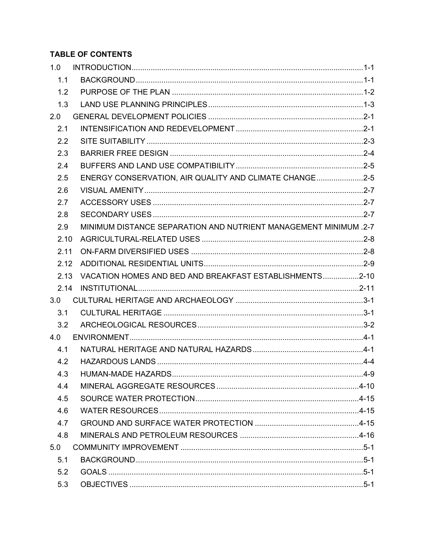# **TABLE OF CONTENTS**

| 1.0  |                                                                  |  |
|------|------------------------------------------------------------------|--|
| 1.1  |                                                                  |  |
| 1.2  |                                                                  |  |
| 1.3  |                                                                  |  |
| 2.0  |                                                                  |  |
| 2.1  |                                                                  |  |
| 2.2  |                                                                  |  |
| 2.3  |                                                                  |  |
| 2.4  |                                                                  |  |
| 2.5  | ENERGY CONSERVATION, AIR QUALITY AND CLIMATE CHANGE2-5           |  |
| 2.6  |                                                                  |  |
| 2.7  |                                                                  |  |
| 2.8  |                                                                  |  |
| 2.9  | MINIMUM DISTANCE SEPARATION AND NUTRIENT MANAGEMENT MINIMUM .2-7 |  |
| 2.10 |                                                                  |  |
| 2.11 |                                                                  |  |
| 2.12 |                                                                  |  |
| 2.13 | VACATION HOMES AND BED AND BREAKFAST ESTABLISHMENTS2-10          |  |
| 2.14 |                                                                  |  |
| 3.0  |                                                                  |  |
| 3.1  |                                                                  |  |
| 3.2  |                                                                  |  |
| 4.0  |                                                                  |  |
| 4.1  |                                                                  |  |
| 4.2  |                                                                  |  |
|      |                                                                  |  |
| 4.4  |                                                                  |  |
| 4.5  |                                                                  |  |
| 4.6  |                                                                  |  |
| 4.7  |                                                                  |  |
| 4.8  |                                                                  |  |
| 5.0  |                                                                  |  |
| 5.1  |                                                                  |  |
| 5.2  |                                                                  |  |
| 5.3  |                                                                  |  |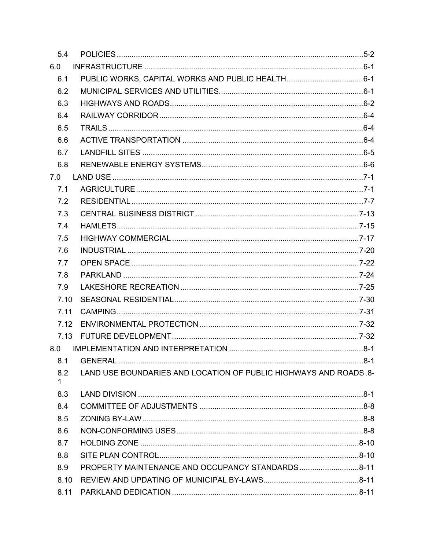| 5.4       |                                                                   |  |
|-----------|-------------------------------------------------------------------|--|
| 6.0       |                                                                   |  |
| 6.1       |                                                                   |  |
| 6.2       |                                                                   |  |
| 6.3       |                                                                   |  |
| 6.4       |                                                                   |  |
| 6.5       |                                                                   |  |
| 6.6       |                                                                   |  |
| 6.7       |                                                                   |  |
| 6.8       |                                                                   |  |
| 7.0       |                                                                   |  |
| 7.1       |                                                                   |  |
| 7.2       |                                                                   |  |
| 7.3       |                                                                   |  |
| 7.4       |                                                                   |  |
| 7.5       |                                                                   |  |
| 7.6       |                                                                   |  |
| 7.7       |                                                                   |  |
| 7.8       |                                                                   |  |
| 7.9       |                                                                   |  |
| 7.10      |                                                                   |  |
| 7.11      |                                                                   |  |
| 7.12      |                                                                   |  |
|           |                                                                   |  |
|           |                                                                   |  |
|           |                                                                   |  |
| 8.2<br>1. | LAND USE BOUNDARIES AND LOCATION OF PUBLIC HIGHWAYS AND ROADS. 8- |  |
| 8.3       |                                                                   |  |
| 8.4       |                                                                   |  |
| 8.5       |                                                                   |  |
| 8.6       |                                                                   |  |
| 8.7       |                                                                   |  |
| 8.8       |                                                                   |  |
| 8.9       | PROPERTY MAINTENANCE AND OCCUPANCY STANDARDS8-11                  |  |
| 8.10      |                                                                   |  |
| 8.11      |                                                                   |  |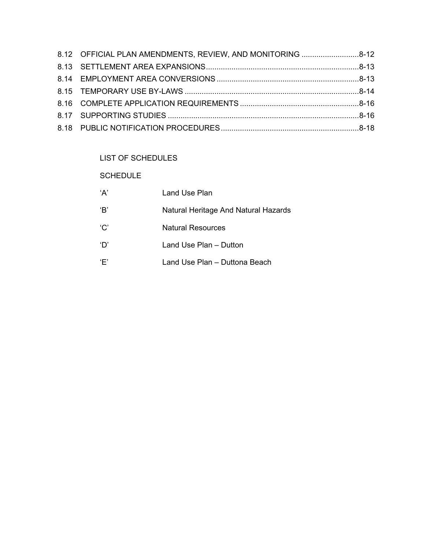| 8.12 OFFICIAL PLAN AMENDMENTS, REVIEW, AND MONITORING 8-12 |  |
|------------------------------------------------------------|--|
|                                                            |  |
|                                                            |  |
|                                                            |  |
|                                                            |  |
|                                                            |  |
|                                                            |  |

# LIST OF SCHEDULES

## SCHEDULE

| 'A' | Land Use Plan                        |
|-----|--------------------------------------|
| 'B' | Natural Heritage And Natural Hazards |
| 'C' | <b>Natural Resources</b>             |
| 'D' | Land Use Plan – Dutton               |
| Έ'  | Land Use Plan – Duttona Beach        |
|     |                                      |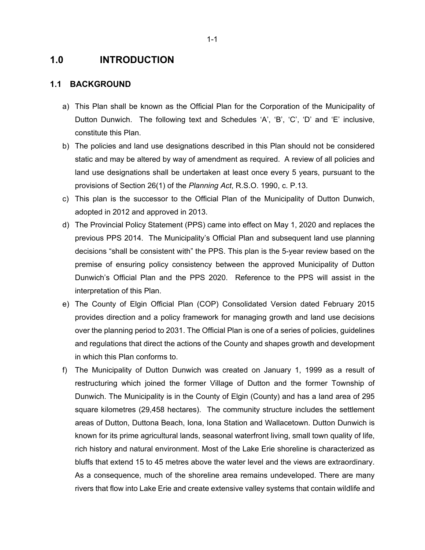# **1.0 INTRODUCTION**

#### **1.1 BACKGROUND**

- a) This Plan shall be known as the Official Plan for the Corporation of the Municipality of Dutton Dunwich. The following text and Schedules 'A', 'B', 'C', 'D' and 'E' inclusive, constitute this Plan.
- b) The policies and land use designations described in this Plan should not be considered static and may be altered by way of amendment as required. A review of all policies and land use designations shall be undertaken at least once every 5 years, pursuant to the provisions of Section 26(1) of the *Planning Act*, R.S.O. 1990, c. P.13.
- c) This plan is the successor to the Official Plan of the Municipality of Dutton Dunwich, adopted in 2012 and approved in 2013.
- d) The Provincial Policy Statement (PPS) came into effect on May 1, 2020 and replaces the previous PPS 2014. The Municipality's Official Plan and subsequent land use planning decisions "shall be consistent with" the PPS. This plan is the 5-year review based on the premise of ensuring policy consistency between the approved Municipality of Dutton Dunwich's Official Plan and the PPS 2020. Reference to the PPS will assist in the interpretation of this Plan.
- e) The County of Elgin Official Plan (COP) Consolidated Version dated February 2015 provides direction and a policy framework for managing growth and land use decisions over the planning period to 2031. The Official Plan is one of a series of policies, guidelines and regulations that direct the actions of the County and shapes growth and development in which this Plan conforms to.
- f) The Municipality of Dutton Dunwich was created on January 1, 1999 as a result of restructuring which joined the former Village of Dutton and the former Township of Dunwich. The Municipality is in the County of Elgin (County) and has a land area of 295 square kilometres (29,458 hectares). The community structure includes the settlement areas of Dutton, Duttona Beach, Iona, Iona Station and Wallacetown. Dutton Dunwich is known for its prime agricultural lands, seasonal waterfront living, small town quality of life, rich history and natural environment. Most of the Lake Erie shoreline is characterized as bluffs that extend 15 to 45 metres above the water level and the views are extraordinary. As a consequence, much of the shoreline area remains undeveloped. There are many rivers that flow into Lake Erie and create extensive valley systems that contain wildlife and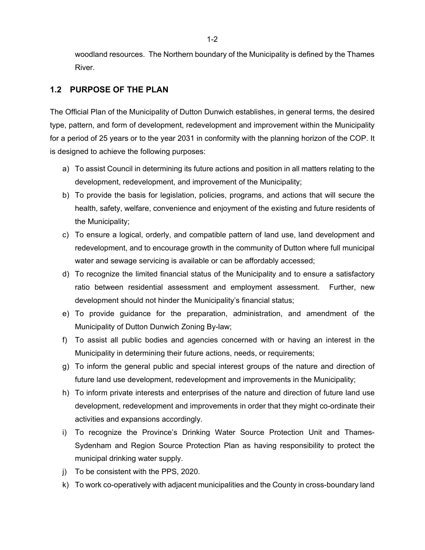woodland resources. The Northern boundary of the Municipality is defined by the Thames River.

## **1.2 PURPOSE OF THE PLAN**

The Official Plan of the Municipality of Dutton Dunwich establishes, in general terms, the desired type, pattern, and form of development, redevelopment and improvement within the Municipality for a period of 25 years or to the year 2031 in conformity with the planning horizon of the COP. It is designed to achieve the following purposes:

- a) To assist Council in determining its future actions and position in all matters relating to the development, redevelopment, and improvement of the Municipality;
- b) To provide the basis for legislation, policies, programs, and actions that will secure the health, safety, welfare, convenience and enjoyment of the existing and future residents of the Municipality;
- c) To ensure a logical, orderly, and compatible pattern of land use, land development and redevelopment, and to encourage growth in the community of Dutton where full municipal water and sewage servicing is available or can be affordably accessed;
- d) To recognize the limited financial status of the Municipality and to ensure a satisfactory ratio between residential assessment and employment assessment. Further, new development should not hinder the Municipality's financial status;
- e) To provide guidance for the preparation, administration, and amendment of the Municipality of Dutton Dunwich Zoning By-law;
- f) To assist all public bodies and agencies concerned with or having an interest in the Municipality in determining their future actions, needs, or requirements;
- g) To inform the general public and special interest groups of the nature and direction of future land use development, redevelopment and improvements in the Municipality;
- h) To inform private interests and enterprises of the nature and direction of future land use development, redevelopment and improvements in order that they might co-ordinate their activities and expansions accordingly.
- i) To recognize the Province's Drinking Water Source Protection Unit and Thames-Sydenham and Region Source Protection Plan as having responsibility to protect the municipal drinking water supply.
- j) To be consistent with the PPS, 2020.
- k) To work co-operatively with adjacent municipalities and the County in cross-boundary land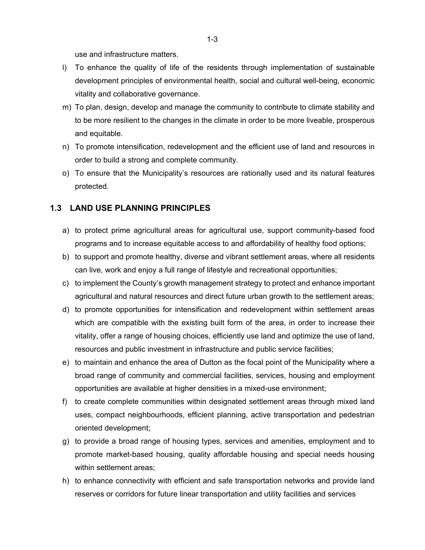use and infrastructure matters.

- l) To enhance the quality of life of the residents through implementation of sustainable development principles of environmental health, social and cultural well-being, economic vitality and collaborative governance.
- m) To plan, design, develop and manage the community to contribute to climate stability and to be more resilient to the changes in the climate in order to be more liveable, prosperous and equitable.
- n) To promote intensification, redevelopment and the efficient use of land and resources in order to build a strong and complete community.
- o) To ensure that the Municipality's resources are rationally used and its natural features protected.

## **1.3 LAND USE PLANNING PRINCIPLES**

- a) to protect prime agricultural areas for agricultural use, support community-based food programs and to increase equitable access to and affordability of healthy food options;
- b) to support and promote healthy, diverse and vibrant settlement areas, where all residents can live, work and enjoy a full range of lifestyle and recreational opportunities;
- c) to implement the County's growth management strategy to protect and enhance important agricultural and natural resources and direct future urban growth to the settlement areas;
- d) to promote opportunities for intensification and redevelopment within settlement areas which are compatible with the existing built form of the area, in order to increase their vitality, offer a range of housing choices, efficiently use land and optimize the use of land, resources and public investment in infrastructure and public service facilities;
- e) to maintain and enhance the area of Dutton as the focal point of the Municipality where a broad range of community and commercial facilities, services, housing and employment opportunities are available at higher densities in a mixed-use environment;
- f) to create complete communities within designated settlement areas through mixed land uses, compact neighbourhoods, efficient planning, active transportation and pedestrian oriented development;
- g) to provide a broad range of housing types, services and amenities, employment and to promote market-based housing, quality affordable housing and special needs housing within settlement areas;
- h) to enhance connectivity with efficient and safe transportation networks and provide land reserves or corridors for future linear transportation and utility facilities and services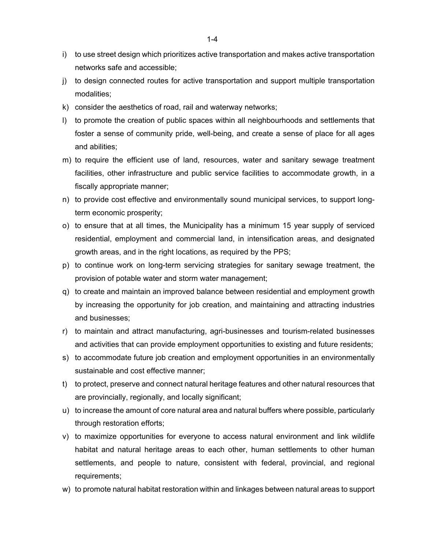- i) to use street design which prioritizes active transportation and makes active transportation networks safe and accessible;
- j) to design connected routes for active transportation and support multiple transportation modalities;
- k) consider the aesthetics of road, rail and waterway networks;
- l) to promote the creation of public spaces within all neighbourhoods and settlements that foster a sense of community pride, well-being, and create a sense of place for all ages and abilities;
- m) to require the efficient use of land, resources, water and sanitary sewage treatment facilities, other infrastructure and public service facilities to accommodate growth, in a fiscally appropriate manner;
- n) to provide cost effective and environmentally sound municipal services, to support longterm economic prosperity;
- o) to ensure that at all times, the Municipality has a minimum 15 year supply of serviced residential, employment and commercial land, in intensification areas, and designated growth areas, and in the right locations, as required by the PPS;
- p) to continue work on long-term servicing strategies for sanitary sewage treatment, the provision of potable water and storm water management;
- q) to create and maintain an improved balance between residential and employment growth by increasing the opportunity for job creation, and maintaining and attracting industries and businesses;
- r) to maintain and attract manufacturing, agri-businesses and tourism-related businesses and activities that can provide employment opportunities to existing and future residents;
- s) to accommodate future job creation and employment opportunities in an environmentally sustainable and cost effective manner;
- t) to protect, preserve and connect natural heritage features and other natural resources that are provincially, regionally, and locally significant;
- u) to increase the amount of core natural area and natural buffers where possible, particularly through restoration efforts;
- v) to maximize opportunities for everyone to access natural environment and link wildlife habitat and natural heritage areas to each other, human settlements to other human settlements, and people to nature, consistent with federal, provincial, and regional requirements;
- w) to promote natural habitat restoration within and linkages between natural areas to support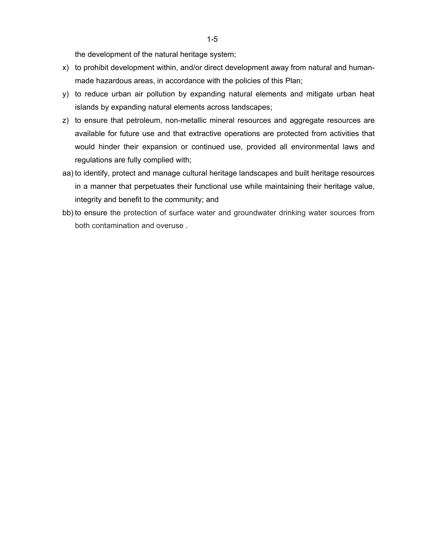the development of the natural heritage system;

- x) to prohibit development within, and/or direct development away from natural and humanmade hazardous areas, in accordance with the policies of this Plan;
- y) to reduce urban air pollution by expanding natural elements and mitigate urban heat islands by expanding natural elements across landscapes;
- z) to ensure that petroleum, non-metallic mineral resources and aggregate resources are available for future use and that extractive operations are protected from activities that would hinder their expansion or continued use, provided all environmental laws and regulations are fully complied with;
- aa) to identify, protect and manage cultural heritage landscapes and built heritage resources in a manner that perpetuates their functional use while maintaining their heritage value, integrity and benefit to the community; and
- bb) to ensure the protection of surface water and groundwater drinking water sources from both contamination and overuse .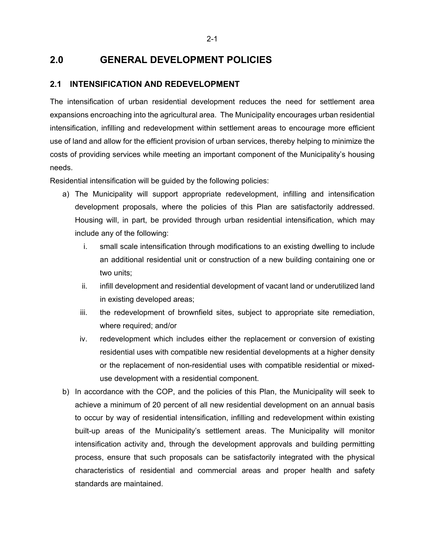# **2.0 GENERAL DEVELOPMENT POLICIES**

## **2.1 INTENSIFICATION AND REDEVELOPMENT**

The intensification of urban residential development reduces the need for settlement area expansions encroaching into the agricultural area. The Municipality encourages urban residential intensification, infilling and redevelopment within settlement areas to encourage more efficient use of land and allow for the efficient provision of urban services, thereby helping to minimize the costs of providing services while meeting an important component of the Municipality's housing needs.

Residential intensification will be guided by the following policies:

- a) The Municipality will support appropriate redevelopment, infilling and intensification development proposals, where the policies of this Plan are satisfactorily addressed. Housing will, in part, be provided through urban residential intensification, which may include any of the following:
	- i. small scale intensification through modifications to an existing dwelling to include an additional residential unit or construction of a new building containing one or two units;
	- ii. infill development and residential development of vacant land or underutilized land in existing developed areas;
	- iii. the redevelopment of brownfield sites, subject to appropriate site remediation, where required; and/or
	- iv. redevelopment which includes either the replacement or conversion of existing residential uses with compatible new residential developments at a higher density or the replacement of non-residential uses with compatible residential or mixeduse development with a residential component.
- b) In accordance with the COP, and the policies of this Plan, the Municipality will seek to achieve a minimum of 20 percent of all new residential development on an annual basis to occur by way of residential intensification, infilling and redevelopment within existing built-up areas of the Municipality's settlement areas. The Municipality will monitor intensification activity and, through the development approvals and building permitting process, ensure that such proposals can be satisfactorily integrated with the physical characteristics of residential and commercial areas and proper health and safety standards are maintained.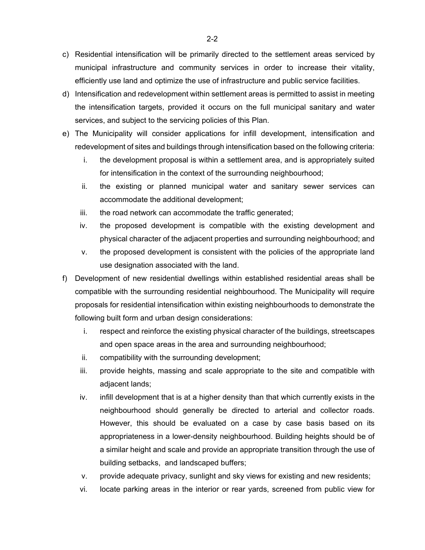- c) Residential intensification will be primarily directed to the settlement areas serviced by municipal infrastructure and community services in order to increase their vitality, efficiently use land and optimize the use of infrastructure and public service facilities.
- d) Intensification and redevelopment within settlement areas is permitted to assist in meeting the intensification targets, provided it occurs on the full municipal sanitary and water services, and subject to the servicing policies of this Plan.
- e) The Municipality will consider applications for infill development, intensification and redevelopment of sites and buildings through intensification based on the following criteria:
	- i. the development proposal is within a settlement area, and is appropriately suited for intensification in the context of the surrounding neighbourhood;
	- ii. the existing or planned municipal water and sanitary sewer services can accommodate the additional development;
	- iii. the road network can accommodate the traffic generated;
	- iv. the proposed development is compatible with the existing development and physical character of the adjacent properties and surrounding neighbourhood; and
	- v. the proposed development is consistent with the policies of the appropriate land use designation associated with the land.
- f) Development of new residential dwellings within established residential areas shall be compatible with the surrounding residential neighbourhood. The Municipality will require proposals for residential intensification within existing neighbourhoods to demonstrate the following built form and urban design considerations:
	- i. respect and reinforce the existing physical character of the buildings, streetscapes and open space areas in the area and surrounding neighbourhood;
	- ii. compatibility with the surrounding development;
	- iii. provide heights, massing and scale appropriate to the site and compatible with adjacent lands;
	- iv. infill development that is at a higher density than that which currently exists in the neighbourhood should generally be directed to arterial and collector roads. However, this should be evaluated on a case by case basis based on its appropriateness in a lower-density neighbourhood. Building heights should be of a similar height and scale and provide an appropriate transition through the use of building setbacks, and landscaped buffers;
	- v. provide adequate privacy, sunlight and sky views for existing and new residents;
	- vi. locate parking areas in the interior or rear yards, screened from public view for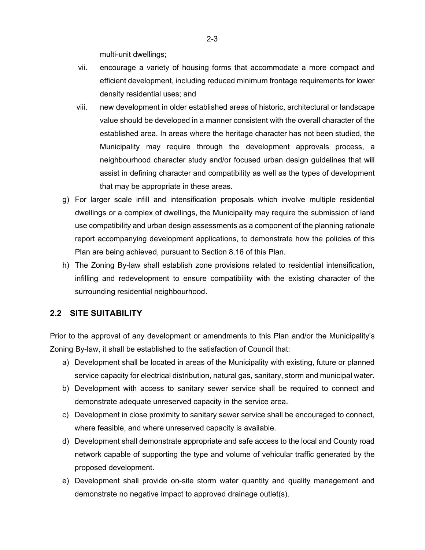multi-unit dwellings;

- vii. encourage a variety of housing forms that accommodate a more compact and efficient development, including reduced minimum frontage requirements for lower density residential uses; and
- viii. new development in older established areas of historic, architectural or landscape value should be developed in a manner consistent with the overall character of the established area. In areas where the heritage character has not been studied, the Municipality may require through the development approvals process, a neighbourhood character study and/or focused urban design guidelines that will assist in defining character and compatibility as well as the types of development that may be appropriate in these areas.
- g) For larger scale infill and intensification proposals which involve multiple residential dwellings or a complex of dwellings, the Municipality may require the submission of land use compatibility and urban design assessments as a component of the planning rationale report accompanying development applications, to demonstrate how the policies of this Plan are being achieved, pursuant to Section 8.16 of this Plan.
- h) The Zoning By-law shall establish zone provisions related to residential intensification, infilling and redevelopment to ensure compatibility with the existing character of the surrounding residential neighbourhood.

## **2.2 SITE SUITABILITY**

Prior to the approval of any development or amendments to this Plan and/or the Municipality's Zoning By-law, it shall be established to the satisfaction of Council that:

- a) Development shall be located in areas of the Municipality with existing, future or planned service capacity for electrical distribution, natural gas, sanitary, storm and municipal water.
- b) Development with access to sanitary sewer service shall be required to connect and demonstrate adequate unreserved capacity in the service area.
- c) Development in close proximity to sanitary sewer service shall be encouraged to connect, where feasible, and where unreserved capacity is available.
- d) Development shall demonstrate appropriate and safe access to the local and County road network capable of supporting the type and volume of vehicular traffic generated by the proposed development.
- e) Development shall provide on-site storm water quantity and quality management and demonstrate no negative impact to approved drainage outlet(s).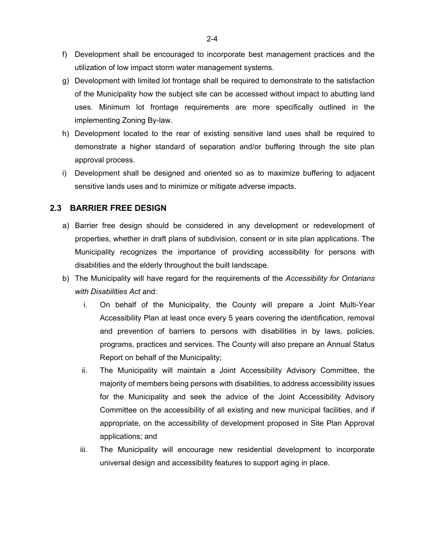- f) Development shall be encouraged to incorporate best management practices and the utilization of low impact storm water management systems.
- g) Development with limited lot frontage shall be required to demonstrate to the satisfaction of the Municipality how the subject site can be accessed without impact to abutting land uses. Minimum lot frontage requirements are more specifically outlined in the implementing Zoning By-law.
- h) Development located to the rear of existing sensitive land uses shall be required to demonstrate a higher standard of separation and/or buffering through the site plan approval process.
- i) Development shall be designed and oriented so as to maximize buffering to adjacent sensitive lands uses and to minimize or mitigate adverse impacts.

## **2.3 BARRIER FREE DESIGN**

- a) Barrier free design should be considered in any development or redevelopment of properties, whether in draft plans of subdivision, consent or in site plan applications. The Municipality recognizes the importance of providing accessibility for persons with disabilities and the elderly throughout the built landscape.
- b) The Municipality will have regard for the requirements of the *Accessibility for Ontarians with Disabilities Act* and:
	- i. On behalf of the Municipality, the County will prepare a Joint Multi-Year Accessibility Plan at least once every 5 years covering the identification, removal and prevention of barriers to persons with disabilities in by laws, policies, programs, practices and services. The County will also prepare an Annual Status Report on behalf of the Municipality;
	- ii. The Municipality will maintain a Joint Accessibility Advisory Committee, the majority of members being persons with disabilities, to address accessibility issues for the Municipality and seek the advice of the Joint Accessibility Advisory Committee on the accessibility of all existing and new municipal facilities, and if appropriate, on the accessibility of development proposed in Site Plan Approval applications; and
	- iii. The Municipality will encourage new residential development to incorporate universal design and accessibility features to support aging in place.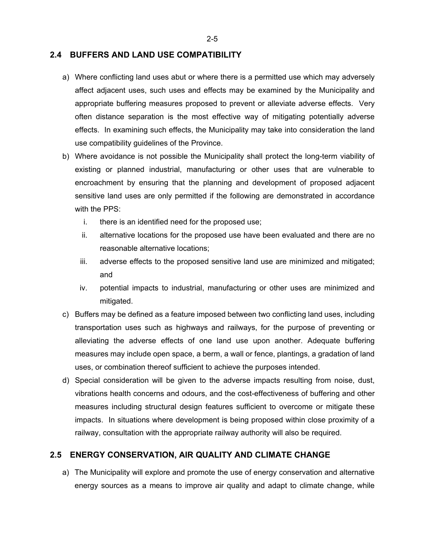#### **2.4 BUFFERS AND LAND USE COMPATIBILITY**

- a) Where conflicting land uses abut or where there is a permitted use which may adversely affect adjacent uses, such uses and effects may be examined by the Municipality and appropriate buffering measures proposed to prevent or alleviate adverse effects. Very often distance separation is the most effective way of mitigating potentially adverse effects. In examining such effects, the Municipality may take into consideration the land use compatibility guidelines of the Province.
- b) Where avoidance is not possible the Municipality shall protect the long-term viability of existing or planned industrial, manufacturing or other uses that are vulnerable to encroachment by ensuring that the planning and development of proposed adjacent sensitive land uses are only permitted if the following are demonstrated in accordance with the PPS:
	- i. there is an identified need for the proposed use;
	- ii. alternative locations for the proposed use have been evaluated and there are no reasonable alternative locations;
	- iii. adverse effects to the proposed sensitive land use are minimized and mitigated; and
	- iv. potential impacts to industrial, manufacturing or other uses are minimized and mitigated.
- c) Buffers may be defined as a feature imposed between two conflicting land uses, including transportation uses such as highways and railways, for the purpose of preventing or alleviating the adverse effects of one land use upon another. Adequate buffering measures may include open space, a berm, a wall or fence, plantings, a gradation of land uses, or combination thereof sufficient to achieve the purposes intended.
- d) Special consideration will be given to the adverse impacts resulting from noise, dust, vibrations health concerns and odours, and the cost-effectiveness of buffering and other measures including structural design features sufficient to overcome or mitigate these impacts. In situations where development is being proposed within close proximity of a railway, consultation with the appropriate railway authority will also be required.

## **2.5 ENERGY CONSERVATION, AIR QUALITY AND CLIMATE CHANGE**

a) The Municipality will explore and promote the use of energy conservation and alternative energy sources as a means to improve air quality and adapt to climate change, while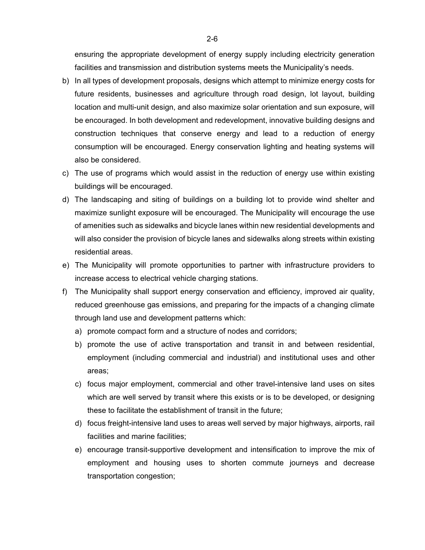ensuring the appropriate development of energy supply including electricity generation facilities and transmission and distribution systems meets the Municipality's needs.

- b) In all types of development proposals, designs which attempt to minimize energy costs for future residents, businesses and agriculture through road design, lot layout, building location and multi-unit design, and also maximize solar orientation and sun exposure, will be encouraged. In both development and redevelopment, innovative building designs and construction techniques that conserve energy and lead to a reduction of energy consumption will be encouraged. Energy conservation lighting and heating systems will also be considered.
- c) The use of programs which would assist in the reduction of energy use within existing buildings will be encouraged.
- d) The landscaping and siting of buildings on a building lot to provide wind shelter and maximize sunlight exposure will be encouraged. The Municipality will encourage the use of amenities such as sidewalks and bicycle lanes within new residential developments and will also consider the provision of bicycle lanes and sidewalks along streets within existing residential areas.
- e) The Municipality will promote opportunities to partner with infrastructure providers to increase access to electrical vehicle charging stations.
- f) The Municipality shall support energy conservation and efficiency, improved air quality, reduced greenhouse gas emissions, and preparing for the impacts of a changing climate through land use and development patterns which:
	- a) promote compact form and a structure of nodes and corridors;
	- b) promote the use of active transportation and transit in and between residential, employment (including commercial and industrial) and institutional uses and other areas;
	- c) focus major employment, commercial and other travel-intensive land uses on sites which are well served by transit where this exists or is to be developed, or designing these to facilitate the establishment of transit in the future;
	- d) focus freight-intensive land uses to areas well served by major highways, airports, rail facilities and marine facilities;
	- e) encourage transit-supportive development and intensification to improve the mix of employment and housing uses to shorten commute journeys and decrease transportation congestion;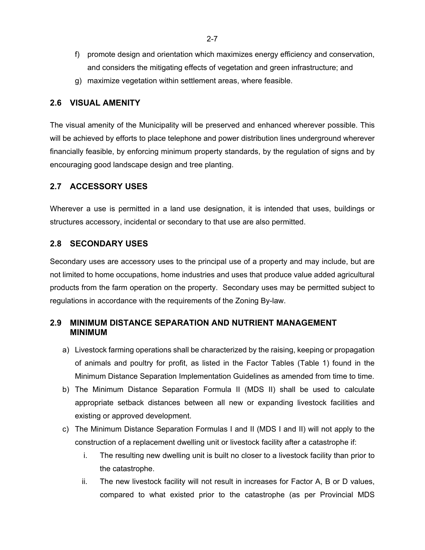- f) promote design and orientation which maximizes energy efficiency and conservation, and considers the mitigating effects of vegetation and green infrastructure; and
- g) maximize vegetation within settlement areas, where feasible.

## **2.6 VISUAL AMENITY**

The visual amenity of the Municipality will be preserved and enhanced wherever possible. This will be achieved by efforts to place telephone and power distribution lines underground wherever financially feasible, by enforcing minimum property standards, by the regulation of signs and by encouraging good landscape design and tree planting.

## **2.7 ACCESSORY USES**

Wherever a use is permitted in a land use designation, it is intended that uses, buildings or structures accessory, incidental or secondary to that use are also permitted.

## **2.8 SECONDARY USES**

Secondary uses are accessory uses to the principal use of a property and may include, but are not limited to home occupations, home industries and uses that produce value added agricultural products from the farm operation on the property. Secondary uses may be permitted subject to regulations in accordance with the requirements of the Zoning By-law.

# **2.9 MINIMUM DISTANCE SEPARATION AND NUTRIENT MANAGEMENT MINIMUM**

- a) Livestock farming operations shall be characterized by the raising, keeping or propagation of animals and poultry for profit, as listed in the Factor Tables (Table 1) found in the Minimum Distance Separation Implementation Guidelines as amended from time to time.
- b) The Minimum Distance Separation Formula II (MDS II) shall be used to calculate appropriate setback distances between all new or expanding livestock facilities and existing or approved development.
- c) The Minimum Distance Separation Formulas I and II (MDS I and II) will not apply to the construction of a replacement dwelling unit or livestock facility after a catastrophe if:
	- i. The resulting new dwelling unit is built no closer to a livestock facility than prior to the catastrophe.
	- ii. The new livestock facility will not result in increases for Factor A, B or D values, compared to what existed prior to the catastrophe (as per Provincial MDS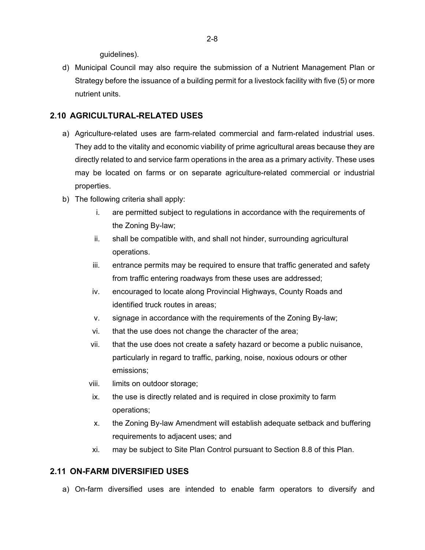guidelines).

d) Municipal Council may also require the submission of a Nutrient Management Plan or Strategy before the issuance of a building permit for a livestock facility with five (5) or more nutrient units.

## **2.10 AGRICULTURAL-RELATED USES**

- a) Agriculture-related uses are farm-related commercial and farm-related industrial uses. They add to the vitality and economic viability of prime agricultural areas because they are directly related to and service farm operations in the area as a primary activity. These uses may be located on farms or on separate agriculture-related commercial or industrial properties.
- b) The following criteria shall apply:
	- i. are permitted subject to regulations in accordance with the requirements of the Zoning By-law;
	- ii. shall be compatible with, and shall not hinder, surrounding agricultural operations.
	- iii. entrance permits may be required to ensure that traffic generated and safety from traffic entering roadways from these uses are addressed;
	- iv. encouraged to locate along Provincial Highways, County Roads and identified truck routes in areas;
	- v. signage in accordance with the requirements of the Zoning By-law;
	- vi. that the use does not change the character of the area;
	- vii. that the use does not create a safety hazard or become a public nuisance, particularly in regard to traffic, parking, noise, noxious odours or other emissions;
	- viii. limits on outdoor storage;
	- ix. the use is directly related and is required in close proximity to farm operations;
	- x. the Zoning By-law Amendment will establish adequate setback and buffering requirements to adjacent uses; and
	- xi. may be subject to Site Plan Control pursuant to Section 8.8 of this Plan.

## **2.11 ON-FARM DIVERSIFIED USES**

a) On-farm diversified uses are intended to enable farm operators to diversify and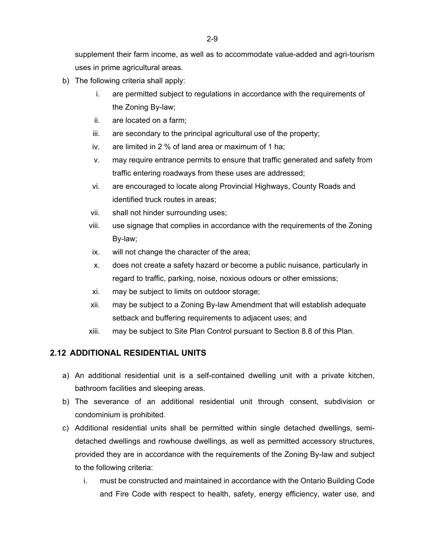supplement their farm income, as well as to accommodate value-added and agri-tourism uses in prime agricultural areas.

- b) The following criteria shall apply:
	- i. are permitted subject to regulations in accordance with the requirements of the Zoning By-law;
	- ii. are located on a farm;
	- iii. are secondary to the principal agricultural use of the property;
	- iv. are limited in 2 % of land area or maximum of 1 ha;
	- v. may require entrance permits to ensure that traffic generated and safety from traffic entering roadways from these uses are addressed;
	- vi. are encouraged to locate along Provincial Highways, County Roads and identified truck routes in areas;
	- vii. shall not hinder surrounding uses;
	- viii. use signage that complies in accordance with the requirements of the Zoning By-law;
	- ix. will not change the character of the area;
	- x. does not create a safety hazard or become a public nuisance, particularly in regard to traffic, parking, noise, noxious odours or other emissions;
	- xi. may be subject to limits on outdoor storage;
	- xii. may be subject to a Zoning By-law Amendment that will establish adequate setback and buffering requirements to adjacent uses; and
	- xiii. may be subject to Site Plan Control pursuant to Section 8.8 of this Plan.

# **2.12 ADDITIONAL RESIDENTIAL UNITS**

- a) An additional residential unit is a self-contained dwelling unit with a private kitchen, bathroom facilities and sleeping areas.
- b) The severance of an additional residential unit through consent, subdivision or condominium is prohibited.
- c) Additional residential units shall be permitted within single detached dwellings, semidetached dwellings and rowhouse dwellings, as well as permitted accessory structures, provided they are in accordance with the requirements of the Zoning By-law and subject to the following criteria:
	- i. must be constructed and maintained in accordance with the Ontario Building Code and Fire Code with respect to health, safety, energy efficiency, water use, and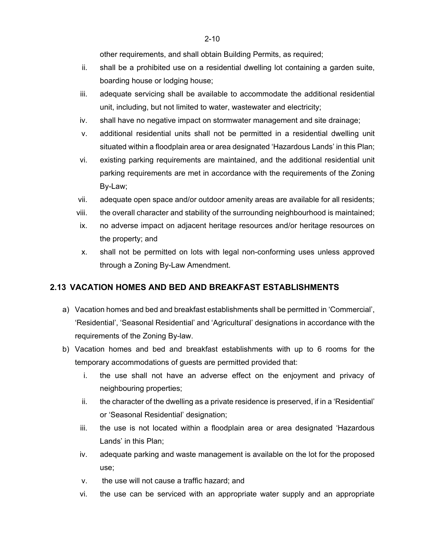- ii. shall be a prohibited use on a residential dwelling lot containing a garden suite, boarding house or lodging house;
- iii. adequate servicing shall be available to accommodate the additional residential unit, including, but not limited to water, wastewater and electricity;
- iv. shall have no negative impact on stormwater management and site drainage;
- v. additional residential units shall not be permitted in a residential dwelling unit situated within a floodplain area or area designated 'Hazardous Lands' in this Plan;
- vi. existing parking requirements are maintained, and the additional residential unit parking requirements are met in accordance with the requirements of the Zoning By-Law;
- vii. adequate open space and/or outdoor amenity areas are available for all residents;
- viii. the overall character and stability of the surrounding neighbourhood is maintained;
- ix. no adverse impact on adjacent heritage resources and/or heritage resources on the property; and
- x. shall not be permitted on lots with legal non-conforming uses unless approved through a Zoning By-Law Amendment.

# **2.13 VACATION HOMES AND BED AND BREAKFAST ESTABLISHMENTS**

- a) Vacation homes and bed and breakfast establishments shall be permitted in 'Commercial', 'Residential', 'Seasonal Residential' and 'Agricultural' designations in accordance with the requirements of the Zoning By-law.
- b) Vacation homes and bed and breakfast establishments with up to 6 rooms for the temporary accommodations of guests are permitted provided that:
	- i. the use shall not have an adverse effect on the enjoyment and privacy of neighbouring properties;
	- ii. the character of the dwelling as a private residence is preserved, if in a 'Residential' or 'Seasonal Residential' designation;
	- iii. the use is not located within a floodplain area or area designated 'Hazardous Lands' in this Plan;
	- iv. adequate parking and waste management is available on the lot for the proposed use;
	- v. the use will not cause a traffic hazard; and
	- vi. the use can be serviced with an appropriate water supply and an appropriate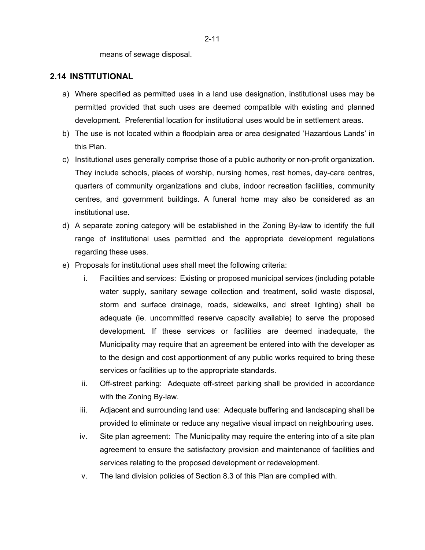means of sewage disposal.

#### **2.14 INSTITUTIONAL**

- a) Where specified as permitted uses in a land use designation, institutional uses may be permitted provided that such uses are deemed compatible with existing and planned development. Preferential location for institutional uses would be in settlement areas.
- b) The use is not located within a floodplain area or area designated 'Hazardous Lands' in this Plan.
- c) Institutional uses generally comprise those of a public authority or non-profit organization. They include schools, places of worship, nursing homes, rest homes, day-care centres, quarters of community organizations and clubs, indoor recreation facilities, community centres, and government buildings. A funeral home may also be considered as an institutional use.
- d) A separate zoning category will be established in the Zoning By-law to identify the full range of institutional uses permitted and the appropriate development regulations regarding these uses.
- e) Proposals for institutional uses shall meet the following criteria:
	- i. Facilities and services: Existing or proposed municipal services (including potable water supply, sanitary sewage collection and treatment, solid waste disposal, storm and surface drainage, roads, sidewalks, and street lighting) shall be adequate (ie. uncommitted reserve capacity available) to serve the proposed development. If these services or facilities are deemed inadequate, the Municipality may require that an agreement be entered into with the developer as to the design and cost apportionment of any public works required to bring these services or facilities up to the appropriate standards.
	- ii. Off-street parking: Adequate off-street parking shall be provided in accordance with the Zoning By-law.
	- iii. Adjacent and surrounding land use: Adequate buffering and landscaping shall be provided to eliminate or reduce any negative visual impact on neighbouring uses.
	- iv. Site plan agreement: The Municipality may require the entering into of a site plan agreement to ensure the satisfactory provision and maintenance of facilities and services relating to the proposed development or redevelopment.
	- v. The land division policies of Section 8.3 of this Plan are complied with.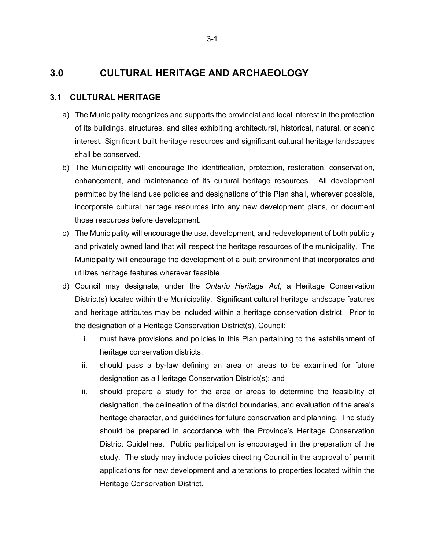# **3.0 CULTURAL HERITAGE AND ARCHAEOLOGY**

## **3.1 CULTURAL HERITAGE**

- a) The Municipality recognizes and supports the provincial and local interest in the protection of its buildings, structures, and sites exhibiting architectural, historical, natural, or scenic interest. Significant built heritage resources and significant cultural heritage landscapes shall be conserved.
- b) The Municipality will encourage the identification, protection, restoration, conservation, enhancement, and maintenance of its cultural heritage resources. All development permitted by the land use policies and designations of this Plan shall, wherever possible, incorporate cultural heritage resources into any new development plans, or document those resources before development.
- c) The Municipality will encourage the use, development, and redevelopment of both publicly and privately owned land that will respect the heritage resources of the municipality. The Municipality will encourage the development of a built environment that incorporates and utilizes heritage features wherever feasible.
- d) Council may designate, under the *Ontario Heritage Act*, a Heritage Conservation District(s) located within the Municipality. Significant cultural heritage landscape features and heritage attributes may be included within a heritage conservation district. Prior to the designation of a Heritage Conservation District(s), Council:
	- i. must have provisions and policies in this Plan pertaining to the establishment of heritage conservation districts;
	- ii. should pass a by-law defining an area or areas to be examined for future designation as a Heritage Conservation District(s); and
	- iii. should prepare a study for the area or areas to determine the feasibility of designation, the delineation of the district boundaries, and evaluation of the area's heritage character, and guidelines for future conservation and planning. The study should be prepared in accordance with the Province's Heritage Conservation District Guidelines. Public participation is encouraged in the preparation of the study. The study may include policies directing Council in the approval of permit applications for new development and alterations to properties located within the Heritage Conservation District.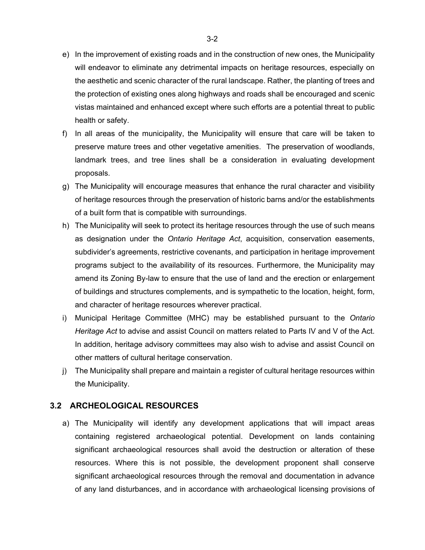- e) In the improvement of existing roads and in the construction of new ones, the Municipality will endeavor to eliminate any detrimental impacts on heritage resources, especially on the aesthetic and scenic character of the rural landscape. Rather, the planting of trees and the protection of existing ones along highways and roads shall be encouraged and scenic vistas maintained and enhanced except where such efforts are a potential threat to public health or safety.
- f) In all areas of the municipality, the Municipality will ensure that care will be taken to preserve mature trees and other vegetative amenities. The preservation of woodlands, landmark trees, and tree lines shall be a consideration in evaluating development proposals.
- g) The Municipality will encourage measures that enhance the rural character and visibility of heritage resources through the preservation of historic barns and/or the establishments of a built form that is compatible with surroundings.
- h) The Municipality will seek to protect its heritage resources through the use of such means as designation under the *Ontario Heritage Act*, acquisition, conservation easements, subdivider's agreements, restrictive covenants, and participation in heritage improvement programs subject to the availability of its resources. Furthermore, the Municipality may amend its Zoning By-law to ensure that the use of land and the erection or enlargement of buildings and structures complements, and is sympathetic to the location, height, form, and character of heritage resources wherever practical.
- i) Municipal Heritage Committee (MHC) may be established pursuant to the *Ontario Heritage Act* to advise and assist Council on matters related to Parts IV and V of the Act. In addition, heritage advisory committees may also wish to advise and assist Council on other matters of cultural heritage conservation.
- j) The Municipality shall prepare and maintain a register of cultural heritage resources within the Municipality.

#### **3.2 ARCHEOLOGICAL RESOURCES**

a) The Municipality will identify any development applications that will impact areas containing registered archaeological potential. Development on lands containing significant archaeological resources shall avoid the destruction or alteration of these resources. Where this is not possible, the development proponent shall conserve significant archaeological resources through the removal and documentation in advance of any land disturbances, and in accordance with archaeological licensing provisions of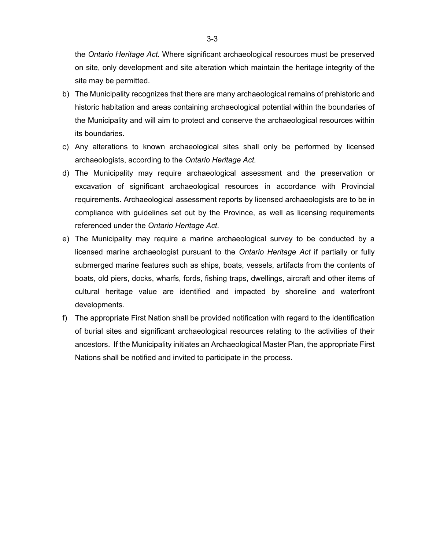the *Ontario Heritage Act*. Where significant archaeological resources must be preserved on site, only development and site alteration which maintain the heritage integrity of the site may be permitted.

- b) The Municipality recognizes that there are many archaeological remains of prehistoric and historic habitation and areas containing archaeological potential within the boundaries of the Municipality and will aim to protect and conserve the archaeological resources within its boundaries.
- c) Any alterations to known archaeological sites shall only be performed by licensed archaeologists, according to the *Ontario Heritage Act.*
- d) The Municipality may require archaeological assessment and the preservation or excavation of significant archaeological resources in accordance with Provincial requirements. Archaeological assessment reports by licensed archaeologists are to be in compliance with guidelines set out by the Province, as well as licensing requirements referenced under the *Ontario Heritage Act*.
- e) The Municipality may require a marine archaeological survey to be conducted by a licensed marine archaeologist pursuant to the *Ontario Heritage Act* if partially or fully submerged marine features such as ships, boats, vessels, artifacts from the contents of boats, old piers, docks, wharfs, fords, fishing traps, dwellings, aircraft and other items of cultural heritage value are identified and impacted by shoreline and waterfront developments.
- f) The appropriate First Nation shall be provided notification with regard to the identification of burial sites and significant archaeological resources relating to the activities of their ancestors. If the Municipality initiates an Archaeological Master Plan, the appropriate First Nations shall be notified and invited to participate in the process.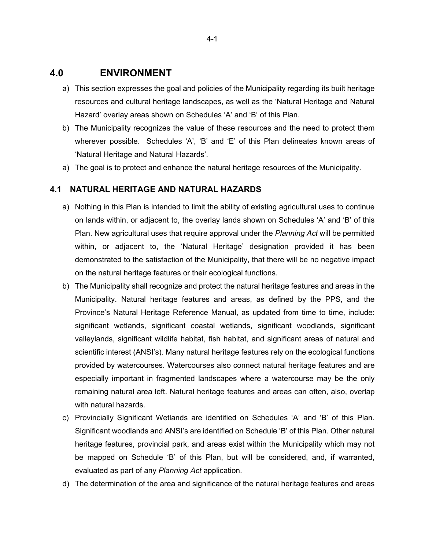# **4.0 ENVIRONMENT**

- a) This section expresses the goal and policies of the Municipality regarding its built heritage resources and cultural heritage landscapes, as well as the 'Natural Heritage and Natural Hazard' overlay areas shown on Schedules 'A' and 'B' of this Plan.
- b) The Municipality recognizes the value of these resources and the need to protect them wherever possible. Schedules 'A', 'B' and 'E' of this Plan delineates known areas of 'Natural Heritage and Natural Hazards'.
- a) The goal is to protect and enhance the natural heritage resources of the Municipality.

#### **4.1 NATURAL HERITAGE AND NATURAL HAZARDS**

- a) Nothing in this Plan is intended to limit the ability of existing agricultural uses to continue on lands within, or adjacent to, the overlay lands shown on Schedules 'A' and 'B' of this Plan. New agricultural uses that require approval under the *Planning Act* will be permitted within, or adjacent to, the 'Natural Heritage' designation provided it has been demonstrated to the satisfaction of the Municipality, that there will be no negative impact on the natural heritage features or their ecological functions.
- b) The Municipality shall recognize and protect the natural heritage features and areas in the Municipality. Natural heritage features and areas, as defined by the PPS, and the Province's Natural Heritage Reference Manual, as updated from time to time, include: significant wetlands, significant coastal wetlands, significant woodlands, significant valleylands, significant wildlife habitat, fish habitat, and significant areas of natural and scientific interest (ANSI's). Many natural heritage features rely on the ecological functions provided by watercourses. Watercourses also connect natural heritage features and are especially important in fragmented landscapes where a watercourse may be the only remaining natural area left. Natural heritage features and areas can often, also, overlap with natural hazards.
- c) Provincially Significant Wetlands are identified on Schedules 'A' and 'B' of this Plan. Significant woodlands and ANSI's are identified on Schedule 'B' of this Plan. Other natural heritage features, provincial park, and areas exist within the Municipality which may not be mapped on Schedule 'B' of this Plan, but will be considered, and, if warranted, evaluated as part of any *Planning Act* application.
- d) The determination of the area and significance of the natural heritage features and areas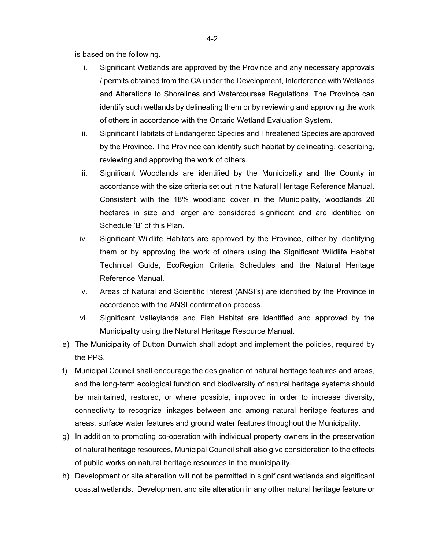is based on the following.

- i. Significant Wetlands are approved by the Province and any necessary approvals / permits obtained from the CA under the Development, Interference with Wetlands and Alterations to Shorelines and Watercourses Regulations. The Province can identify such wetlands by delineating them or by reviewing and approving the work of others in accordance with the Ontario Wetland Evaluation System.
- ii. Significant Habitats of Endangered Species and Threatened Species are approved by the Province. The Province can identify such habitat by delineating, describing, reviewing and approving the work of others.
- iii. Significant Woodlands are identified by the Municipality and the County in accordance with the size criteria set out in the Natural Heritage Reference Manual. Consistent with the 18% woodland cover in the Municipality, woodlands 20 hectares in size and larger are considered significant and are identified on Schedule 'B' of this Plan.
- iv. Significant Wildlife Habitats are approved by the Province, either by identifying them or by approving the work of others using the Significant Wildlife Habitat Technical Guide, EcoRegion Criteria Schedules and the Natural Heritage Reference Manual.
- v. Areas of Natural and Scientific Interest (ANSI's) are identified by the Province in accordance with the ANSI confirmation process.
- vi. Significant Valleylands and Fish Habitat are identified and approved by the Municipality using the Natural Heritage Resource Manual.
- e) The Municipality of Dutton Dunwich shall adopt and implement the policies, required by the PPS.
- f) Municipal Council shall encourage the designation of natural heritage features and areas, and the long-term ecological function and biodiversity of natural heritage systems should be maintained, restored, or where possible, improved in order to increase diversity, connectivity to recognize linkages between and among natural heritage features and areas, surface water features and ground water features throughout the Municipality.
- g) In addition to promoting co-operation with individual property owners in the preservation of natural heritage resources, Municipal Council shall also give consideration to the effects of public works on natural heritage resources in the municipality.
- h) Development or site alteration will not be permitted in significant wetlands and significant coastal wetlands. Development and site alteration in any other natural heritage feature or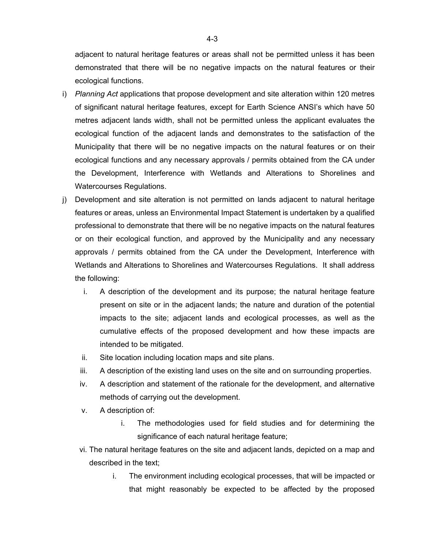adjacent to natural heritage features or areas shall not be permitted unless it has been demonstrated that there will be no negative impacts on the natural features or their ecological functions.

- i) *Planning Act* applications that propose development and site alteration within 120 metres of significant natural heritage features, except for Earth Science ANSI's which have 50 metres adjacent lands width, shall not be permitted unless the applicant evaluates the ecological function of the adjacent lands and demonstrates to the satisfaction of the Municipality that there will be no negative impacts on the natural features or on their ecological functions and any necessary approvals / permits obtained from the CA under the Development, Interference with Wetlands and Alterations to Shorelines and Watercourses Regulations.
- j) Development and site alteration is not permitted on lands adjacent to natural heritage features or areas, unless an Environmental Impact Statement is undertaken by a qualified professional to demonstrate that there will be no negative impacts on the natural features or on their ecological function, and approved by the Municipality and any necessary approvals / permits obtained from the CA under the Development, Interference with Wetlands and Alterations to Shorelines and Watercourses Regulations. It shall address the following:
	- i. A description of the development and its purpose; the natural heritage feature present on site or in the adjacent lands; the nature and duration of the potential impacts to the site; adjacent lands and ecological processes, as well as the cumulative effects of the proposed development and how these impacts are intended to be mitigated.
	- ii. Site location including location maps and site plans.
	- iii. A description of the existing land uses on the site and on surrounding properties.
	- iv. A description and statement of the rationale for the development, and alternative methods of carrying out the development.
	- v. A description of:
		- i. The methodologies used for field studies and for determining the significance of each natural heritage feature;
	- vi. The natural heritage features on the site and adjacent lands, depicted on a map and described in the text;
		- i. The environment including ecological processes, that will be impacted or that might reasonably be expected to be affected by the proposed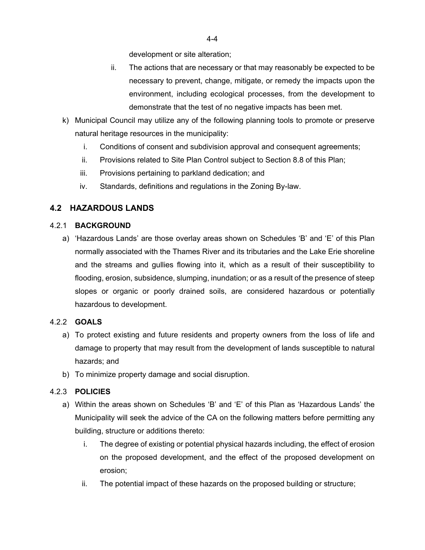development or site alteration;

- ii. The actions that are necessary or that may reasonably be expected to be necessary to prevent, change, mitigate, or remedy the impacts upon the environment, including ecological processes, from the development to demonstrate that the test of no negative impacts has been met.
- k) Municipal Council may utilize any of the following planning tools to promote or preserve natural heritage resources in the municipality:
	- i. Conditions of consent and subdivision approval and consequent agreements;
	- ii. Provisions related to Site Plan Control subject to Section 8.8 of this Plan;
	- iii. Provisions pertaining to parkland dedication; and
	- iv. Standards, definitions and regulations in the Zoning By-law.

# **4.2 HAZARDOUS LANDS**

## 4.2.1 **BACKGROUND**

a) 'Hazardous Lands' are those overlay areas shown on Schedules 'B' and 'E' of this Plan normally associated with the Thames River and its tributaries and the Lake Erie shoreline and the streams and gullies flowing into it, which as a result of their susceptibility to flooding, erosion, subsidence, slumping, inundation; or as a result of the presence of steep slopes or organic or poorly drained soils, are considered hazardous or potentially hazardous to development.

## 4.2.2 **GOALS**

- a) To protect existing and future residents and property owners from the loss of life and damage to property that may result from the development of lands susceptible to natural hazards; and
- b) To minimize property damage and social disruption.

## 4.2.3 **POLICIES**

- a) Within the areas shown on Schedules 'B' and 'E' of this Plan as 'Hazardous Lands' the Municipality will seek the advice of the CA on the following matters before permitting any building, structure or additions thereto:
	- i. The degree of existing or potential physical hazards including, the effect of erosion on the proposed development, and the effect of the proposed development on erosion;
	- ii. The potential impact of these hazards on the proposed building or structure;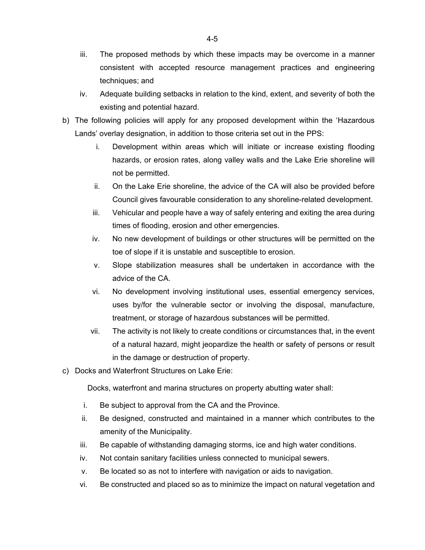- iii. The proposed methods by which these impacts may be overcome in a manner consistent with accepted resource management practices and engineering techniques; and
- iv. Adequate building setbacks in relation to the kind, extent, and severity of both the existing and potential hazard.
- b) The following policies will apply for any proposed development within the 'Hazardous Lands' overlay designation, in addition to those criteria set out in the PPS:
	- i. Development within areas which will initiate or increase existing flooding hazards, or erosion rates, along valley walls and the Lake Erie shoreline will not be permitted.
	- ii. On the Lake Erie shoreline, the advice of the CA will also be provided before Council gives favourable consideration to any shoreline-related development.
	- iii. Vehicular and people have a way of safely entering and exiting the area during times of flooding, erosion and other emergencies.
	- iv. No new development of buildings or other structures will be permitted on the toe of slope if it is unstable and susceptible to erosion.
	- v. Slope stabilization measures shall be undertaken in accordance with the advice of the CA.
	- vi. No development involving institutional uses, essential emergency services, uses by/for the vulnerable sector or involving the disposal, manufacture, treatment, or storage of hazardous substances will be permitted.
	- vii. The activity is not likely to create conditions or circumstances that, in the event of a natural hazard, might jeopardize the health or safety of persons or result in the damage or destruction of property.
- c) Docks and Waterfront Structures on Lake Erie:

Docks, waterfront and marina structures on property abutting water shall:

- i. Be subject to approval from the CA and the Province.
- ii. Be designed, constructed and maintained in a manner which contributes to the amenity of the Municipality.
- iii. Be capable of withstanding damaging storms, ice and high water conditions.
- iv. Not contain sanitary facilities unless connected to municipal sewers.
- v. Be located so as not to interfere with navigation or aids to navigation.
- vi. Be constructed and placed so as to minimize the impact on natural vegetation and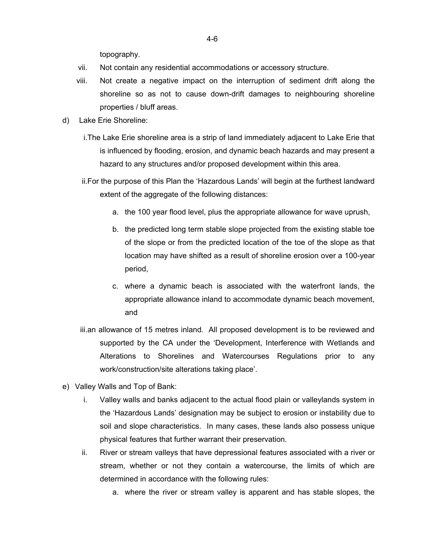topography.

- vii. Not contain any residential accommodations or accessory structure.
- viii. Not create a negative impact on the interruption of sediment drift along the shoreline so as not to cause down-drift damages to neighbouring shoreline properties / bluff areas.
- d) Lake Erie Shoreline:
	- i.The Lake Erie shoreline area is a strip of land immediately adjacent to Lake Erie that is influenced by flooding, erosion, and dynamic beach hazards and may present a hazard to any structures and/or proposed development within this area.
	- ii.For the purpose of this Plan the 'Hazardous Lands' will begin at the furthest landward extent of the aggregate of the following distances:
		- a. the 100 year flood level, plus the appropriate allowance for wave uprush,
		- b. the predicted long term stable slope projected from the existing stable toe of the slope or from the predicted location of the toe of the slope as that location may have shifted as a result of shoreline erosion over a 100-year period,
		- c. where a dynamic beach is associated with the waterfront lands, the appropriate allowance inland to accommodate dynamic beach movement, and
	- iii.an allowance of 15 metres inland. All proposed development is to be reviewed and supported by the CA under the 'Development, Interference with Wetlands and Alterations to Shorelines and Watercourses Regulations prior to any work/construction/site alterations taking place'.
- e) Valley Walls and Top of Bank:
	- i. Valley walls and banks adjacent to the actual flood plain or valleylands system in the 'Hazardous Lands' designation may be subject to erosion or instability due to soil and slope characteristics. In many cases, these lands also possess unique physical features that further warrant their preservation.
	- ii. River or stream valleys that have depressional features associated with a river or stream, whether or not they contain a watercourse, the limits of which are determined in accordance with the following rules:
		- a. where the river or stream valley is apparent and has stable slopes, the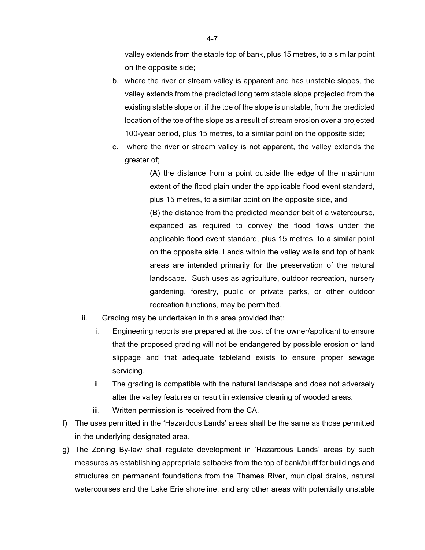valley extends from the stable top of bank, plus 15 metres, to a similar point on the opposite side;

- b. where the river or stream valley is apparent and has unstable slopes, the valley extends from the predicted long term stable slope projected from the existing stable slope or, if the toe of the slope is unstable, from the predicted location of the toe of the slope as a result of stream erosion over a projected 100-year period, plus 15 metres, to a similar point on the opposite side;
- c. where the river or stream valley is not apparent, the valley extends the greater of;

(A) the distance from a point outside the edge of the maximum extent of the flood plain under the applicable flood event standard, plus 15 metres, to a similar point on the opposite side, and (B) the distance from the predicted meander belt of a watercourse, expanded as required to convey the flood flows under the applicable flood event standard, plus 15 metres, to a similar point on the opposite side. Lands within the valley walls and top of bank areas are intended primarily for the preservation of the natural landscape. Such uses as agriculture, outdoor recreation, nursery gardening, forestry, public or private parks, or other outdoor recreation functions, may be permitted.

- iii. Grading may be undertaken in this area provided that:
	- i. Engineering reports are prepared at the cost of the owner/applicant to ensure that the proposed grading will not be endangered by possible erosion or land slippage and that adequate tableland exists to ensure proper sewage servicing.
	- ii. The grading is compatible with the natural landscape and does not adversely alter the valley features or result in extensive clearing of wooded areas.
	- iii. Written permission is received from the CA.
- f) The uses permitted in the 'Hazardous Lands' areas shall be the same as those permitted in the underlying designated area.
- g) The Zoning By-law shall regulate development in 'Hazardous Lands' areas by such measures as establishing appropriate setbacks from the top of bank/bluff for buildings and structures on permanent foundations from the Thames River, municipal drains, natural watercourses and the Lake Erie shoreline, and any other areas with potentially unstable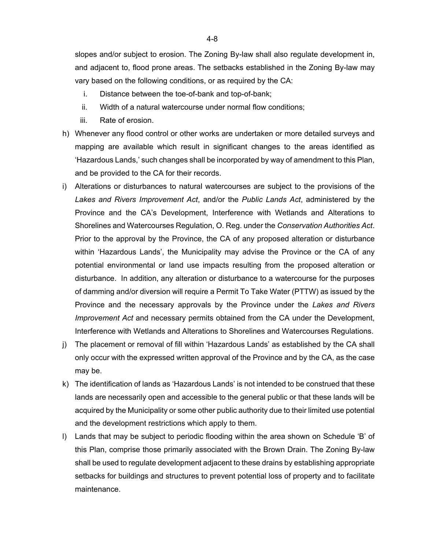slopes and/or subject to erosion. The Zoning By-law shall also regulate development in, and adjacent to, flood prone areas. The setbacks established in the Zoning By-law may vary based on the following conditions, or as required by the CA:

- i. Distance between the toe-of-bank and top-of-bank;
- ii. Width of a natural watercourse under normal flow conditions;
- iii. Rate of erosion.
- h) Whenever any flood control or other works are undertaken or more detailed surveys and mapping are available which result in significant changes to the areas identified as 'Hazardous Lands,' such changes shall be incorporated by way of amendment to this Plan, and be provided to the CA for their records.
- i) Alterations or disturbances to natural watercourses are subject to the provisions of the *Lakes and Rivers Improvement Act*, and/or the *Public Lands Act*, administered by the Province and the CA's Development, Interference with Wetlands and Alterations to Shorelines and Watercourses Regulation, O. Reg. under the *Conservation Authorities Act*. Prior to the approval by the Province, the CA of any proposed alteration or disturbance within 'Hazardous Lands', the Municipality may advise the Province or the CA of any potential environmental or land use impacts resulting from the proposed alteration or disturbance. In addition, any alteration or disturbance to a watercourse for the purposes of damming and/or diversion will require a Permit To Take Water (PTTW) as issued by the Province and the necessary approvals by the Province under the *Lakes and Rivers Improvement Act* and necessary permits obtained from the CA under the Development, Interference with Wetlands and Alterations to Shorelines and Watercourses Regulations.
- j) The placement or removal of fill within 'Hazardous Lands' as established by the CA shall only occur with the expressed written approval of the Province and by the CA, as the case may be.
- k) The identification of lands as 'Hazardous Lands' is not intended to be construed that these lands are necessarily open and accessible to the general public or that these lands will be acquired by the Municipality or some other public authority due to their limited use potential and the development restrictions which apply to them.
- l) Lands that may be subject to periodic flooding within the area shown on Schedule 'B' of this Plan, comprise those primarily associated with the Brown Drain. The Zoning By-law shall be used to regulate development adjacent to these drains by establishing appropriate setbacks for buildings and structures to prevent potential loss of property and to facilitate maintenance.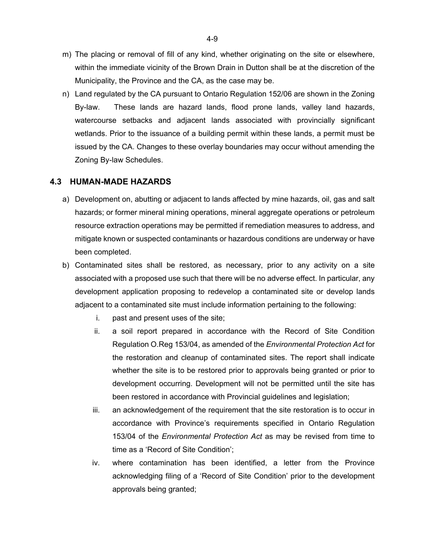- m) The placing or removal of fill of any kind, whether originating on the site or elsewhere, within the immediate vicinity of the Brown Drain in Dutton shall be at the discretion of the Municipality, the Province and the CA, as the case may be.
- n) Land regulated by the CA pursuant to Ontario Regulation 152/06 are shown in the Zoning By-law. These lands are hazard lands, flood prone lands, valley land hazards, watercourse setbacks and adjacent lands associated with provincially significant wetlands. Prior to the issuance of a building permit within these lands, a permit must be issued by the CA. Changes to these overlay boundaries may occur without amending the Zoning By-law Schedules.

#### **4.3 HUMAN-MADE HAZARDS**

- a) Development on, abutting or adjacent to lands affected by mine hazards, oil, gas and salt hazards; or former mineral mining operations, mineral aggregate operations or petroleum resource extraction operations may be permitted if remediation measures to address, and mitigate known or suspected contaminants or hazardous conditions are underway or have been completed.
- b) Contaminated sites shall be restored, as necessary, prior to any activity on a site associated with a proposed use such that there will be no adverse effect. In particular, any development application proposing to redevelop a contaminated site or develop lands adjacent to a contaminated site must include information pertaining to the following:
	- i. past and present uses of the site;
	- ii. a soil report prepared in accordance with the Record of Site Condition Regulation O.Reg 153/04, as amended of the *Environmental Protection Act* for the restoration and cleanup of contaminated sites. The report shall indicate whether the site is to be restored prior to approvals being granted or prior to development occurring. Development will not be permitted until the site has been restored in accordance with Provincial guidelines and legislation;
	- iii. an acknowledgement of the requirement that the site restoration is to occur in accordance with Province's requirements specified in Ontario Regulation 153/04 of the *Environmental Protection Act* as may be revised from time to time as a 'Record of Site Condition';
	- iv. where contamination has been identified, a letter from the Province acknowledging filing of a 'Record of Site Condition' prior to the development approvals being granted;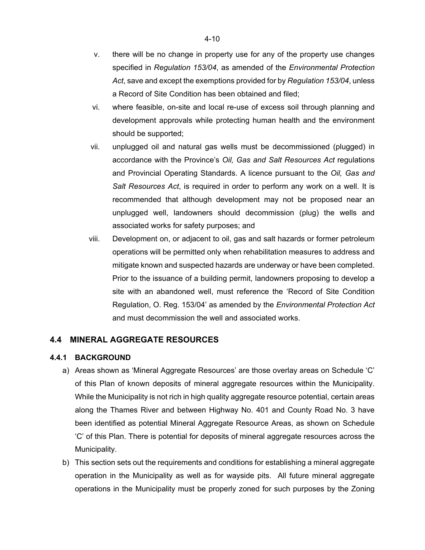- v. there will be no change in property use for any of the property use changes specified in *Regulation 153/04*, as amended of the *Environmental Protection Act*, save and except the exemptions provided for by *Regulation 153/04*, unless a Record of Site Condition has been obtained and filed;
- vi. where feasible, on-site and local re-use of excess soil through planning and development approvals while protecting human health and the environment should be supported;
- vii. unplugged oil and natural gas wells must be decommissioned (plugged) in accordance with the Province's *Oil, Gas and Salt Resources Act* regulations and Provincial Operating Standards. A licence pursuant to the *Oil, Gas and Salt Resources Act*, is required in order to perform any work on a well. It is recommended that although development may not be proposed near an unplugged well, landowners should decommission (plug) the wells and associated works for safety purposes; and
- viii. Development on, or adjacent to oil, gas and salt hazards or former petroleum operations will be permitted only when rehabilitation measures to address and mitigate known and suspected hazards are underway or have been completed. Prior to the issuance of a building permit, landowners proposing to develop a site with an abandoned well, must reference the 'Record of Site Condition Regulation, O. Reg. 153/04' as amended by the *Environmental Protection Act* and must decommission the well and associated works.

## **4.4 MINERAL AGGREGATE RESOURCES**

#### **4.4.1 BACKGROUND**

- a) Areas shown as 'Mineral Aggregate Resources' are those overlay areas on Schedule 'C' of this Plan of known deposits of mineral aggregate resources within the Municipality. While the Municipality is not rich in high quality aggregate resource potential, certain areas along the Thames River and between Highway No. 401 and County Road No. 3 have been identified as potential Mineral Aggregate Resource Areas, as shown on Schedule 'C' of this Plan. There is potential for deposits of mineral aggregate resources across the Municipality.
- b) This section sets out the requirements and conditions for establishing a mineral aggregate operation in the Municipality as well as for wayside pits. All future mineral aggregate operations in the Municipality must be properly zoned for such purposes by the Zoning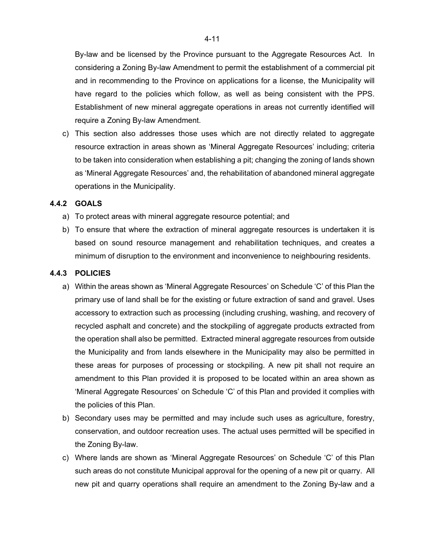By-law and be licensed by the Province pursuant to the Aggregate Resources Act. In considering a Zoning By-law Amendment to permit the establishment of a commercial pit and in recommending to the Province on applications for a license, the Municipality will have regard to the policies which follow, as well as being consistent with the PPS. Establishment of new mineral aggregate operations in areas not currently identified will require a Zoning By-law Amendment.

c) This section also addresses those uses which are not directly related to aggregate resource extraction in areas shown as 'Mineral Aggregate Resources' including; criteria to be taken into consideration when establishing a pit; changing the zoning of lands shown as 'Mineral Aggregate Resources' and, the rehabilitation of abandoned mineral aggregate operations in the Municipality.

#### **4.4.2 GOALS**

- a) To protect areas with mineral aggregate resource potential; and
- b) To ensure that where the extraction of mineral aggregate resources is undertaken it is based on sound resource management and rehabilitation techniques, and creates a minimum of disruption to the environment and inconvenience to neighbouring residents.

#### **4.4.3 POLICIES**

- a) Within the areas shown as 'Mineral Aggregate Resources' on Schedule 'C' of this Plan the primary use of land shall be for the existing or future extraction of sand and gravel. Uses accessory to extraction such as processing (including crushing, washing, and recovery of recycled asphalt and concrete) and the stockpiling of aggregate products extracted from the operation shall also be permitted. Extracted mineral aggregate resources from outside the Municipality and from lands elsewhere in the Municipality may also be permitted in these areas for purposes of processing or stockpiling. A new pit shall not require an amendment to this Plan provided it is proposed to be located within an area shown as 'Mineral Aggregate Resources' on Schedule 'C' of this Plan and provided it complies with the policies of this Plan.
- b) Secondary uses may be permitted and may include such uses as agriculture, forestry, conservation, and outdoor recreation uses. The actual uses permitted will be specified in the Zoning By-law.
- c) Where lands are shown as 'Mineral Aggregate Resources' on Schedule 'C' of this Plan such areas do not constitute Municipal approval for the opening of a new pit or quarry. All new pit and quarry operations shall require an amendment to the Zoning By-law and a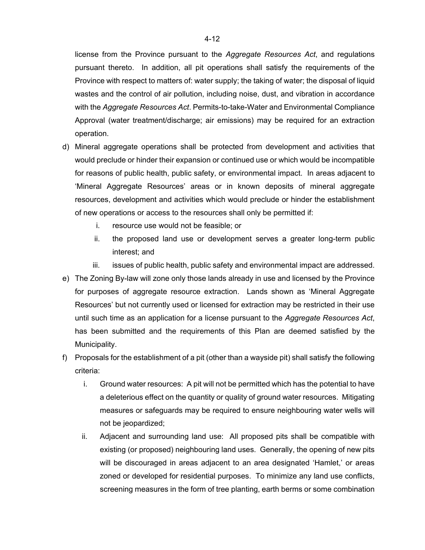license from the Province pursuant to the *Aggregate Resources Act*, and regulations pursuant thereto. In addition, all pit operations shall satisfy the requirements of the Province with respect to matters of: water supply; the taking of water; the disposal of liquid wastes and the control of air pollution, including noise, dust, and vibration in accordance with the *Aggregate Resources Act*. Permits-to-take-Water and Environmental Compliance Approval (water treatment/discharge; air emissions) may be required for an extraction operation.

- d) Mineral aggregate operations shall be protected from development and activities that would preclude or hinder their expansion or continued use or which would be incompatible for reasons of public health, public safety, or environmental impact. In areas adjacent to 'Mineral Aggregate Resources' areas or in known deposits of mineral aggregate resources, development and activities which would preclude or hinder the establishment of new operations or access to the resources shall only be permitted if:
	- i. resource use would not be feasible; or
	- ii. the proposed land use or development serves a greater long-term public interest; and
	- iii. issues of public health, public safety and environmental impact are addressed.
- e) The Zoning By-law will zone only those lands already in use and licensed by the Province for purposes of aggregate resource extraction. Lands shown as 'Mineral Aggregate Resources' but not currently used or licensed for extraction may be restricted in their use until such time as an application for a license pursuant to the *Aggregate Resources Act*, has been submitted and the requirements of this Plan are deemed satisfied by the Municipality.
- f) Proposals for the establishment of a pit (other than a wayside pit) shall satisfy the following criteria:
	- i. Ground water resources: A pit will not be permitted which has the potential to have a deleterious effect on the quantity or quality of ground water resources. Mitigating measures or safeguards may be required to ensure neighbouring water wells will not be jeopardized;
	- ii. Adjacent and surrounding land use: All proposed pits shall be compatible with existing (or proposed) neighbouring land uses. Generally, the opening of new pits will be discouraged in areas adjacent to an area designated 'Hamlet,' or areas zoned or developed for residential purposes. To minimize any land use conflicts, screening measures in the form of tree planting, earth berms or some combination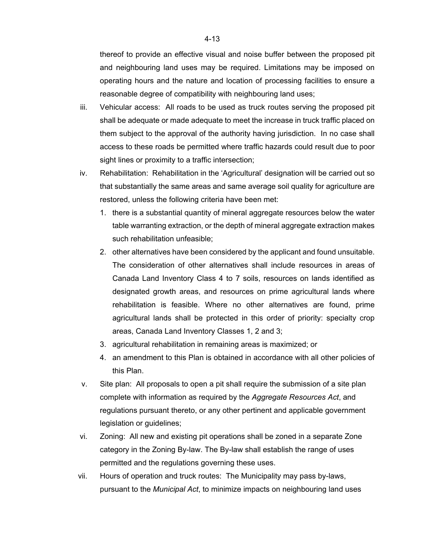thereof to provide an effective visual and noise buffer between the proposed pit and neighbouring land uses may be required. Limitations may be imposed on operating hours and the nature and location of processing facilities to ensure a reasonable degree of compatibility with neighbouring land uses;

- iii. Vehicular access: All roads to be used as truck routes serving the proposed pit shall be adequate or made adequate to meet the increase in truck traffic placed on them subject to the approval of the authority having jurisdiction. In no case shall access to these roads be permitted where traffic hazards could result due to poor sight lines or proximity to a traffic intersection;
- iv. Rehabilitation: Rehabilitation in the 'Agricultural' designation will be carried out so that substantially the same areas and same average soil quality for agriculture are restored, unless the following criteria have been met:
	- 1. there is a substantial quantity of mineral aggregate resources below the water table warranting extraction, or the depth of mineral aggregate extraction makes such rehabilitation unfeasible;
	- 2. other alternatives have been considered by the applicant and found unsuitable. The consideration of other alternatives shall include resources in areas of Canada Land Inventory Class 4 to 7 soils, resources on lands identified as designated growth areas, and resources on prime agricultural lands where rehabilitation is feasible. Where no other alternatives are found, prime agricultural lands shall be protected in this order of priority: specialty crop areas, Canada Land Inventory Classes 1, 2 and 3;
	- 3. agricultural rehabilitation in remaining areas is maximized; or
	- 4. an amendment to this Plan is obtained in accordance with all other policies of this Plan.
- v. Site plan: All proposals to open a pit shall require the submission of a site plan complete with information as required by the *Aggregate Resources Act*, and regulations pursuant thereto, or any other pertinent and applicable government legislation or guidelines;
- vi. Zoning: All new and existing pit operations shall be zoned in a separate Zone category in the Zoning By-law. The By-law shall establish the range of uses permitted and the regulations governing these uses.
- vii. Hours of operation and truck routes: The Municipality may pass by-laws, pursuant to the *Municipal Act*, to minimize impacts on neighbouring land uses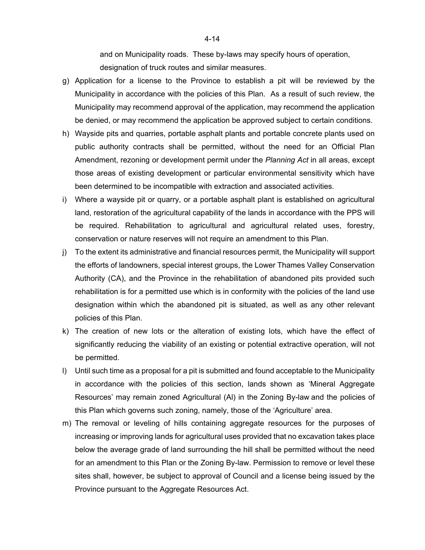and on Municipality roads. These by-laws may specify hours of operation, designation of truck routes and similar measures.

- g) Application for a license to the Province to establish a pit will be reviewed by the Municipality in accordance with the policies of this Plan. As a result of such review, the Municipality may recommend approval of the application, may recommend the application be denied, or may recommend the application be approved subject to certain conditions.
- h) Wayside pits and quarries, portable asphalt plants and portable concrete plants used on public authority contracts shall be permitted, without the need for an Official Plan Amendment, rezoning or development permit under the *Planning Act* in all areas, except those areas of existing development or particular environmental sensitivity which have been determined to be incompatible with extraction and associated activities.
- i) Where a wayside pit or quarry, or a portable asphalt plant is established on agricultural land, restoration of the agricultural capability of the lands in accordance with the PPS will be required. Rehabilitation to agricultural and agricultural related uses, forestry, conservation or nature reserves will not require an amendment to this Plan.
- j) To the extent its administrative and financial resources permit, the Municipality will support the efforts of landowners, special interest groups, the Lower Thames Valley Conservation Authority (CA), and the Province in the rehabilitation of abandoned pits provided such rehabilitation is for a permitted use which is in conformity with the policies of the land use designation within which the abandoned pit is situated, as well as any other relevant policies of this Plan.
- k) The creation of new lots or the alteration of existing lots, which have the effect of significantly reducing the viability of an existing or potential extractive operation, will not be permitted.
- l) Until such time as a proposal for a pit is submitted and found acceptable to the Municipality in accordance with the policies of this section, lands shown as 'Mineral Aggregate Resources' may remain zoned Agricultural (Al) in the Zoning By-law and the policies of this Plan which governs such zoning, namely, those of the 'Agriculture' area.
- m) The removal or leveling of hills containing aggregate resources for the purposes of increasing or improving lands for agricultural uses provided that no excavation takes place below the average grade of land surrounding the hill shall be permitted without the need for an amendment to this Plan or the Zoning By-law. Permission to remove or level these sites shall, however, be subject to approval of Council and a license being issued by the Province pursuant to the Aggregate Resources Act.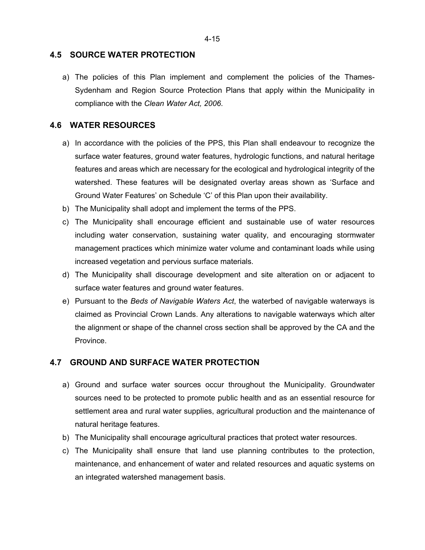### **4.5 SOURCE WATER PROTECTION**

a) The policies of this Plan implement and complement the policies of the Thames-Sydenham and Region Source Protection Plans that apply within the Municipality in compliance with the *Clean Water Act, 2006*.

## **4.6 WATER RESOURCES**

- a) In accordance with the policies of the PPS, this Plan shall endeavour to recognize the surface water features, ground water features, hydrologic functions, and natural heritage features and areas which are necessary for the ecological and hydrological integrity of the watershed. These features will be designated overlay areas shown as 'Surface and Ground Water Features' on Schedule 'C' of this Plan upon their availability.
- b) The Municipality shall adopt and implement the terms of the PPS.
- c) The Municipality shall encourage efficient and sustainable use of water resources including water conservation, sustaining water quality, and encouraging stormwater management practices which minimize water volume and contaminant loads while using increased vegetation and pervious surface materials.
- d) The Municipality shall discourage development and site alteration on or adjacent to surface water features and ground water features.
- e) Pursuant to the *Beds of Navigable Waters Act*, the waterbed of navigable waterways is claimed as Provincial Crown Lands. Any alterations to navigable waterways which alter the alignment or shape of the channel cross section shall be approved by the CA and the Province.

### **4.7 GROUND AND SURFACE WATER PROTECTION**

- a) Ground and surface water sources occur throughout the Municipality. Groundwater sources need to be protected to promote public health and as an essential resource for settlement area and rural water supplies, agricultural production and the maintenance of natural heritage features.
- b) The Municipality shall encourage agricultural practices that protect water resources.
- c) The Municipality shall ensure that land use planning contributes to the protection, maintenance, and enhancement of water and related resources and aquatic systems on an integrated watershed management basis.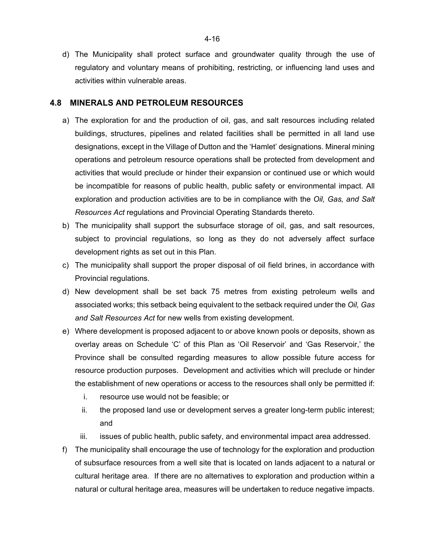d) The Municipality shall protect surface and groundwater quality through the use of regulatory and voluntary means of prohibiting, restricting, or influencing land uses and activities within vulnerable areas.

### **4.8 MINERALS AND PETROLEUM RESOURCES**

- a) The exploration for and the production of oil, gas, and salt resources including related buildings, structures, pipelines and related facilities shall be permitted in all land use designations, except in the Village of Dutton and the 'Hamlet' designations. Mineral mining operations and petroleum resource operations shall be protected from development and activities that would preclude or hinder their expansion or continued use or which would be incompatible for reasons of public health, public safety or environmental impact. All exploration and production activities are to be in compliance with the *Oil, Gas, and Salt Resources Act* regulations and Provincial Operating Standards thereto.
- b) The municipality shall support the subsurface storage of oil, gas, and salt resources, subject to provincial regulations, so long as they do not adversely affect surface development rights as set out in this Plan.
- c) The municipality shall support the proper disposal of oil field brines, in accordance with Provincial regulations.
- d) New development shall be set back 75 metres from existing petroleum wells and associated works; this setback being equivalent to the setback required under the *Oil, Gas and Salt Resources Act* for new wells from existing development.
- e) Where development is proposed adjacent to or above known pools or deposits, shown as overlay areas on Schedule 'C' of this Plan as 'Oil Reservoir' and 'Gas Reservoir,' the Province shall be consulted regarding measures to allow possible future access for resource production purposes. Development and activities which will preclude or hinder the establishment of new operations or access to the resources shall only be permitted if:
	- i. resource use would not be feasible; or
	- ii. the proposed land use or development serves a greater long-term public interest; and
	- iii. issues of public health, public safety, and environmental impact area addressed.
- f) The municipality shall encourage the use of technology for the exploration and production of subsurface resources from a well site that is located on lands adjacent to a natural or cultural heritage area. If there are no alternatives to exploration and production within a natural or cultural heritage area, measures will be undertaken to reduce negative impacts.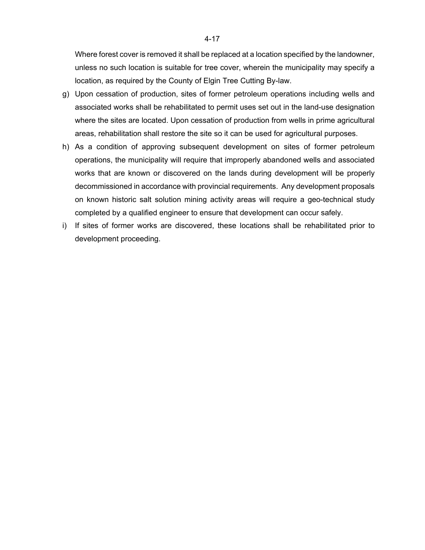Where forest cover is removed it shall be replaced at a location specified by the landowner, unless no such location is suitable for tree cover, wherein the municipality may specify a location, as required by the County of Elgin Tree Cutting By-law.

- g) Upon cessation of production, sites of former petroleum operations including wells and associated works shall be rehabilitated to permit uses set out in the land-use designation where the sites are located. Upon cessation of production from wells in prime agricultural areas, rehabilitation shall restore the site so it can be used for agricultural purposes.
- h) As a condition of approving subsequent development on sites of former petroleum operations, the municipality will require that improperly abandoned wells and associated works that are known or discovered on the lands during development will be properly decommissioned in accordance with provincial requirements. Any development proposals on known historic salt solution mining activity areas will require a geo-technical study completed by a qualified engineer to ensure that development can occur safely.
- i) If sites of former works are discovered, these locations shall be rehabilitated prior to development proceeding.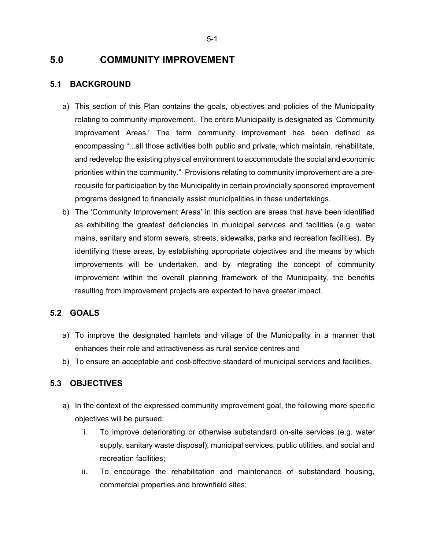# **5.0 COMMUNITY IMPROVEMENT**

# **5.1 BACKGROUND**

- a) This section of this Plan contains the goals, objectives and policies of the Municipality relating to community improvement. The entire Municipality is designated as 'Community Improvement Areas.' The term community improvement has been defined as encompassing "...all those activities both public and private, which maintain, rehabilitate, and redevelop the existing physical environment to accommodate the social and economic priorities within the community." Provisions relating to community improvement are a prerequisite for participation by the Municipality in certain provincially sponsored improvement programs designed to financially assist municipalities in these undertakings.
- b) The 'Community Improvement Areas' in this section are areas that have been identified as exhibiting the greatest deficiencies in municipal services and facilities (e.g. water mains, sanitary and storm sewers, streets, sidewalks, parks and recreation facilities). By identifying these areas, by establishing appropriate objectives and the means by which improvements will be undertaken, and by integrating the concept of community improvement within the overall planning framework of the Municipality, the benefits resulting from improvement projects are expected to have greater impact.

# **5.2 GOALS**

- a) To improve the designated hamlets and village of the Municipality in a manner that enhances their role and attractiveness as rural service centres and
- b) To ensure an acceptable and cost-effective standard of municipal services and facilities.

# **5.3 OBJECTIVES**

- a) In the context of the expressed community improvement goal, the following more specific objectives will be pursued:
	- i. To improve deteriorating or otherwise substandard on-site services (e.g. water supply, sanitary waste disposal), municipal services, public utilities, and social and recreation facilities;
	- ii. To encourage the rehabilitation and maintenance of substandard housing, commercial properties and brownfield sites;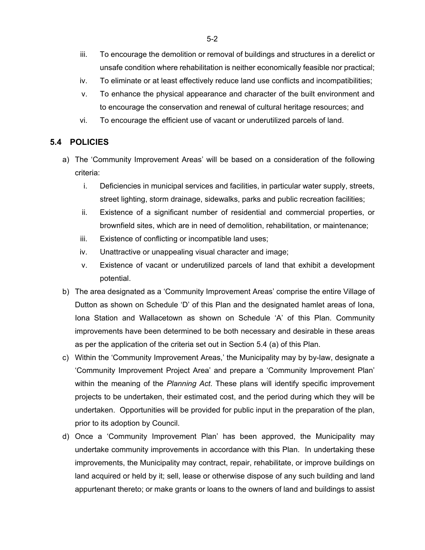- iii. To encourage the demolition or removal of buildings and structures in a derelict or unsafe condition where rehabilitation is neither economically feasible nor practical;
- iv. To eliminate or at least effectively reduce land use conflicts and incompatibilities;
- v. To enhance the physical appearance and character of the built environment and to encourage the conservation and renewal of cultural heritage resources; and
- vi. To encourage the efficient use of vacant or underutilized parcels of land.

# **5.4 POLICIES**

- a) The 'Community Improvement Areas' will be based on a consideration of the following criteria:
	- i. Deficiencies in municipal services and facilities, in particular water supply, streets, street lighting, storm drainage, sidewalks, parks and public recreation facilities;
	- ii. Existence of a significant number of residential and commercial properties, or brownfield sites, which are in need of demolition, rehabilitation, or maintenance;
	- iii. Existence of conflicting or incompatible land uses;
	- iv. Unattractive or unappealing visual character and image;
	- v. Existence of vacant or underutilized parcels of land that exhibit a development potential.
- b) The area designated as a 'Community Improvement Areas' comprise the entire Village of Dutton as shown on Schedule 'D' of this Plan and the designated hamlet areas of Iona, Iona Station and Wallacetown as shown on Schedule 'A' of this Plan. Community improvements have been determined to be both necessary and desirable in these areas as per the application of the criteria set out in Section 5.4 (a) of this Plan.
- c) Within the 'Community Improvement Areas,' the Municipality may by by-law, designate a 'Community Improvement Project Area' and prepare a 'Community Improvement Plan' within the meaning of the *Planning Act*. These plans will identify specific improvement projects to be undertaken, their estimated cost, and the period during which they will be undertaken. Opportunities will be provided for public input in the preparation of the plan, prior to its adoption by Council.
- d) Once a 'Community Improvement Plan' has been approved, the Municipality may undertake community improvements in accordance with this Plan. In undertaking these improvements, the Municipality may contract, repair, rehabilitate, or improve buildings on land acquired or held by it; sell, lease or otherwise dispose of any such building and land appurtenant thereto; or make grants or loans to the owners of land and buildings to assist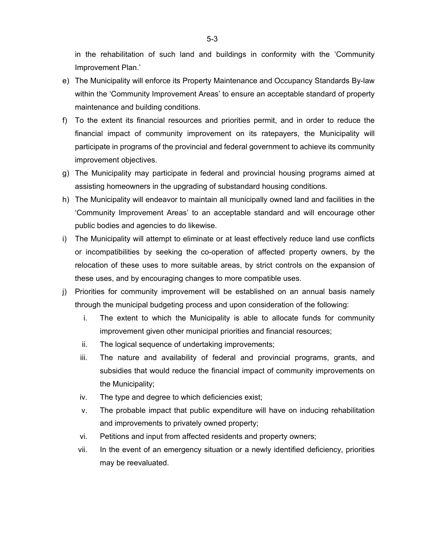in the rehabilitation of such land and buildings in conformity with the 'Community Improvement Plan.'

- e) The Municipality will enforce its Property Maintenance and Occupancy Standards By-law within the 'Community Improvement Areas' to ensure an acceptable standard of property maintenance and building conditions.
- f) To the extent its financial resources and priorities permit, and in order to reduce the financial impact of community improvement on its ratepayers, the Municipality will participate in programs of the provincial and federal government to achieve its community improvement objectives.
- g) The Municipality may participate in federal and provincial housing programs aimed at assisting homeowners in the upgrading of substandard housing conditions.
- h) The Municipality will endeavor to maintain all municipally owned land and facilities in the 'Community Improvement Areas' to an acceptable standard and will encourage other public bodies and agencies to do likewise.
- i) The Municipality will attempt to eliminate or at least effectively reduce land use conflicts or incompatibilities by seeking the co-operation of affected property owners, by the relocation of these uses to more suitable areas, by strict controls on the expansion of these uses, and by encouraging changes to more compatible uses.
- j) Priorities for community improvement will be established on an annual basis namely through the municipal budgeting process and upon consideration of the following:
	- i. The extent to which the Municipality is able to allocate funds for community improvement given other municipal priorities and financial resources;
	- ii. The logical sequence of undertaking improvements;
	- iii. The nature and availability of federal and provincial programs, grants, and subsidies that would reduce the financial impact of community improvements on the Municipality;
	- iv. The type and degree to which deficiencies exist;
	- v. The probable impact that public expenditure will have on inducing rehabilitation and improvements to privately owned property;
	- vi. Petitions and input from affected residents and property owners;
	- vii. In the event of an emergency situation or a newly identified deficiency, priorities may be reevaluated.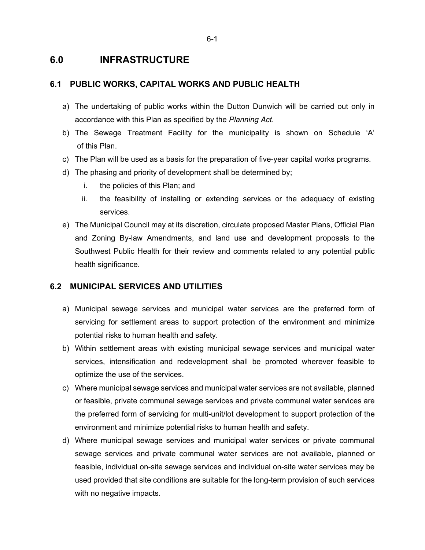# **6.0 INFRASTRUCTURE**

# **6.1 PUBLIC WORKS, CAPITAL WORKS AND PUBLIC HEALTH**

- a) The undertaking of public works within the Dutton Dunwich will be carried out only in accordance with this Plan as specified by the *Planning Act*.
- b) The Sewage Treatment Facility for the municipality is shown on Schedule 'A' of this Plan.
- c) The Plan will be used as a basis for the preparation of five-year capital works programs.
- d) The phasing and priority of development shall be determined by;
	- i. the policies of this Plan; and
	- ii. the feasibility of installing or extending services or the adequacy of existing services.
- e) The Municipal Council may at its discretion, circulate proposed Master Plans, Official Plan and Zoning By-law Amendments, and land use and development proposals to the Southwest Public Health for their review and comments related to any potential public health significance.

# **6.2 MUNICIPAL SERVICES AND UTILITIES**

- a) Municipal sewage services and municipal water services are the preferred form of servicing for settlement areas to support protection of the environment and minimize potential risks to human health and safety.
- b) Within settlement areas with existing municipal sewage services and municipal water services, intensification and redevelopment shall be promoted wherever feasible to optimize the use of the services.
- c) Where municipal sewage services and municipal water services are not available, planned or feasible, private communal sewage services and private communal water services are the preferred form of servicing for multi-unit/lot development to support protection of the environment and minimize potential risks to human health and safety.
- d) Where municipal sewage services and municipal water services or private communal sewage services and private communal water services are not available, planned or feasible, individual on-site sewage services and individual on-site water services may be used provided that site conditions are suitable for the long-term provision of such services with no negative impacts.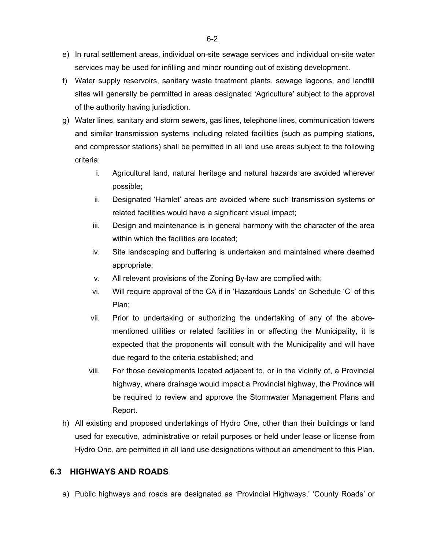- e) In rural settlement areas, individual on-site sewage services and individual on-site water services may be used for infilling and minor rounding out of existing development.
- f) Water supply reservoirs, sanitary waste treatment plants, sewage lagoons, and landfill sites will generally be permitted in areas designated 'Agriculture' subject to the approval of the authority having jurisdiction.
- g) Water lines, sanitary and storm sewers, gas lines, telephone lines, communication towers and similar transmission systems including related facilities (such as pumping stations, and compressor stations) shall be permitted in all land use areas subject to the following criteria:
	- i. Agricultural land, natural heritage and natural hazards are avoided wherever possible;
	- ii. Designated 'Hamlet' areas are avoided where such transmission systems or related facilities would have a significant visual impact;
	- iii. Design and maintenance is in general harmony with the character of the area within which the facilities are located;
	- iv. Site landscaping and buffering is undertaken and maintained where deemed appropriate;
	- v. All relevant provisions of the Zoning By-law are complied with;
	- vi. Will require approval of the CA if in 'Hazardous Lands' on Schedule 'C' of this Plan;
	- vii. Prior to undertaking or authorizing the undertaking of any of the abovementioned utilities or related facilities in or affecting the Municipality, it is expected that the proponents will consult with the Municipality and will have due regard to the criteria established; and
	- viii. For those developments located adjacent to, or in the vicinity of, a Provincial highway, where drainage would impact a Provincial highway, the Province will be required to review and approve the Stormwater Management Plans and Report.
- h) All existing and proposed undertakings of Hydro One, other than their buildings or land used for executive, administrative or retail purposes or held under lease or license from Hydro One, are permitted in all land use designations without an amendment to this Plan.

# **6.3 HIGHWAYS AND ROADS**

a) Public highways and roads are designated as 'Provincial Highways,' 'County Roads' or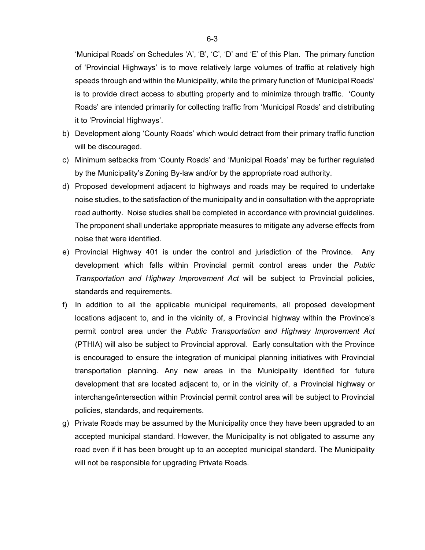'Municipal Roads' on Schedules 'A', 'B', 'C', 'D' and 'E' of this Plan. The primary function of 'Provincial Highways' is to move relatively large volumes of traffic at relatively high speeds through and within the Municipality, while the primary function of 'Municipal Roads' is to provide direct access to abutting property and to minimize through traffic. 'County Roads' are intended primarily for collecting traffic from 'Municipal Roads' and distributing it to 'Provincial Highways'.

- b) Development along 'County Roads' which would detract from their primary traffic function will be discouraged.
- c) Minimum setbacks from 'County Roads' and 'Municipal Roads' may be further regulated by the Municipality's Zoning By-law and/or by the appropriate road authority.
- d) Proposed development adjacent to highways and roads may be required to undertake noise studies, to the satisfaction of the municipality and in consultation with the appropriate road authority. Noise studies shall be completed in accordance with provincial guidelines. The proponent shall undertake appropriate measures to mitigate any adverse effects from noise that were identified.
- e) Provincial Highway 401 is under the control and jurisdiction of the Province. Any development which falls within Provincial permit control areas under the *Public Transportation and Highway Improvement Act* will be subject to Provincial policies, standards and requirements.
- f) In addition to all the applicable municipal requirements, all proposed development locations adjacent to, and in the vicinity of, a Provincial highway within the Province's permit control area under the *Public Transportation and Highway Improvement Act* (PTHIA) will also be subject to Provincial approval. Early consultation with the Province is encouraged to ensure the integration of municipal planning initiatives with Provincial transportation planning. Any new areas in the Municipality identified for future development that are located adjacent to, or in the vicinity of, a Provincial highway or interchange/intersection within Provincial permit control area will be subject to Provincial policies, standards, and requirements.
- g) Private Roads may be assumed by the Municipality once they have been upgraded to an accepted municipal standard. However, the Municipality is not obligated to assume any road even if it has been brought up to an accepted municipal standard. The Municipality will not be responsible for upgrading Private Roads.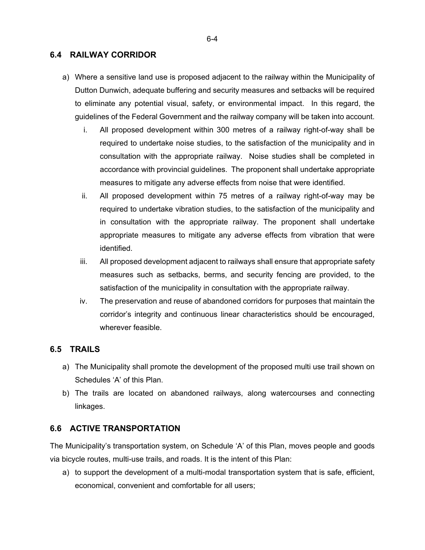## **6.4 RAILWAY CORRIDOR**

- a) Where a sensitive land use is proposed adjacent to the railway within the Municipality of Dutton Dunwich, adequate buffering and security measures and setbacks will be required to eliminate any potential visual, safety, or environmental impact. In this regard, the guidelines of the Federal Government and the railway company will be taken into account.
	- i. All proposed development within 300 metres of a railway right-of-way shall be required to undertake noise studies, to the satisfaction of the municipality and in consultation with the appropriate railway. Noise studies shall be completed in accordance with provincial guidelines. The proponent shall undertake appropriate measures to mitigate any adverse effects from noise that were identified.
	- ii. All proposed development within 75 metres of a railway right-of-way may be required to undertake vibration studies, to the satisfaction of the municipality and in consultation with the appropriate railway. The proponent shall undertake appropriate measures to mitigate any adverse effects from vibration that were identified.
	- iii. All proposed development adjacent to railways shall ensure that appropriate safety measures such as setbacks, berms, and security fencing are provided, to the satisfaction of the municipality in consultation with the appropriate railway.
	- iv. The preservation and reuse of abandoned corridors for purposes that maintain the corridor's integrity and continuous linear characteristics should be encouraged, wherever feasible.

# **6.5 TRAILS**

- a) The Municipality shall promote the development of the proposed multi use trail shown on Schedules 'A' of this Plan.
- b) The trails are located on abandoned railways, along watercourses and connecting linkages.

# **6.6 ACTIVE TRANSPORTATION**

The Municipality's transportation system, on Schedule 'A' of this Plan, moves people and goods via bicycle routes, multi-use trails, and roads. It is the intent of this Plan:

a) to support the development of a multi-modal transportation system that is safe, efficient, economical, convenient and comfortable for all users;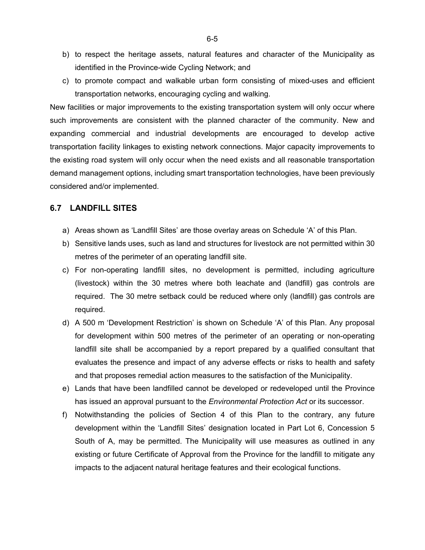- b) to respect the heritage assets, natural features and character of the Municipality as identified in the Province-wide Cycling Network; and
- c) to promote compact and walkable urban form consisting of mixed-uses and efficient transportation networks, encouraging cycling and walking.

New facilities or major improvements to the existing transportation system will only occur where such improvements are consistent with the planned character of the community. New and expanding commercial and industrial developments are encouraged to develop active transportation facility linkages to existing network connections. Major capacity improvements to the existing road system will only occur when the need exists and all reasonable transportation demand management options, including smart transportation technologies, have been previously considered and/or implemented.

## **6.7 LANDFILL SITES**

- a) Areas shown as 'Landfill Sites' are those overlay areas on Schedule 'A' of this Plan.
- b) Sensitive lands uses, such as land and structures for livestock are not permitted within 30 metres of the perimeter of an operating landfill site.
- c) For non-operating landfill sites, no development is permitted, including agriculture (livestock) within the 30 metres where both leachate and (landfill) gas controls are required. The 30 metre setback could be reduced where only (landfill) gas controls are required.
- d) A 500 m 'Development Restriction' is shown on Schedule 'A' of this Plan. Any proposal for development within 500 metres of the perimeter of an operating or non-operating landfill site shall be accompanied by a report prepared by a qualified consultant that evaluates the presence and impact of any adverse effects or risks to health and safety and that proposes remedial action measures to the satisfaction of the Municipality.
- e) Lands that have been landfilled cannot be developed or redeveloped until the Province has issued an approval pursuant to the *Environmental Protection Act* or its successor.
- f) Notwithstanding the policies of Section 4 of this Plan to the contrary, any future development within the 'Landfill Sites' designation located in Part Lot 6, Concession 5 South of A, may be permitted. The Municipality will use measures as outlined in any existing or future Certificate of Approval from the Province for the landfill to mitigate any impacts to the adjacent natural heritage features and their ecological functions.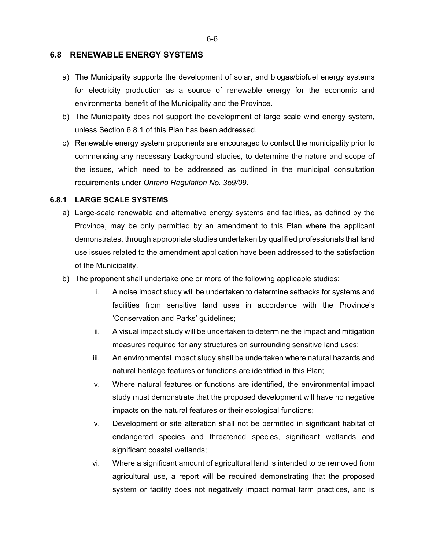### **6.8 RENEWABLE ENERGY SYSTEMS**

- a) The Municipality supports the development of solar, and biogas/biofuel energy systems for electricity production as a source of renewable energy for the economic and environmental benefit of the Municipality and the Province.
- b) The Municipality does not support the development of large scale wind energy system, unless Section 6.8.1 of this Plan has been addressed.
- c) Renewable energy system proponents are encouraged to contact the municipality prior to commencing any necessary background studies, to determine the nature and scope of the issues, which need to be addressed as outlined in the municipal consultation requirements under *Ontario Regulation No. 359/09*.

#### **6.8.1 LARGE SCALE SYSTEMS**

- a) Large-scale renewable and alternative energy systems and facilities, as defined by the Province, may be only permitted by an amendment to this Plan where the applicant demonstrates, through appropriate studies undertaken by qualified professionals that land use issues related to the amendment application have been addressed to the satisfaction of the Municipality.
- b) The proponent shall undertake one or more of the following applicable studies:
	- i. A noise impact study will be undertaken to determine setbacks for systems and facilities from sensitive land uses in accordance with the Province's 'Conservation and Parks' guidelines;
	- ii. A visual impact study will be undertaken to determine the impact and mitigation measures required for any structures on surrounding sensitive land uses;
	- iii. An environmental impact study shall be undertaken where natural hazards and natural heritage features or functions are identified in this Plan;
	- iv. Where natural features or functions are identified, the environmental impact study must demonstrate that the proposed development will have no negative impacts on the natural features or their ecological functions;
	- v. Development or site alteration shall not be permitted in significant habitat of endangered species and threatened species, significant wetlands and significant coastal wetlands;
	- vi. Where a significant amount of agricultural land is intended to be removed from agricultural use, a report will be required demonstrating that the proposed system or facility does not negatively impact normal farm practices, and is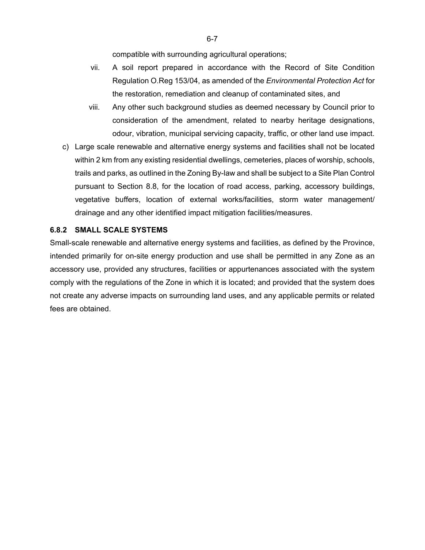compatible with surrounding agricultural operations;

- vii. A soil report prepared in accordance with the Record of Site Condition Regulation O.Reg 153/04, as amended of the *Environmental Protection Act* for the restoration, remediation and cleanup of contaminated sites, and
- viii. Any other such background studies as deemed necessary by Council prior to consideration of the amendment, related to nearby heritage designations, odour, vibration, municipal servicing capacity, traffic, or other land use impact.
- c) Large scale renewable and alternative energy systems and facilities shall not be located within 2 km from any existing residential dwellings, cemeteries, places of worship, schools, trails and parks, as outlined in the Zoning By-law and shall be subject to a Site Plan Control pursuant to Section 8.8, for the location of road access, parking, accessory buildings, vegetative buffers, location of external works/facilities, storm water management/ drainage and any other identified impact mitigation facilities/measures.

### **6.8.2 SMALL SCALE SYSTEMS**

Small-scale renewable and alternative energy systems and facilities, as defined by the Province, intended primarily for on-site energy production and use shall be permitted in any Zone as an accessory use, provided any structures, facilities or appurtenances associated with the system comply with the regulations of the Zone in which it is located; and provided that the system does not create any adverse impacts on surrounding land uses, and any applicable permits or related fees are obtained.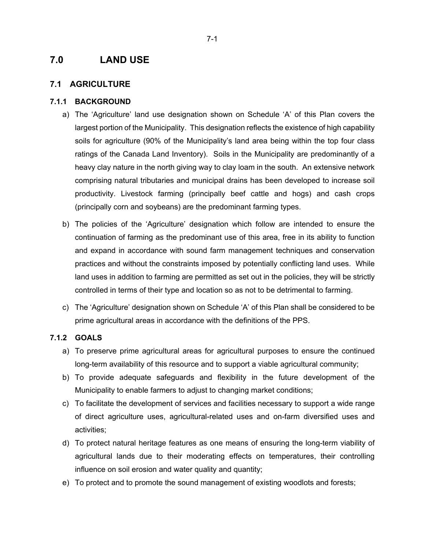# **7.0 LAND USE**

### **7.1 AGRICULTURE**

### **7.1.1 BACKGROUND**

- a) The 'Agriculture' land use designation shown on Schedule 'A' of this Plan covers the largest portion of the Municipality. This designation reflects the existence of high capability soils for agriculture (90% of the Municipality's land area being within the top four class ratings of the Canada Land Inventory). Soils in the Municipality are predominantly of a heavy clay nature in the north giving way to clay loam in the south. An extensive network comprising natural tributaries and municipal drains has been developed to increase soil productivity. Livestock farming (principally beef cattle and hogs) and cash crops (principally corn and soybeans) are the predominant farming types.
- b) The policies of the 'Agriculture' designation which follow are intended to ensure the continuation of farming as the predominant use of this area, free in its ability to function and expand in accordance with sound farm management techniques and conservation practices and without the constraints imposed by potentially conflicting land uses. While land uses in addition to farming are permitted as set out in the policies, they will be strictly controlled in terms of their type and location so as not to be detrimental to farming.
- c) The 'Agriculture' designation shown on Schedule 'A' of this Plan shall be considered to be prime agricultural areas in accordance with the definitions of the PPS.

### **7.1.2 GOALS**

- a) To preserve prime agricultural areas for agricultural purposes to ensure the continued long-term availability of this resource and to support a viable agricultural community;
- b) To provide adequate safeguards and flexibility in the future development of the Municipality to enable farmers to adjust to changing market conditions;
- c) To facilitate the development of services and facilities necessary to support a wide range of direct agriculture uses, agricultural-related uses and on-farm diversified uses and activities;
- d) To protect natural heritage features as one means of ensuring the long-term viability of agricultural lands due to their moderating effects on temperatures, their controlling influence on soil erosion and water quality and quantity;
- e) To protect and to promote the sound management of existing woodlots and forests;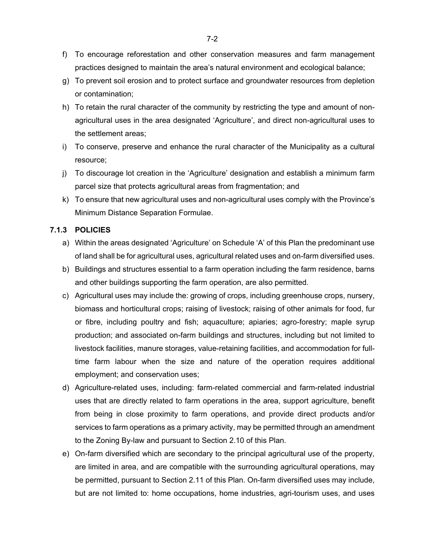- f) To encourage reforestation and other conservation measures and farm management practices designed to maintain the area's natural environment and ecological balance;
- g) To prevent soil erosion and to protect surface and groundwater resources from depletion or contamination;
- h) To retain the rural character of the community by restricting the type and amount of nonagricultural uses in the area designated 'Agriculture', and direct non-agricultural uses to the settlement areas;
- i) To conserve, preserve and enhance the rural character of the Municipality as a cultural resource;
- j) To discourage lot creation in the 'Agriculture' designation and establish a minimum farm parcel size that protects agricultural areas from fragmentation; and
- k) To ensure that new agricultural uses and non-agricultural uses comply with the Province's Minimum Distance Separation Formulae.

### **7.1.3 POLICIES**

- a) Within the areas designated 'Agriculture' on Schedule 'A' of this Plan the predominant use of land shall be for agricultural uses, agricultural related uses and on-farm diversified uses.
- b) Buildings and structures essential to a farm operation including the farm residence, barns and other buildings supporting the farm operation, are also permitted.
- c) Agricultural uses may include the: growing of crops, including greenhouse crops, nursery, biomass and horticultural crops; raising of livestock; raising of other animals for food, fur or fibre, including poultry and fish; aquaculture; apiaries; agro-forestry; maple syrup production; and associated on-farm buildings and structures, including but not limited to livestock facilities, manure storages, value-retaining facilities, and accommodation for fulltime farm labour when the size and nature of the operation requires additional employment; and conservation uses;
- d) Agriculture-related uses, including: farm-related commercial and farm-related industrial uses that are directly related to farm operations in the area, support agriculture, benefit from being in close proximity to farm operations, and provide direct products and/or services to farm operations as a primary activity, may be permitted through an amendment to the Zoning By-law and pursuant to Section 2.10 of this Plan.
- e) On-farm diversified which are secondary to the principal agricultural use of the property, are limited in area, and are compatible with the surrounding agricultural operations, may be permitted, pursuant to Section 2.11 of this Plan. On-farm diversified uses may include, but are not limited to: home occupations, home industries, agri-tourism uses, and uses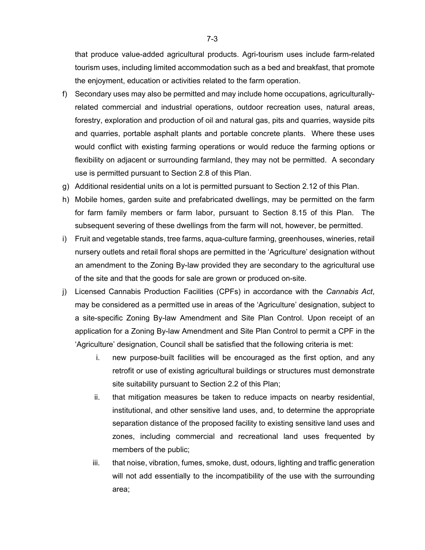that produce value-added agricultural products. Agri-tourism uses include farm-related tourism uses, including limited accommodation such as a bed and breakfast, that promote the enjoyment, education or activities related to the farm operation.

- f) Secondary uses may also be permitted and may include home occupations, agriculturallyrelated commercial and industrial operations, outdoor recreation uses, natural areas, forestry, exploration and production of oil and natural gas, pits and quarries, wayside pits and quarries, portable asphalt plants and portable concrete plants. Where these uses would conflict with existing farming operations or would reduce the farming options or flexibility on adjacent or surrounding farmland, they may not be permitted. A secondary use is permitted pursuant to Section 2.8 of this Plan.
- g) Additional residential units on a lot is permitted pursuant to Section 2.12 of this Plan.
- h) Mobile homes, garden suite and prefabricated dwellings, may be permitted on the farm for farm family members or farm labor, pursuant to Section 8.15 of this Plan. The subsequent severing of these dwellings from the farm will not, however, be permitted.
- i) Fruit and vegetable stands, tree farms, aqua-culture farming, greenhouses, wineries, retail nursery outlets and retail floral shops are permitted in the 'Agriculture' designation without an amendment to the Zoning By-law provided they are secondary to the agricultural use of the site and that the goods for sale are grown or produced on-site.
- j) Licensed Cannabis Production Facilities (CPFs) in accordance with the *Cannabis Act*, may be considered as a permitted use in areas of the 'Agriculture' designation, subject to a site-specific Zoning By-law Amendment and Site Plan Control. Upon receipt of an application for a Zoning By-law Amendment and Site Plan Control to permit a CPF in the 'Agriculture' designation, Council shall be satisfied that the following criteria is met:
	- i. new purpose-built facilities will be encouraged as the first option, and any retrofit or use of existing agricultural buildings or structures must demonstrate site suitability pursuant to Section 2.2 of this Plan;
	- ii. that mitigation measures be taken to reduce impacts on nearby residential, institutional, and other sensitive land uses, and, to determine the appropriate separation distance of the proposed facility to existing sensitive land uses and zones, including commercial and recreational land uses frequented by members of the public;
	- iii. that noise, vibration, fumes, smoke, dust, odours, lighting and traffic generation will not add essentially to the incompatibility of the use with the surrounding area;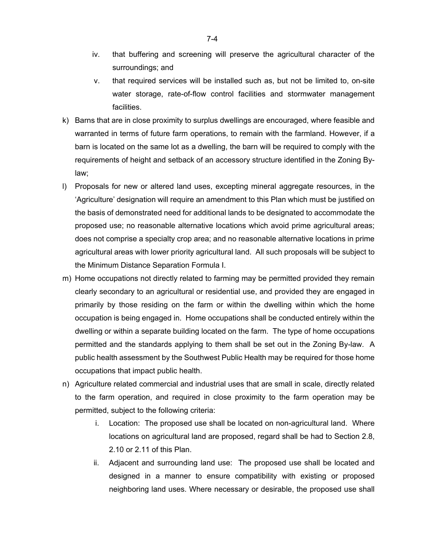- iv. that buffering and screening will preserve the agricultural character of the surroundings; and
- v. that required services will be installed such as, but not be limited to, on-site water storage, rate-of-flow control facilities and stormwater management facilities.
- k) Barns that are in close proximity to surplus dwellings are encouraged, where feasible and warranted in terms of future farm operations, to remain with the farmland. However, if a barn is located on the same lot as a dwelling, the barn will be required to comply with the requirements of height and setback of an accessory structure identified in the Zoning Bylaw;
- l) Proposals for new or altered land uses, excepting mineral aggregate resources, in the 'Agriculture' designation will require an amendment to this Plan which must be justified on the basis of demonstrated need for additional lands to be designated to accommodate the proposed use; no reasonable alternative locations which avoid prime agricultural areas; does not comprise a specialty crop area; and no reasonable alternative locations in prime agricultural areas with lower priority agricultural land. All such proposals will be subject to the Minimum Distance Separation Formula I.
- m) Home occupations not directly related to farming may be permitted provided they remain clearly secondary to an agricultural or residential use, and provided they are engaged in primarily by those residing on the farm or within the dwelling within which the home occupation is being engaged in. Home occupations shall be conducted entirely within the dwelling or within a separate building located on the farm. The type of home occupations permitted and the standards applying to them shall be set out in the Zoning By-law. A public health assessment by the Southwest Public Health may be required for those home occupations that impact public health.
- n) Agriculture related commercial and industrial uses that are small in scale, directly related to the farm operation, and required in close proximity to the farm operation may be permitted, subject to the following criteria:
	- i. Location: The proposed use shall be located on non-agricultural land. Where locations on agricultural land are proposed, regard shall be had to Section 2.8, 2.10 or 2.11 of this Plan.
	- ii. Adjacent and surrounding land use: The proposed use shall be located and designed in a manner to ensure compatibility with existing or proposed neighboring land uses. Where necessary or desirable, the proposed use shall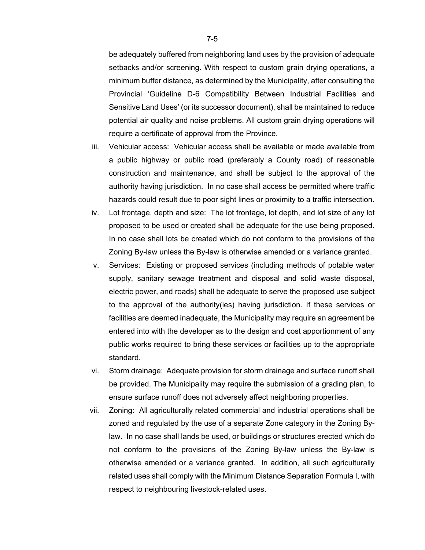be adequately buffered from neighboring land uses by the provision of adequate setbacks and/or screening. With respect to custom grain drying operations, a minimum buffer distance, as determined by the Municipality, after consulting the Provincial 'Guideline D-6 Compatibility Between Industrial Facilities and Sensitive Land Uses' (or its successor document), shall be maintained to reduce potential air quality and noise problems. All custom grain drying operations will require a certificate of approval from the Province.

- iii. Vehicular access: Vehicular access shall be available or made available from a public highway or public road (preferably a County road) of reasonable construction and maintenance, and shall be subject to the approval of the authority having jurisdiction. In no case shall access be permitted where traffic hazards could result due to poor sight lines or proximity to a traffic intersection.
- iv. Lot frontage, depth and size: The lot frontage, lot depth, and lot size of any lot proposed to be used or created shall be adequate for the use being proposed. In no case shall lots be created which do not conform to the provisions of the Zoning By-law unless the By-law is otherwise amended or a variance granted.
- v. Services: Existing or proposed services (including methods of potable water supply, sanitary sewage treatment and disposal and solid waste disposal, electric power, and roads) shall be adequate to serve the proposed use subject to the approval of the authority(ies) having jurisdiction. If these services or facilities are deemed inadequate, the Municipality may require an agreement be entered into with the developer as to the design and cost apportionment of any public works required to bring these services or facilities up to the appropriate standard.
- vi. Storm drainage: Adequate provision for storm drainage and surface runoff shall be provided. The Municipality may require the submission of a grading plan, to ensure surface runoff does not adversely affect neighboring properties.
- vii. Zoning: All agriculturally related commercial and industrial operations shall be zoned and regulated by the use of a separate Zone category in the Zoning Bylaw. In no case shall lands be used, or buildings or structures erected which do not conform to the provisions of the Zoning By-law unless the By-law is otherwise amended or a variance granted. In addition, all such agriculturally related uses shall comply with the Minimum Distance Separation Formula I, with respect to neighbouring livestock-related uses.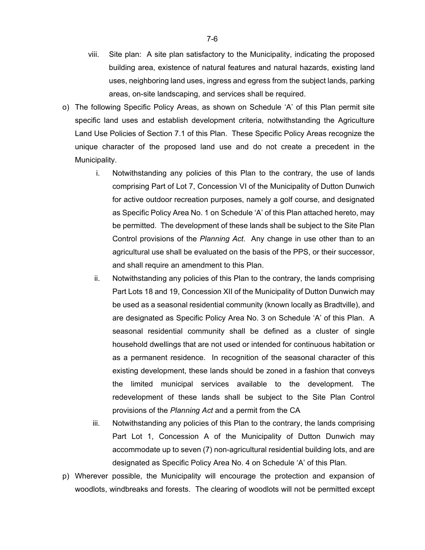- viii. Site plan: A site plan satisfactory to the Municipality, indicating the proposed building area, existence of natural features and natural hazards, existing land uses, neighboring land uses, ingress and egress from the subject lands, parking areas, on-site landscaping, and services shall be required.
- o) The following Specific Policy Areas, as shown on Schedule 'A' of this Plan permit site specific land uses and establish development criteria, notwithstanding the Agriculture Land Use Policies of Section 7.1 of this Plan. These Specific Policy Areas recognize the unique character of the proposed land use and do not create a precedent in the Municipality.
	- i. Notwithstanding any policies of this Plan to the contrary, the use of lands comprising Part of Lot 7, Concession VI of the Municipality of Dutton Dunwich for active outdoor recreation purposes, namely a golf course, and designated as Specific Policy Area No. 1 on Schedule 'A' of this Plan attached hereto, may be permitted. The development of these lands shall be subject to the Site Plan Control provisions of the *Planning Act*. Any change in use other than to an agricultural use shall be evaluated on the basis of the PPS, or their successor, and shall require an amendment to this Plan.
	- ii. Notwithstanding any policies of this Plan to the contrary, the lands comprising Part Lots 18 and 19, Concession XII of the Municipality of Dutton Dunwich may be used as a seasonal residential community (known locally as Bradtville), and are designated as Specific Policy Area No. 3 on Schedule 'A' of this Plan. A seasonal residential community shall be defined as a cluster of single household dwellings that are not used or intended for continuous habitation or as a permanent residence. In recognition of the seasonal character of this existing development, these lands should be zoned in a fashion that conveys the limited municipal services available to the development. The redevelopment of these lands shall be subject to the Site Plan Control provisions of the *Planning Act* and a permit from the CA
	- iii. Notwithstanding any policies of this Plan to the contrary, the lands comprising Part Lot 1, Concession A of the Municipality of Dutton Dunwich may accommodate up to seven (7) non-agricultural residential building lots, and are designated as Specific Policy Area No. 4 on Schedule 'A' of this Plan.
- p) Wherever possible, the Municipality will encourage the protection and expansion of woodlots, windbreaks and forests. The clearing of woodlots will not be permitted except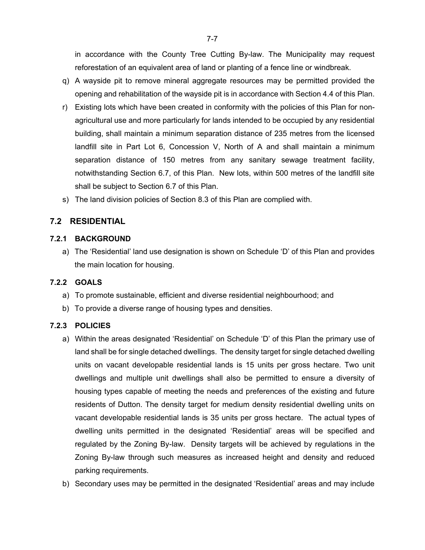in accordance with the County Tree Cutting By-law. The Municipality may request reforestation of an equivalent area of land or planting of a fence line or windbreak.

- q) A wayside pit to remove mineral aggregate resources may be permitted provided the opening and rehabilitation of the wayside pit is in accordance with Section 4.4 of this Plan.
- r) Existing lots which have been created in conformity with the policies of this Plan for nonagricultural use and more particularly for lands intended to be occupied by any residential building, shall maintain a minimum separation distance of 235 metres from the licensed landfill site in Part Lot 6, Concession V, North of A and shall maintain a minimum separation distance of 150 metres from any sanitary sewage treatment facility, notwithstanding Section 6.7, of this Plan. New lots, within 500 metres of the landfill site shall be subject to Section 6.7 of this Plan.
- s) The land division policies of Section 8.3 of this Plan are complied with.

# **7.2 RESIDENTIAL**

### **7.2.1 BACKGROUND**

a) The 'Residential' land use designation is shown on Schedule 'D' of this Plan and provides the main location for housing.

### **7.2.2 GOALS**

- a) To promote sustainable, efficient and diverse residential neighbourhood; and
- b) To provide a diverse range of housing types and densities.

### **7.2.3 POLICIES**

- a) Within the areas designated 'Residential' on Schedule 'D' of this Plan the primary use of land shall be for single detached dwellings. The density target for single detached dwelling units on vacant developable residential lands is 15 units per gross hectare. Two unit dwellings and multiple unit dwellings shall also be permitted to ensure a diversity of housing types capable of meeting the needs and preferences of the existing and future residents of Dutton. The density target for medium density residential dwelling units on vacant developable residential lands is 35 units per gross hectare. The actual types of dwelling units permitted in the designated 'Residential' areas will be specified and regulated by the Zoning By-law. Density targets will be achieved by regulations in the Zoning By-law through such measures as increased height and density and reduced parking requirements.
- b) Secondary uses may be permitted in the designated 'Residential' areas and may include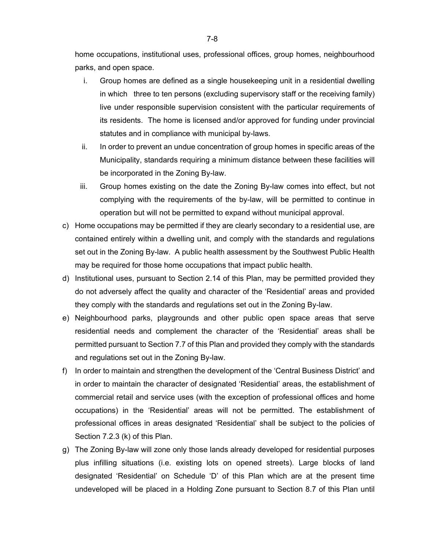home occupations, institutional uses, professional offices, group homes, neighbourhood parks, and open space.

- i. Group homes are defined as a single housekeeping unit in a residential dwelling in which three to ten persons (excluding supervisory staff or the receiving family) live under responsible supervision consistent with the particular requirements of its residents. The home is licensed and/or approved for funding under provincial statutes and in compliance with municipal by-laws.
- ii. In order to prevent an undue concentration of group homes in specific areas of the Municipality, standards requiring a minimum distance between these facilities will be incorporated in the Zoning By-law.
- iii. Group homes existing on the date the Zoning By-law comes into effect, but not complying with the requirements of the by-law, will be permitted to continue in operation but will not be permitted to expand without municipal approval.
- c) Home occupations may be permitted if they are clearly secondary to a residential use, are contained entirely within a dwelling unit, and comply with the standards and regulations set out in the Zoning By-law. A public health assessment by the Southwest Public Health may be required for those home occupations that impact public health.
- d) Institutional uses, pursuant to Section 2.14 of this Plan, may be permitted provided they do not adversely affect the quality and character of the 'Residential' areas and provided they comply with the standards and regulations set out in the Zoning By-law.
- e) Neighbourhood parks, playgrounds and other public open space areas that serve residential needs and complement the character of the 'Residential' areas shall be permitted pursuant to Section 7.7 of this Plan and provided they comply with the standards and regulations set out in the Zoning By-law.
- f) In order to maintain and strengthen the development of the 'Central Business District' and in order to maintain the character of designated 'Residential' areas, the establishment of commercial retail and service uses (with the exception of professional offices and home occupations) in the 'Residential' areas will not be permitted. The establishment of professional offices in areas designated 'Residential' shall be subject to the policies of Section 7.2.3 (k) of this Plan.
- g) The Zoning By-law will zone only those lands already developed for residential purposes plus infilling situations (i.e. existing lots on opened streets). Large blocks of land designated 'Residential' on Schedule 'D' of this Plan which are at the present time undeveloped will be placed in a Holding Zone pursuant to Section 8.7 of this Plan until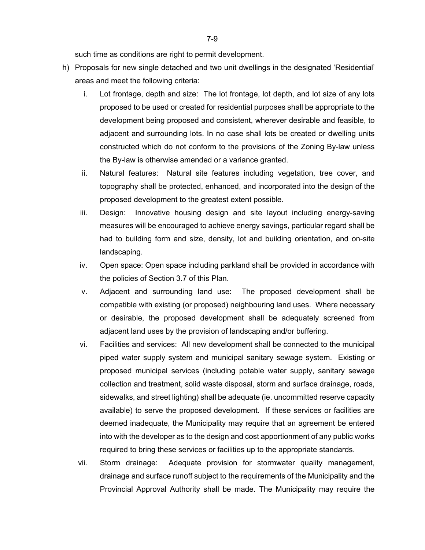such time as conditions are right to permit development.

- h) Proposals for new single detached and two unit dwellings in the designated 'Residential' areas and meet the following criteria:
	- i. Lot frontage, depth and size: The lot frontage, lot depth, and lot size of any lots proposed to be used or created for residential purposes shall be appropriate to the development being proposed and consistent, wherever desirable and feasible, to adjacent and surrounding lots. In no case shall lots be created or dwelling units constructed which do not conform to the provisions of the Zoning By-law unless the By-law is otherwise amended or a variance granted.
	- ii. Natural features: Natural site features including vegetation, tree cover, and topography shall be protected, enhanced, and incorporated into the design of the proposed development to the greatest extent possible.
	- iii. Design: Innovative housing design and site layout including energy-saving measures will be encouraged to achieve energy savings, particular regard shall be had to building form and size, density, lot and building orientation, and on-site landscaping.
	- iv. Open space: Open space including parkland shall be provided in accordance with the policies of Section 3.7 of this Plan.
	- v. Adjacent and surrounding land use: The proposed development shall be compatible with existing (or proposed) neighbouring land uses. Where necessary or desirable, the proposed development shall be adequately screened from adjacent land uses by the provision of landscaping and/or buffering.
	- vi. Facilities and services: All new development shall be connected to the municipal piped water supply system and municipal sanitary sewage system. Existing or proposed municipal services (including potable water supply, sanitary sewage collection and treatment, solid waste disposal, storm and surface drainage, roads, sidewalks, and street lighting) shall be adequate (ie. uncommitted reserve capacity available) to serve the proposed development. If these services or facilities are deemed inadequate, the Municipality may require that an agreement be entered into with the developer as to the design and cost apportionment of any public works required to bring these services or facilities up to the appropriate standards.
	- vii. Storm drainage: Adequate provision for stormwater quality management, drainage and surface runoff subject to the requirements of the Municipality and the Provincial Approval Authority shall be made. The Municipality may require the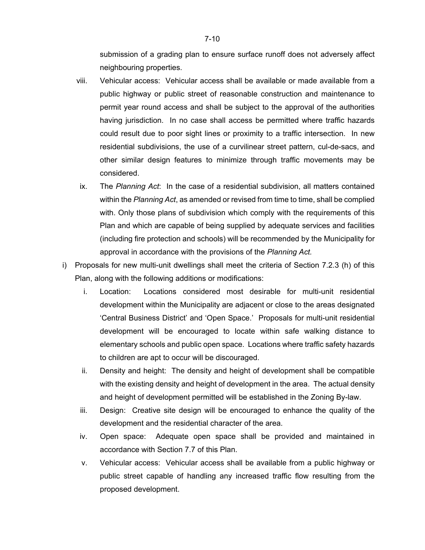submission of a grading plan to ensure surface runoff does not adversely affect neighbouring properties.

- viii. Vehicular access: Vehicular access shall be available or made available from a public highway or public street of reasonable construction and maintenance to permit year round access and shall be subject to the approval of the authorities having jurisdiction. In no case shall access be permitted where traffic hazards could result due to poor sight lines or proximity to a traffic intersection. In new residential subdivisions, the use of a curvilinear street pattern, cul-de-sacs, and other similar design features to minimize through traffic movements may be considered.
- ix. The *Planning Act*: In the case of a residential subdivision, all matters contained within the *Planning Act*, as amended or revised from time to time, shall be complied with. Only those plans of subdivision which comply with the requirements of this Plan and which are capable of being supplied by adequate services and facilities (including fire protection and schools) will be recommended by the Municipality for approval in accordance with the provisions of the *Planning Act.*
- i) Proposals for new multi-unit dwellings shall meet the criteria of Section 7.2.3 (h) of this Plan, along with the following additions or modifications:
	- i. Location: Locations considered most desirable for multi-unit residential development within the Municipality are adjacent or close to the areas designated 'Central Business District' and 'Open Space.' Proposals for multi-unit residential development will be encouraged to locate within safe walking distance to elementary schools and public open space. Locations where traffic safety hazards to children are apt to occur will be discouraged.
	- ii. Density and height: The density and height of development shall be compatible with the existing density and height of development in the area. The actual density and height of development permitted will be established in the Zoning By-law.
	- iii. Design: Creative site design will be encouraged to enhance the quality of the development and the residential character of the area.
	- iv. Open space: Adequate open space shall be provided and maintained in accordance with Section 7.7 of this Plan.
	- v. Vehicular access: Vehicular access shall be available from a public highway or public street capable of handling any increased traffic flow resulting from the proposed development.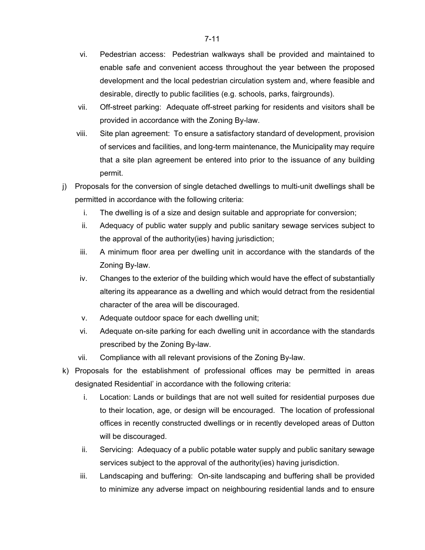- vi. Pedestrian access: Pedestrian walkways shall be provided and maintained to enable safe and convenient access throughout the year between the proposed development and the local pedestrian circulation system and, where feasible and desirable, directly to public facilities (e.g. schools, parks, fairgrounds).
- vii. Off-street parking: Adequate off-street parking for residents and visitors shall be provided in accordance with the Zoning By-law.
- viii. Site plan agreement: To ensure a satisfactory standard of development, provision of services and facilities, and long-term maintenance, the Municipality may require that a site plan agreement be entered into prior to the issuance of any building permit.
- j) Proposals for the conversion of single detached dwellings to multi-unit dwellings shall be permitted in accordance with the following criteria:
	- i. The dwelling is of a size and design suitable and appropriate for conversion;
	- ii. Adequacy of public water supply and public sanitary sewage services subject to the approval of the authority(ies) having jurisdiction;
	- iii. A minimum floor area per dwelling unit in accordance with the standards of the Zoning By-law.
	- iv. Changes to the exterior of the building which would have the effect of substantially altering its appearance as a dwelling and which would detract from the residential character of the area will be discouraged.
	- v. Adequate outdoor space for each dwelling unit;
	- vi. Adequate on-site parking for each dwelling unit in accordance with the standards prescribed by the Zoning By-law.
	- vii. Compliance with all relevant provisions of the Zoning By-law.
- k) Proposals for the establishment of professional offices may be permitted in areas designated Residential' in accordance with the following criteria:
	- i. Location: Lands or buildings that are not well suited for residential purposes due to their location, age, or design will be encouraged. The location of professional offices in recently constructed dwellings or in recently developed areas of Dutton will be discouraged.
	- ii. Servicing: Adequacy of a public potable water supply and public sanitary sewage services subject to the approval of the authority(ies) having jurisdiction.
	- iii. Landscaping and buffering: On-site landscaping and buffering shall be provided to minimize any adverse impact on neighbouring residential lands and to ensure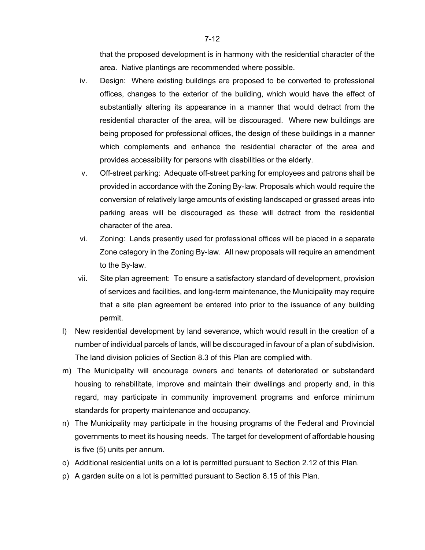that the proposed development is in harmony with the residential character of the area. Native plantings are recommended where possible.

- iv. Design: Where existing buildings are proposed to be converted to professional offices, changes to the exterior of the building, which would have the effect of substantially altering its appearance in a manner that would detract from the residential character of the area, will be discouraged. Where new buildings are being proposed for professional offices, the design of these buildings in a manner which complements and enhance the residential character of the area and provides accessibility for persons with disabilities or the elderly.
- v. Off-street parking: Adequate off-street parking for employees and patrons shall be provided in accordance with the Zoning By-law. Proposals which would require the conversion of relatively large amounts of existing landscaped or grassed areas into parking areas will be discouraged as these will detract from the residential character of the area.
- vi. Zoning: Lands presently used for professional offices will be placed in a separate Zone category in the Zoning By-law. All new proposals will require an amendment to the By-law.
- vii. Site plan agreement: To ensure a satisfactory standard of development, provision of services and facilities, and long-term maintenance, the Municipality may require that a site plan agreement be entered into prior to the issuance of any building permit.
- l) New residential development by land severance, which would result in the creation of a number of individual parcels of lands, will be discouraged in favour of a plan of subdivision. The land division policies of Section 8.3 of this Plan are complied with.
- m) The Municipality will encourage owners and tenants of deteriorated or substandard housing to rehabilitate, improve and maintain their dwellings and property and, in this regard, may participate in community improvement programs and enforce minimum standards for property maintenance and occupancy.
- n) The Municipality may participate in the housing programs of the Federal and Provincial governments to meet its housing needs. The target for development of affordable housing is five (5) units per annum.
- o) Additional residential units on a lot is permitted pursuant to Section 2.12 of this Plan.
- p) A garden suite on a lot is permitted pursuant to Section 8.15 of this Plan.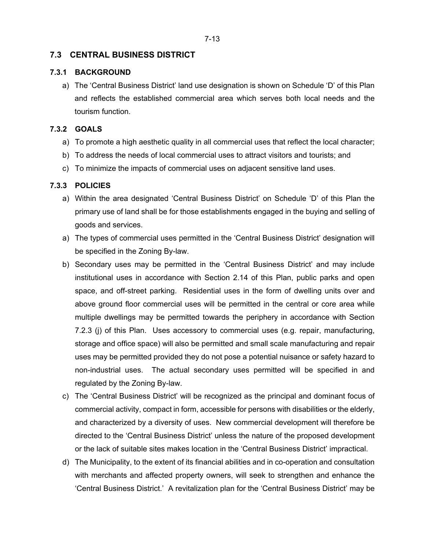## **7.3 CENTRAL BUSINESS DISTRICT**

#### **7.3.1 BACKGROUND**

a) The 'Central Business District' land use designation is shown on Schedule 'D' of this Plan and reflects the established commercial area which serves both local needs and the tourism function.

#### **7.3.2 GOALS**

- a) To promote a high aesthetic quality in all commercial uses that reflect the local character;
- b) To address the needs of local commercial uses to attract visitors and tourists; and
- c) To minimize the impacts of commercial uses on adjacent sensitive land uses.

#### **7.3.3 POLICIES**

- a) Within the area designated 'Central Business District' on Schedule 'D' of this Plan the primary use of land shall be for those establishments engaged in the buying and selling of goods and services.
- a) The types of commercial uses permitted in the 'Central Business District' designation will be specified in the Zoning By-law.
- b) Secondary uses may be permitted in the 'Central Business District' and may include institutional uses in accordance with Section 2.14 of this Plan, public parks and open space, and off-street parking. Residential uses in the form of dwelling units over and above ground floor commercial uses will be permitted in the central or core area while multiple dwellings may be permitted towards the periphery in accordance with Section 7.2.3 (j) of this Plan. Uses accessory to commercial uses (e.g. repair, manufacturing, storage and office space) will also be permitted and small scale manufacturing and repair uses may be permitted provided they do not pose a potential nuisance or safety hazard to non-industrial uses. The actual secondary uses permitted will be specified in and regulated by the Zoning By-law.
- c) The 'Central Business District' will be recognized as the principal and dominant focus of commercial activity, compact in form, accessible for persons with disabilities or the elderly, and characterized by a diversity of uses. New commercial development will therefore be directed to the 'Central Business District' unless the nature of the proposed development or the lack of suitable sites makes location in the 'Central Business District' impractical.
- d) The Municipality, to the extent of its financial abilities and in co-operation and consultation with merchants and affected property owners, will seek to strengthen and enhance the 'Central Business District.' A revitalization plan for the 'Central Business District' may be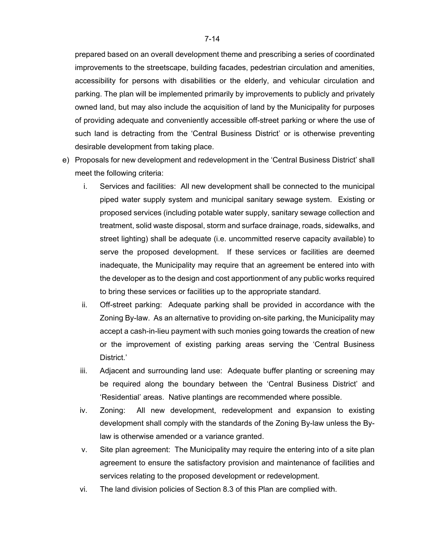prepared based on an overall development theme and prescribing a series of coordinated improvements to the streetscape, building facades, pedestrian circulation and amenities, accessibility for persons with disabilities or the elderly, and vehicular circulation and parking. The plan will be implemented primarily by improvements to publicly and privately owned land, but may also include the acquisition of land by the Municipality for purposes of providing adequate and conveniently accessible off-street parking or where the use of such land is detracting from the 'Central Business District' or is otherwise preventing desirable development from taking place.

- e) Proposals for new development and redevelopment in the 'Central Business District' shall meet the following criteria:
	- i. Services and facilities: All new development shall be connected to the municipal piped water supply system and municipal sanitary sewage system. Existing or proposed services (including potable water supply, sanitary sewage collection and treatment, solid waste disposal, storm and surface drainage, roads, sidewalks, and street lighting) shall be adequate (i.e. uncommitted reserve capacity available) to serve the proposed development. If these services or facilities are deemed inadequate, the Municipality may require that an agreement be entered into with the developer as to the design and cost apportionment of any public works required to bring these services or facilities up to the appropriate standard.
	- ii. Off-street parking: Adequate parking shall be provided in accordance with the Zoning By-law. As an alternative to providing on-site parking, the Municipality may accept a cash-in-lieu payment with such monies going towards the creation of new or the improvement of existing parking areas serving the 'Central Business District.'
	- iii. Adjacent and surrounding land use: Adequate buffer planting or screening may be required along the boundary between the 'Central Business District' and 'Residential' areas. Native plantings are recommended where possible.
	- iv. Zoning: All new development, redevelopment and expansion to existing development shall comply with the standards of the Zoning By-law unless the Bylaw is otherwise amended or a variance granted.
	- v. Site plan agreement: The Municipality may require the entering into of a site plan agreement to ensure the satisfactory provision and maintenance of facilities and services relating to the proposed development or redevelopment.
	- vi. The land division policies of Section 8.3 of this Plan are complied with.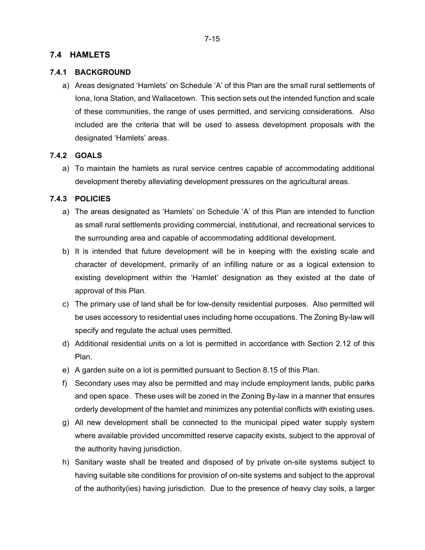### **7.4 HAMLETS**

#### **7.4.1 BACKGROUND**

a) Areas designated 'Hamlets' on Schedule 'A' of this Plan are the small rural settlements of Iona, Iona Station, and Wallacetown. This section sets out the intended function and scale of these communities, the range of uses permitted, and servicing considerations. Also included are the criteria that will be used to assess development proposals with the designated 'Hamlets' areas.

#### **7.4.2 GOALS**

a) To maintain the hamlets as rural service centres capable of accommodating additional development thereby alleviating development pressures on the agricultural areas.

#### **7.4.3 POLICIES**

- a) The areas designated as 'Hamlets' on Schedule 'A' of this Plan are intended to function as small rural settlements providing commercial, institutional, and recreational services to the surrounding area and capable of accommodating additional development.
- b) It is intended that future development will be in keeping with the existing scale and character of development, primarily of an infilling nature or as a logical extension to existing development within the 'Hamlet' designation as they existed at the date of approval of this Plan.
- c) The primary use of land shall be for low-density residential purposes. Also permitted will be uses accessory to residential uses including home occupations. The Zoning By-law will specify and regulate the actual uses permitted.
- d) Additional residential units on a lot is permitted in accordance with Section 2.12 of this Plan.
- e) A garden suite on a lot is permitted pursuant to Section 8.15 of this Plan.
- f) Secondary uses may also be permitted and may include employment lands, public parks and open space. These uses will be zoned in the Zoning By-law in a manner that ensures orderly development of the hamlet and minimizes any potential conflicts with existing uses.
- g) All new development shall be connected to the municipal piped water supply system where available provided uncommitted reserve capacity exists, subject to the approval of the authority having jurisdiction.
- h) Sanitary waste shall be treated and disposed of by private on-site systems subject to having suitable site conditions for provision of on-site systems and subject to the approval of the authority(ies) having jurisdiction. Due to the presence of heavy clay soils, a larger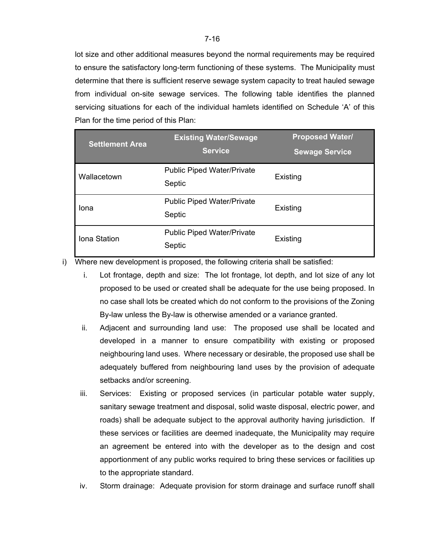lot size and other additional measures beyond the normal requirements may be required to ensure the satisfactory long-term functioning of these systems. The Municipality must determine that there is sufficient reserve sewage system capacity to treat hauled sewage from individual on-site sewage services. The following table identifies the planned servicing situations for each of the individual hamlets identified on Schedule 'A' of this Plan for the time period of this Plan:

| <b>Settlement Area</b> | <b>Existing Water/Sewage</b><br><b>Service</b> | <b>Proposed Water/</b><br><b>Sewage Service</b> |
|------------------------|------------------------------------------------|-------------------------------------------------|
| Wallacetown            | <b>Public Piped Water/Private</b><br>Septic    | Existing                                        |
| Iona                   | <b>Public Piped Water/Private</b><br>Septic    | Existing                                        |
| Iona Station           | <b>Public Piped Water/Private</b><br>Septic    | Existing                                        |

i) Where new development is proposed, the following criteria shall be satisfied:

- i. Lot frontage, depth and size: The lot frontage, lot depth, and lot size of any lot proposed to be used or created shall be adequate for the use being proposed. In no case shall lots be created which do not conform to the provisions of the Zoning By-law unless the By-law is otherwise amended or a variance granted.
- ii. Adjacent and surrounding land use: The proposed use shall be located and developed in a manner to ensure compatibility with existing or proposed neighbouring land uses. Where necessary or desirable, the proposed use shall be adequately buffered from neighbouring land uses by the provision of adequate setbacks and/or screening.
- iii. Services: Existing or proposed services (in particular potable water supply, sanitary sewage treatment and disposal, solid waste disposal, electric power, and roads) shall be adequate subject to the approval authority having jurisdiction. If these services or facilities are deemed inadequate, the Municipality may require an agreement be entered into with the developer as to the design and cost apportionment of any public works required to bring these services or facilities up to the appropriate standard.
- iv. Storm drainage: Adequate provision for storm drainage and surface runoff shall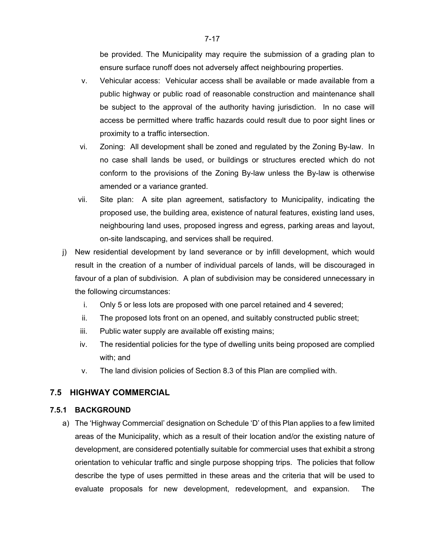be provided. The Municipality may require the submission of a grading plan to ensure surface runoff does not adversely affect neighbouring properties.

- v. Vehicular access: Vehicular access shall be available or made available from a public highway or public road of reasonable construction and maintenance shall be subject to the approval of the authority having jurisdiction. In no case will access be permitted where traffic hazards could result due to poor sight lines or proximity to a traffic intersection.
- vi. Zoning: All development shall be zoned and regulated by the Zoning By-law. In no case shall lands be used, or buildings or structures erected which do not conform to the provisions of the Zoning By-law unless the By-law is otherwise amended or a variance granted.
- vii. Site plan: A site plan agreement, satisfactory to Municipality, indicating the proposed use, the building area, existence of natural features, existing land uses, neighbouring land uses, proposed ingress and egress, parking areas and layout, on-site landscaping, and services shall be required.
- j) New residential development by land severance or by infill development, which would result in the creation of a number of individual parcels of lands, will be discouraged in favour of a plan of subdivision. A plan of subdivision may be considered unnecessary in the following circumstances:
	- i. Only 5 or less lots are proposed with one parcel retained and 4 severed;
	- ii. The proposed lots front on an opened, and suitably constructed public street;
	- iii. Public water supply are available off existing mains;
	- iv. The residential policies for the type of dwelling units being proposed are complied with; and
	- v. The land division policies of Section 8.3 of this Plan are complied with.

# **7.5 HIGHWAY COMMERCIAL**

### **7.5.1 BACKGROUND**

a) The 'Highway Commercial' designation on Schedule 'D' of this Plan applies to a few limited areas of the Municipality, which as a result of their location and/or the existing nature of development, are considered potentially suitable for commercial uses that exhibit a strong orientation to vehicular traffic and single purpose shopping trips. The policies that follow describe the type of uses permitted in these areas and the criteria that will be used to evaluate proposals for new development, redevelopment, and expansion. The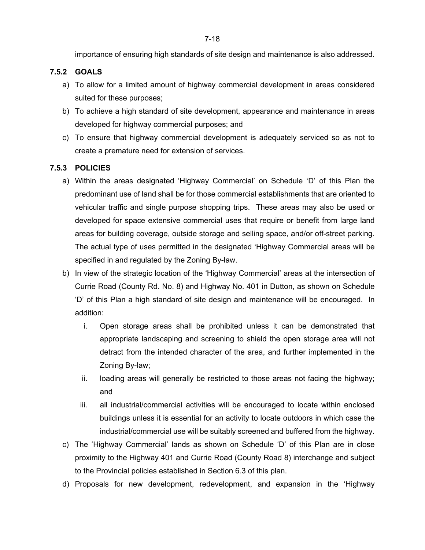importance of ensuring high standards of site design and maintenance is also addressed.

### **7.5.2 GOALS**

- a) To allow for a limited amount of highway commercial development in areas considered suited for these purposes;
- b) To achieve a high standard of site development, appearance and maintenance in areas developed for highway commercial purposes; and
- c) To ensure that highway commercial development is adequately serviced so as not to create a premature need for extension of services.

# **7.5.3 POLICIES**

- a) Within the areas designated 'Highway Commercial' on Schedule 'D' of this Plan the predominant use of land shall be for those commercial establishments that are oriented to vehicular traffic and single purpose shopping trips. These areas may also be used or developed for space extensive commercial uses that require or benefit from large land areas for building coverage, outside storage and selling space, and/or off-street parking. The actual type of uses permitted in the designated 'Highway Commercial areas will be specified in and regulated by the Zoning By-law.
- b) In view of the strategic location of the 'Highway Commercial' areas at the intersection of Currie Road (County Rd. No. 8) and Highway No. 401 in Dutton, as shown on Schedule 'D' of this Plan a high standard of site design and maintenance will be encouraged. In addition:
	- i. Open storage areas shall be prohibited unless it can be demonstrated that appropriate landscaping and screening to shield the open storage area will not detract from the intended character of the area, and further implemented in the Zoning By-law;
	- ii. loading areas will generally be restricted to those areas not facing the highway; and
	- iii. all industrial/commercial activities will be encouraged to locate within enclosed buildings unless it is essential for an activity to locate outdoors in which case the industrial/commercial use will be suitably screened and buffered from the highway.
- c) The 'Highway Commercial' lands as shown on Schedule 'D' of this Plan are in close proximity to the Highway 401 and Currie Road (County Road 8) interchange and subject to the Provincial policies established in Section 6.3 of this plan.
- d) Proposals for new development, redevelopment, and expansion in the 'Highway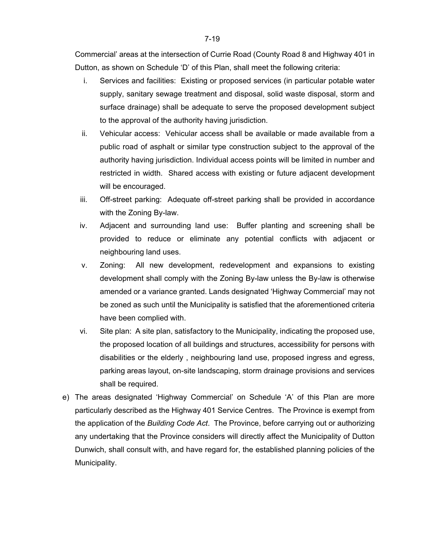Commercial' areas at the intersection of Currie Road (County Road 8 and Highway 401 in Dutton, as shown on Schedule 'D' of this Plan, shall meet the following criteria:

- i. Services and facilities: Existing or proposed services (in particular potable water supply, sanitary sewage treatment and disposal, solid waste disposal, storm and surface drainage) shall be adequate to serve the proposed development subject to the approval of the authority having jurisdiction.
- ii. Vehicular access: Vehicular access shall be available or made available from a public road of asphalt or similar type construction subject to the approval of the authority having jurisdiction. Individual access points will be limited in number and restricted in width. Shared access with existing or future adjacent development will be encouraged.
- iii. Off-street parking: Adequate off-street parking shall be provided in accordance with the Zoning By-law.
- iv. Adjacent and surrounding land use: Buffer planting and screening shall be provided to reduce or eliminate any potential conflicts with adjacent or neighbouring land uses.
- v. Zoning: All new development, redevelopment and expansions to existing development shall comply with the Zoning By-law unless the By-law is otherwise amended or a variance granted. Lands designated 'Highway Commercial' may not be zoned as such until the Municipality is satisfied that the aforementioned criteria have been complied with.
- vi. Site plan: A site plan, satisfactory to the Municipality, indicating the proposed use, the proposed location of all buildings and structures, accessibility for persons with disabilities or the elderly , neighbouring land use, proposed ingress and egress, parking areas layout, on-site landscaping, storm drainage provisions and services shall be required.
- e) The areas designated 'Highway Commercial' on Schedule 'A' of this Plan are more particularly described as the Highway 401 Service Centres. The Province is exempt from the application of the *Building Code Act*. The Province, before carrying out or authorizing any undertaking that the Province considers will directly affect the Municipality of Dutton Dunwich, shall consult with, and have regard for, the established planning policies of the Municipality.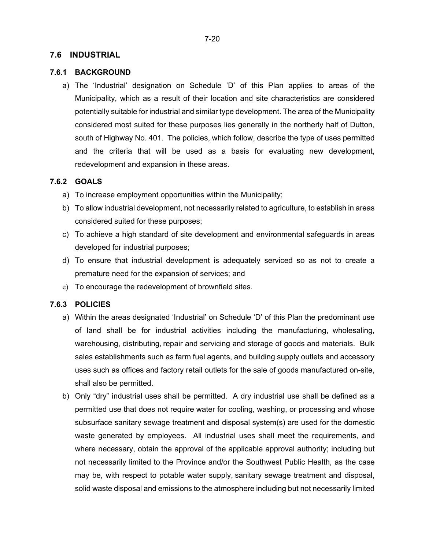### **7.6 INDUSTRIAL**

#### **7.6.1 BACKGROUND**

a) The 'Industrial' designation on Schedule 'D' of this Plan applies to areas of the Municipality, which as a result of their location and site characteristics are considered potentially suitable for industrial and similar type development. The area of the Municipality considered most suited for these purposes lies generally in the northerly half of Dutton, south of Highway No. 401. The policies, which follow, describe the type of uses permitted and the criteria that will be used as a basis for evaluating new development, redevelopment and expansion in these areas.

#### **7.6.2 GOALS**

- a) To increase employment opportunities within the Municipality;
- b) To allow industrial development, not necessarily related to agriculture, to establish in areas considered suited for these purposes;
- c) To achieve a high standard of site development and environmental safeguards in areas developed for industrial purposes;
- d) To ensure that industrial development is adequately serviced so as not to create a premature need for the expansion of services; and
- e) To encourage the redevelopment of brownfield sites.

#### **7.6.3 POLICIES**

- a) Within the areas designated 'Industrial' on Schedule 'D' of this Plan the predominant use of land shall be for industrial activities including the manufacturing, wholesaling, warehousing, distributing, repair and servicing and storage of goods and materials. Bulk sales establishments such as farm fuel agents, and building supply outlets and accessory uses such as offices and factory retail outlets for the sale of goods manufactured on-site, shall also be permitted.
- b) Only "dry" industrial uses shall be permitted. A dry industrial use shall be defined as a permitted use that does not require water for cooling, washing, or processing and whose subsurface sanitary sewage treatment and disposal system(s) are used for the domestic waste generated by employees. All industrial uses shall meet the requirements, and where necessary, obtain the approval of the applicable approval authority; including but not necessarily limited to the Province and/or the Southwest Public Health, as the case may be, with respect to potable water supply, sanitary sewage treatment and disposal, solid waste disposal and emissions to the atmosphere including but not necessarily limited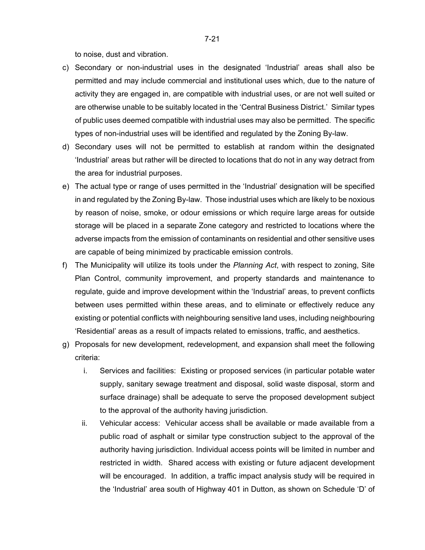to noise, dust and vibration.

- c) Secondary or non-industrial uses in the designated 'Industrial' areas shall also be permitted and may include commercial and institutional uses which, due to the nature of activity they are engaged in, are compatible with industrial uses, or are not well suited or are otherwise unable to be suitably located in the 'Central Business District.' Similar types of public uses deemed compatible with industrial uses may also be permitted. The specific types of non-industrial uses will be identified and regulated by the Zoning By-law.
- d) Secondary uses will not be permitted to establish at random within the designated 'Industrial' areas but rather will be directed to locations that do not in any way detract from the area for industrial purposes.
- e) The actual type or range of uses permitted in the 'Industrial' designation will be specified in and regulated by the Zoning By-law. Those industrial uses which are likely to be noxious by reason of noise, smoke, or odour emissions or which require large areas for outside storage will be placed in a separate Zone category and restricted to locations where the adverse impacts from the emission of contaminants on residential and other sensitive uses are capable of being minimized by practicable emission controls.
- f) The Municipality will utilize its tools under the *Planning Act*, with respect to zoning, Site Plan Control, community improvement, and property standards and maintenance to regulate, guide and improve development within the 'Industrial' areas, to prevent conflicts between uses permitted within these areas, and to eliminate or effectively reduce any existing or potential conflicts with neighbouring sensitive land uses, including neighbouring 'Residential' areas as a result of impacts related to emissions, traffic, and aesthetics.
- g) Proposals for new development, redevelopment, and expansion shall meet the following criteria:
	- i. Services and facilities: Existing or proposed services (in particular potable water supply, sanitary sewage treatment and disposal, solid waste disposal, storm and surface drainage) shall be adequate to serve the proposed development subject to the approval of the authority having jurisdiction.
	- ii. Vehicular access: Vehicular access shall be available or made available from a public road of asphalt or similar type construction subject to the approval of the authority having jurisdiction. Individual access points will be limited in number and restricted in width. Shared access with existing or future adjacent development will be encouraged. In addition, a traffic impact analysis study will be required in the 'Industrial' area south of Highway 401 in Dutton, as shown on Schedule 'D' of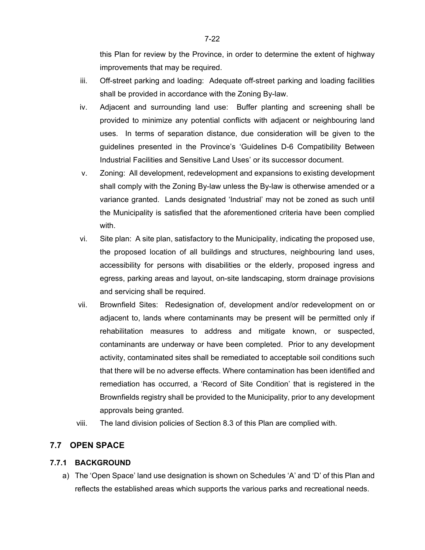this Plan for review by the Province, in order to determine the extent of highway improvements that may be required.

- iii. Off-street parking and loading: Adequate off-street parking and loading facilities shall be provided in accordance with the Zoning By-law.
- iv. Adjacent and surrounding land use: Buffer planting and screening shall be provided to minimize any potential conflicts with adjacent or neighbouring land uses. In terms of separation distance, due consideration will be given to the guidelines presented in the Province's 'Guidelines D-6 Compatibility Between Industrial Facilities and Sensitive Land Uses' or its successor document.
- v. Zoning: All development, redevelopment and expansions to existing development shall comply with the Zoning By-law unless the By-law is otherwise amended or a variance granted. Lands designated 'Industrial' may not be zoned as such until the Municipality is satisfied that the aforementioned criteria have been complied with.
- vi. Site plan: A site plan, satisfactory to the Municipality, indicating the proposed use, the proposed location of all buildings and structures, neighbouring land uses, accessibility for persons with disabilities or the elderly, proposed ingress and egress, parking areas and layout, on-site landscaping, storm drainage provisions and servicing shall be required.
- vii. Brownfield Sites: Redesignation of, development and/or redevelopment on or adjacent to, lands where contaminants may be present will be permitted only if rehabilitation measures to address and mitigate known, or suspected, contaminants are underway or have been completed. Prior to any development activity, contaminated sites shall be remediated to acceptable soil conditions such that there will be no adverse effects. Where contamination has been identified and remediation has occurred, a 'Record of Site Condition' that is registered in the Brownfields registry shall be provided to the Municipality, prior to any development approvals being granted.
- viii. The land division policies of Section 8.3 of this Plan are complied with.

### **7.7 OPEN SPACE**

### **7.7.1 BACKGROUND**

a) The 'Open Space' land use designation is shown on Schedules 'A' and 'D' of this Plan and reflects the established areas which supports the various parks and recreational needs.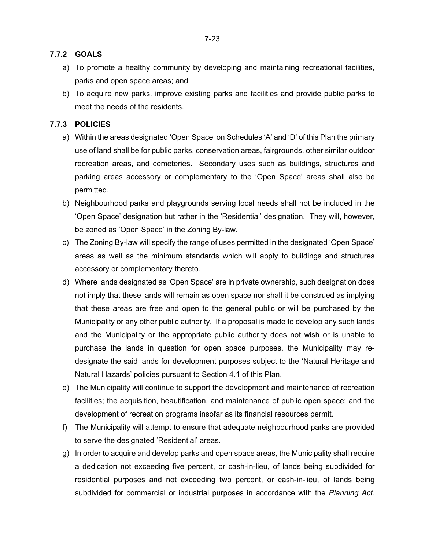#### **7.7.2 GOALS**

- a) To promote a healthy community by developing and maintaining recreational facilities, parks and open space areas; and
- b) To acquire new parks, improve existing parks and facilities and provide public parks to meet the needs of the residents.

### **7.7.3 POLICIES**

- a) Within the areas designated 'Open Space' on Schedules 'A' and 'D' of this Plan the primary use of land shall be for public parks, conservation areas, fairgrounds, other similar outdoor recreation areas, and cemeteries. Secondary uses such as buildings, structures and parking areas accessory or complementary to the 'Open Space' areas shall also be permitted.
- b) Neighbourhood parks and playgrounds serving local needs shall not be included in the 'Open Space' designation but rather in the 'Residential' designation. They will, however, be zoned as 'Open Space' in the Zoning By-law.
- c) The Zoning By-law will specify the range of uses permitted in the designated 'Open Space' areas as well as the minimum standards which will apply to buildings and structures accessory or complementary thereto.
- d) Where lands designated as 'Open Space' are in private ownership, such designation does not imply that these lands will remain as open space nor shall it be construed as implying that these areas are free and open to the general public or will be purchased by the Municipality or any other public authority. If a proposal is made to develop any such lands and the Municipality or the appropriate public authority does not wish or is unable to purchase the lands in question for open space purposes, the Municipality may redesignate the said lands for development purposes subject to the 'Natural Heritage and Natural Hazards' policies pursuant to Section 4.1 of this Plan.
- e) The Municipality will continue to support the development and maintenance of recreation facilities; the acquisition, beautification, and maintenance of public open space; and the development of recreation programs insofar as its financial resources permit.
- f) The Municipality will attempt to ensure that adequate neighbourhood parks are provided to serve the designated 'Residential' areas.
- g) In order to acquire and develop parks and open space areas, the Municipality shall require a dedication not exceeding five percent, or cash-in-lieu, of lands being subdivided for residential purposes and not exceeding two percent, or cash-in-lieu, of lands being subdivided for commercial or industrial purposes in accordance with the *Planning Act*.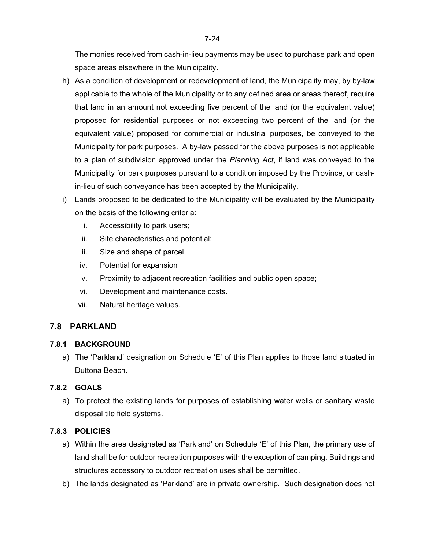The monies received from cash-in-lieu payments may be used to purchase park and open space areas elsewhere in the Municipality.

- h) As a condition of development or redevelopment of land, the Municipality may, by by-law applicable to the whole of the Municipality or to any defined area or areas thereof, require that land in an amount not exceeding five percent of the land (or the equivalent value) proposed for residential purposes or not exceeding two percent of the land (or the equivalent value) proposed for commercial or industrial purposes, be conveyed to the Municipality for park purposes. A by-law passed for the above purposes is not applicable to a plan of subdivision approved under the *Planning Act*, if land was conveyed to the Municipality for park purposes pursuant to a condition imposed by the Province, or cashin-lieu of such conveyance has been accepted by the Municipality.
- i) Lands proposed to be dedicated to the Municipality will be evaluated by the Municipality on the basis of the following criteria:
	- i. Accessibility to park users;
	- ii. Site characteristics and potential;
	- iii. Size and shape of parcel
	- iv. Potential for expansion
	- v. Proximity to adjacent recreation facilities and public open space;
	- vi. Development and maintenance costs.
	- vii. Natural heritage values.

### **7.8 PARKLAND**

### **7.8.1 BACKGROUND**

a) The 'Parkland' designation on Schedule 'E' of this Plan applies to those land situated in Duttona Beach.

### **7.8.2 GOALS**

a) To protect the existing lands for purposes of establishing water wells or sanitary waste disposal tile field systems.

### **7.8.3 POLICIES**

- a) Within the area designated as 'Parkland' on Schedule 'E' of this Plan, the primary use of land shall be for outdoor recreation purposes with the exception of camping. Buildings and structures accessory to outdoor recreation uses shall be permitted.
- b) The lands designated as 'Parkland' are in private ownership. Such designation does not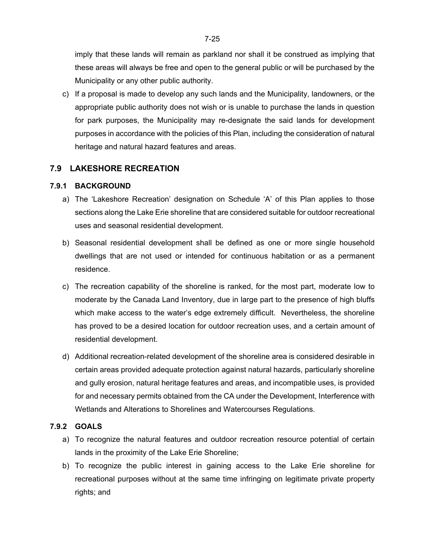imply that these lands will remain as parkland nor shall it be construed as implying that these areas will always be free and open to the general public or will be purchased by the Municipality or any other public authority.

c) If a proposal is made to develop any such lands and the Municipality, landowners, or the appropriate public authority does not wish or is unable to purchase the lands in question for park purposes, the Municipality may re-designate the said lands for development purposes in accordance with the policies of this Plan, including the consideration of natural heritage and natural hazard features and areas.

## **7.9 LAKESHORE RECREATION**

### **7.9.1 BACKGROUND**

- a) The 'Lakeshore Recreation' designation on Schedule 'A' of this Plan applies to those sections along the Lake Erie shoreline that are considered suitable for outdoor recreational uses and seasonal residential development.
- b) Seasonal residential development shall be defined as one or more single household dwellings that are not used or intended for continuous habitation or as a permanent residence.
- c) The recreation capability of the shoreline is ranked, for the most part, moderate low to moderate by the Canada Land Inventory, due in large part to the presence of high bluffs which make access to the water's edge extremely difficult. Nevertheless, the shoreline has proved to be a desired location for outdoor recreation uses, and a certain amount of residential development.
- d) Additional recreation-related development of the shoreline area is considered desirable in certain areas provided adequate protection against natural hazards, particularly shoreline and gully erosion, natural heritage features and areas, and incompatible uses, is provided for and necessary permits obtained from the CA under the Development, Interference with Wetlands and Alterations to Shorelines and Watercourses Regulations.

### **7.9.2 GOALS**

- a) To recognize the natural features and outdoor recreation resource potential of certain lands in the proximity of the Lake Erie Shoreline;
- b) To recognize the public interest in gaining access to the Lake Erie shoreline for recreational purposes without at the same time infringing on legitimate private property rights; and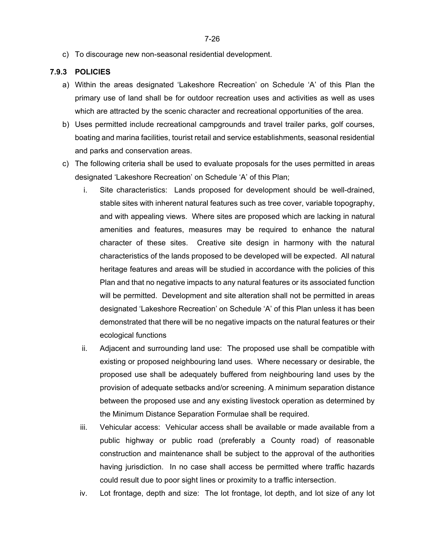c) To discourage new non-seasonal residential development.

### **7.9.3 POLICIES**

- a) Within the areas designated 'Lakeshore Recreation' on Schedule 'A' of this Plan the primary use of land shall be for outdoor recreation uses and activities as well as uses which are attracted by the scenic character and recreational opportunities of the area.
- b) Uses permitted include recreational campgrounds and travel trailer parks, golf courses, boating and marina facilities, tourist retail and service establishments, seasonal residential and parks and conservation areas.
- c) The following criteria shall be used to evaluate proposals for the uses permitted in areas designated 'Lakeshore Recreation' on Schedule 'A' of this Plan;
	- i. Site characteristics: Lands proposed for development should be well-drained, stable sites with inherent natural features such as tree cover, variable topography, and with appealing views. Where sites are proposed which are lacking in natural amenities and features, measures may be required to enhance the natural character of these sites. Creative site design in harmony with the natural characteristics of the lands proposed to be developed will be expected. All natural heritage features and areas will be studied in accordance with the policies of this Plan and that no negative impacts to any natural features or its associated function will be permitted. Development and site alteration shall not be permitted in areas designated 'Lakeshore Recreation' on Schedule 'A' of this Plan unless it has been demonstrated that there will be no negative impacts on the natural features or their ecological functions
	- ii. Adjacent and surrounding land use: The proposed use shall be compatible with existing or proposed neighbouring land uses. Where necessary or desirable, the proposed use shall be adequately buffered from neighbouring land uses by the provision of adequate setbacks and/or screening. A minimum separation distance between the proposed use and any existing livestock operation as determined by the Minimum Distance Separation Formulae shall be required.
	- iii. Vehicular access: Vehicular access shall be available or made available from a public highway or public road (preferably a County road) of reasonable construction and maintenance shall be subject to the approval of the authorities having jurisdiction. In no case shall access be permitted where traffic hazards could result due to poor sight lines or proximity to a traffic intersection.
	- iv. Lot frontage, depth and size: The lot frontage, lot depth, and lot size of any lot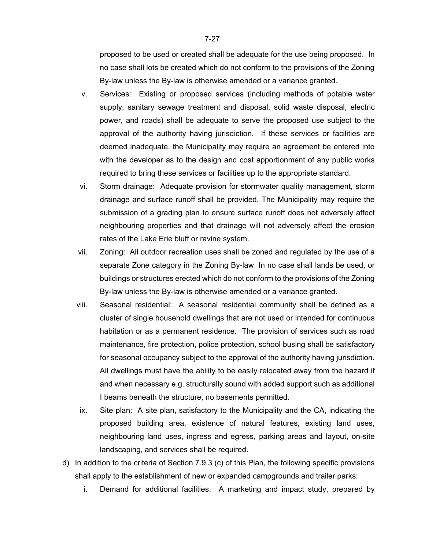proposed to be used or created shall be adequate for the use being proposed. In no case shall lots be created which do not conform to the provisions of the Zoning By-law unless the By-law is otherwise amended or a variance granted.

- v. Services: Existing or proposed services (including methods of potable water supply, sanitary sewage treatment and disposal, solid waste disposal, electric power, and roads) shall be adequate to serve the proposed use subject to the approval of the authority having jurisdiction. If these services or facilities are deemed inadequate, the Municipality may require an agreement be entered into with the developer as to the design and cost apportionment of any public works required to bring these services or facilities up to the appropriate standard.
- vi. Storm drainage: Adequate provision for stormwater quality management, storm drainage and surface runoff shall be provided. The Municipality may require the submission of a grading plan to ensure surface runoff does not adversely affect neighbouring properties and that drainage will not adversely affect the erosion rates of the Lake Erie bluff or ravine system.
- vii. Zoning: All outdoor recreation uses shall be zoned and regulated by the use of a separate Zone category in the Zoning By-law. In no case shall lands be used, or buildings or structures erected which do not conform to the provisions of the Zoning By-law unless the By-law is otherwise amended or a variance granted.
- viii. Seasonal residential: A seasonal residential community shall be defined as a cluster of single household dwellings that are not used or intended for continuous habitation or as a permanent residence. The provision of services such as road maintenance, fire protection, police protection, school busing shall be satisfactory for seasonal occupancy subject to the approval of the authority having jurisdiction. All dwellings must have the ability to be easily relocated away from the hazard if and when necessary e.g. structurally sound with added support such as additional I beams beneath the structure, no basements permitted.
- ix. Site plan: A site plan, satisfactory to the Municipality and the CA, indicating the proposed building area, existence of natural features, existing land uses, neighbouring land uses, ingress and egress, parking areas and layout, on-site landscaping, and services shall be required.
- d) In addition to the criteria of Section 7.9.3 (c) of this Plan, the following specific provisions shall apply to the establishment of new or expanded campgrounds and trailer parks:
	- i. Demand for additional facilities: A marketing and impact study, prepared by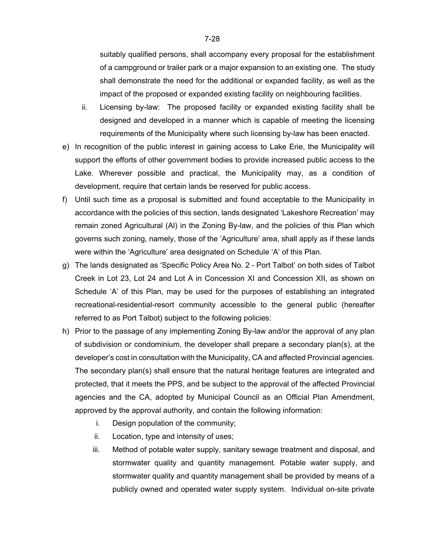suitably qualified persons, shall accompany every proposal for the establishment of a campground or trailer park or a major expansion to an existing one. The study shall demonstrate the need for the additional or expanded facility, as well as the impact of the proposed or expanded existing facility on neighbouring facilities.

- ii. Licensing by-law: The proposed facility or expanded existing facility shall be designed and developed in a manner which is capable of meeting the licensing requirements of the Municipality where such licensing by-law has been enacted.
- e) In recognition of the public interest in gaining access to Lake Erie, the Municipality will support the efforts of other government bodies to provide increased public access to the Lake. Wherever possible and practical, the Municipality may, as a condition of development, require that certain lands be reserved for public access.
- f) Until such time as a proposal is submitted and found acceptable to the Municipality in accordance with the policies of this section, lands designated 'Lakeshore Recreation' may remain zoned Agricultural (Al) in the Zoning By-law, and the policies of this Plan which governs such zoning, namely, those of the 'Agriculture' area, shall apply as if these lands were within the 'Agriculture' area designated on Schedule 'A' of this Plan.
- g) The lands designated as 'Specific Policy Area No. 2 Port Talbot' on both sides of Talbot Creek in Lot 23, Lot 24 and Lot A in Concession XI and Concession XII, as shown on Schedule 'A' of this Plan, may be used for the purposes of establishing an integrated recreational-residential-resort community accessible to the general public (hereafter referred to as Port Talbot) subject to the following policies:
- h) Prior to the passage of any implementing Zoning By-law and/or the approval of any plan of subdivision or condominium, the developer shall prepare a secondary plan(s), at the developer's cost in consultation with the Municipality, CA and affected Provincial agencies. The secondary plan(s) shall ensure that the natural heritage features are integrated and protected, that it meets the PPS, and be subject to the approval of the affected Provincial agencies and the CA, adopted by Municipal Council as an Official Plan Amendment, approved by the approval authority, and contain the following information:
	- i. Design population of the community;
	- ii. Location, type and intensity of uses;
	- iii. Method of potable water supply, sanitary sewage treatment and disposal, and stormwater quality and quantity management. Potable water supply, and stormwater quality and quantity management shall be provided by means of a publicly owned and operated water supply system. Individual on-site private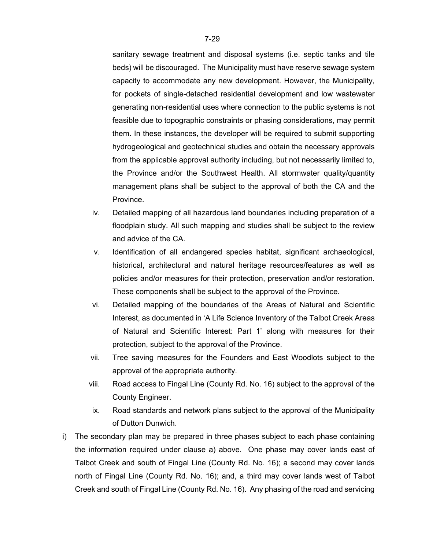sanitary sewage treatment and disposal systems (i.e. septic tanks and tile beds) will be discouraged. The Municipality must have reserve sewage system capacity to accommodate any new development. However, the Municipality, for pockets of single-detached residential development and low wastewater generating non-residential uses where connection to the public systems is not feasible due to topographic constraints or phasing considerations, may permit them. In these instances, the developer will be required to submit supporting hydrogeological and geotechnical studies and obtain the necessary approvals from the applicable approval authority including, but not necessarily limited to, the Province and/or the Southwest Health. All stormwater quality/quantity management plans shall be subject to the approval of both the CA and the Province.

- iv. Detailed mapping of all hazardous land boundaries including preparation of a floodplain study. All such mapping and studies shall be subject to the review and advice of the CA.
- v. Identification of all endangered species habitat, significant archaeological, historical, architectural and natural heritage resources/features as well as policies and/or measures for their protection, preservation and/or restoration. These components shall be subject to the approval of the Province.
- vi. Detailed mapping of the boundaries of the Areas of Natural and Scientific Interest, as documented in 'A Life Science Inventory of the Talbot Creek Areas of Natural and Scientific Interest: Part 1' along with measures for their protection, subject to the approval of the Province.
- vii. Tree saving measures for the Founders and East Woodlots subject to the approval of the appropriate authority.
- viii. Road access to Fingal Line (County Rd. No. 16) subject to the approval of the County Engineer.
- ix. Road standards and network plans subject to the approval of the Municipality of Dutton Dunwich.
- i) The secondary plan may be prepared in three phases subject to each phase containing the information required under clause a) above. One phase may cover lands east of Talbot Creek and south of Fingal Line (County Rd. No. 16); a second may cover lands north of Fingal Line (County Rd. No. 16); and, a third may cover lands west of Talbot Creek and south of Fingal Line (County Rd. No. 16). Any phasing of the road and servicing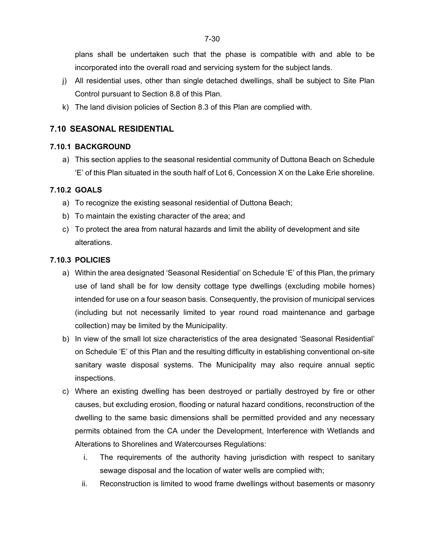plans shall be undertaken such that the phase is compatible with and able to be incorporated into the overall road and servicing system for the subject lands.

- j) All residential uses, other than single detached dwellings, shall be subject to Site Plan Control pursuant to Section 8.8 of this Plan.
- k) The land division policies of Section 8.3 of this Plan are complied with.

## **7.10 SEASONAL RESIDENTIAL**

### **7.10.1 BACKGROUND**

a) This section applies to the seasonal residential community of Duttona Beach on Schedule 'E' of this Plan situated in the south half of Lot 6, Concession X on the Lake Erie shoreline.

### **7.10.2 GOALS**

- a) To recognize the existing seasonal residential of Duttona Beach;
- b) To maintain the existing character of the area; and
- c) To protect the area from natural hazards and limit the ability of development and site alterations.

### **7.10.3 POLICIES**

- a) Within the area designated 'Seasonal Residential' on Schedule 'E' of this Plan, the primary use of land shall be for low density cottage type dwellings (excluding mobile homes) intended for use on a four season basis. Consequently, the provision of municipal services (including but not necessarily limited to year round road maintenance and garbage collection) may be limited by the Municipality.
- b) In view of the small lot size characteristics of the area designated 'Seasonal Residential' on Schedule 'E' of this Plan and the resulting difficulty in establishing conventional on-site sanitary waste disposal systems. The Municipality may also require annual septic inspections.
- c) Where an existing dwelling has been destroyed or partially destroyed by fire or other causes, but excluding erosion, flooding or natural hazard conditions, reconstruction of the dwelling to the same basic dimensions shall be permitted provided and any necessary permits obtained from the CA under the Development, Interference with Wetlands and Alterations to Shorelines and Watercourses Regulations:
	- i. The requirements of the authority having jurisdiction with respect to sanitary sewage disposal and the location of water wells are complied with;
	- ii. Reconstruction is limited to wood frame dwellings without basements or masonry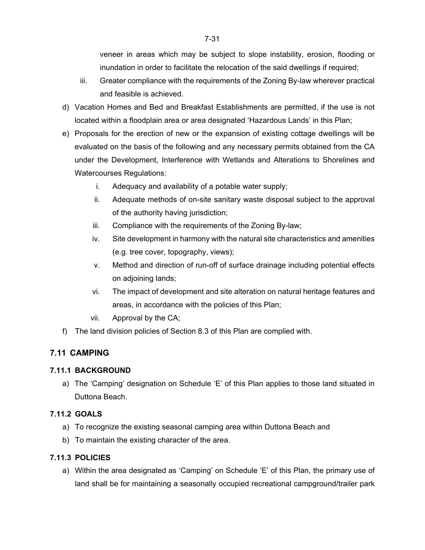veneer in areas which may be subject to slope instability, erosion, flooding or inundation in order to facilitate the relocation of the said dwellings if required;

- iii. Greater compliance with the requirements of the Zoning By-law wherever practical and feasible is achieved.
- d) Vacation Homes and Bed and Breakfast Establishments are permitted, if the use is not located within a floodplain area or area designated 'Hazardous Lands' in this Plan;
- e) Proposals for the erection of new or the expansion of existing cottage dwellings will be evaluated on the basis of the following and any necessary permits obtained from the CA under the Development, Interference with Wetlands and Alterations to Shorelines and Watercourses Regulations:
	- i. Adequacy and availability of a potable water supply;
	- ii. Adequate methods of on-site sanitary waste disposal subject to the approval of the authority having jurisdiction;
	- iii. Compliance with the requirements of the Zoning By-law;
	- iv. Site development in harmony with the natural site characteristics and amenities (e.g. tree cover, topography, views);
	- v. Method and direction of run-off of surface drainage including potential effects on adjoining lands;
	- vi. The impact of development and site alteration on natural heritage features and areas, in accordance with the policies of this Plan;
	- vii. Approval by the CA;
- f) The land division policies of Section 8.3 of this Plan are complied with.

# **7.11 CAMPING**

### **7.11.1 BACKGROUND**

a) The 'Camping' designation on Schedule 'E' of this Plan applies to those land situated in Duttona Beach.

## **7.11.2 GOALS**

- a) To recognize the existing seasonal camping area within Duttona Beach and
- b) To maintain the existing character of the area.

## **7.11.3 POLICIES**

a) Within the area designated as 'Camping' on Schedule 'E' of this Plan, the primary use of land shall be for maintaining a seasonally occupied recreational campground/trailer park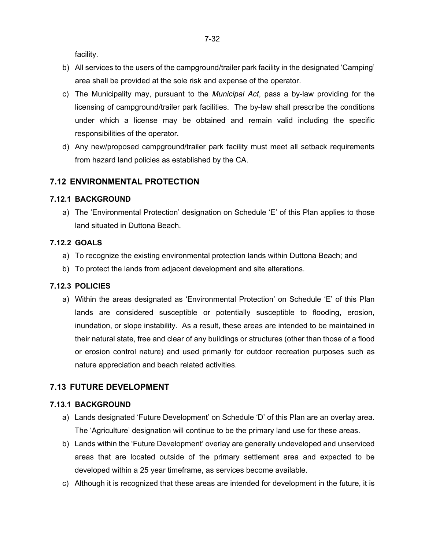facility.

- b) All services to the users of the campground/trailer park facility in the designated 'Camping' area shall be provided at the sole risk and expense of the operator.
- c) The Municipality may, pursuant to the *Municipal Act*, pass a by-law providing for the licensing of campground/trailer park facilities. The by-law shall prescribe the conditions under which a license may be obtained and remain valid including the specific responsibilities of the operator.
- d) Any new/proposed campground/trailer park facility must meet all setback requirements from hazard land policies as established by the CA.

### **7.12 ENVIRONMENTAL PROTECTION**

#### **7.12.1 BACKGROUND**

a) The 'Environmental Protection' designation on Schedule 'E' of this Plan applies to those land situated in Duttona Beach.

### **7.12.2 GOALS**

- a) To recognize the existing environmental protection lands within Duttona Beach; and
- b) To protect the lands from adjacent development and site alterations.

### **7.12.3 POLICIES**

a) Within the areas designated as 'Environmental Protection' on Schedule 'E' of this Plan lands are considered susceptible or potentially susceptible to flooding, erosion, inundation, or slope instability. As a result, these areas are intended to be maintained in their natural state, free and clear of any buildings or structures (other than those of a flood or erosion control nature) and used primarily for outdoor recreation purposes such as nature appreciation and beach related activities.

### **7.13 FUTURE DEVELOPMENT**

### **7.13.1 BACKGROUND**

- a) Lands designated 'Future Development' on Schedule 'D' of this Plan are an overlay area. The 'Agriculture' designation will continue to be the primary land use for these areas.
- b) Lands within the 'Future Development' overlay are generally undeveloped and unserviced areas that are located outside of the primary settlement area and expected to be developed within a 25 year timeframe, as services become available.
- c) Although it is recognized that these areas are intended for development in the future, it is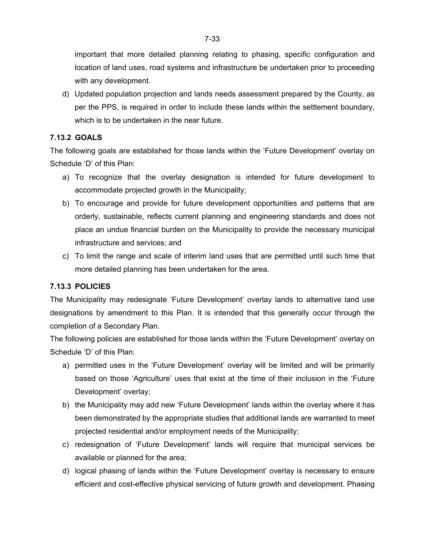important that more detailed planning relating to phasing, specific configuration and location of land uses, road systems and infrastructure be undertaken prior to proceeding with any development.

d) Updated population projection and lands needs assessment prepared by the County, as per the PPS, is required in order to include these lands within the settlement boundary, which is to be undertaken in the near future.

### **7.13.2 GOALS**

The following goals are established for those lands within the 'Future Development' overlay on Schedule 'D' of this Plan:

- a) To recognize that the overlay designation is intended for future development to accommodate projected growth in the Municipality;
- b) To encourage and provide for future development opportunities and patterns that are orderly, sustainable, reflects current planning and engineering standards and does not place an undue financial burden on the Municipality to provide the necessary municipal infrastructure and services; and
- c) To limit the range and scale of interim land uses that are permitted until such time that more detailed planning has been undertaken for the area.

### **7.13.3 POLICIES**

The Municipality may redesignate 'Future Development' overlay lands to alternative land use designations by amendment to this Plan. It is intended that this generally occur through the completion of a Secondary Plan.

The following policies are established for those lands within the 'Future Development' overlay on Schedule 'D' of this Plan:

- a) permitted uses in the 'Future Development' overlay will be limited and will be primarily based on those 'Agriculture' uses that exist at the time of their inclusion in the 'Future Development' overlay;
- b) the Municipality may add new 'Future Development' lands within the overlay where it has been demonstrated by the appropriate studies that additional lands are warranted to meet projected residential and/or employment needs of the Municipality;
- c) redesignation of 'Future Development' lands will require that municipal services be available or planned for the area;
- d) logical phasing of lands within the 'Future Development' overlay is necessary to ensure efficient and cost-effective physical servicing of future growth and development. Phasing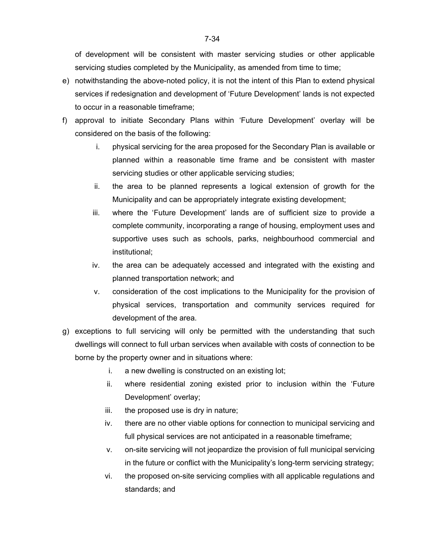of development will be consistent with master servicing studies or other applicable servicing studies completed by the Municipality, as amended from time to time;

- e) notwithstanding the above-noted policy, it is not the intent of this Plan to extend physical services if redesignation and development of 'Future Development' lands is not expected to occur in a reasonable timeframe;
- f) approval to initiate Secondary Plans within 'Future Development' overlay will be considered on the basis of the following:
	- i. physical servicing for the area proposed for the Secondary Plan is available or planned within a reasonable time frame and be consistent with master servicing studies or other applicable servicing studies;
	- ii. the area to be planned represents a logical extension of growth for the Municipality and can be appropriately integrate existing development;
	- iii. where the 'Future Development' lands are of sufficient size to provide a complete community, incorporating a range of housing, employment uses and supportive uses such as schools, parks, neighbourhood commercial and institutional;
	- iv. the area can be adequately accessed and integrated with the existing and planned transportation network; and
	- v. consideration of the cost implications to the Municipality for the provision of physical services, transportation and community services required for development of the area.
- g) exceptions to full servicing will only be permitted with the understanding that such dwellings will connect to full urban services when available with costs of connection to be borne by the property owner and in situations where:
	- i. a new dwelling is constructed on an existing lot;
	- ii. where residential zoning existed prior to inclusion within the 'Future Development' overlay;
	- iii. the proposed use is dry in nature;
	- iv. there are no other viable options for connection to municipal servicing and full physical services are not anticipated in a reasonable timeframe;
	- v. on-site servicing will not jeopardize the provision of full municipal servicing in the future or conflict with the Municipality's long-term servicing strategy;
	- vi. the proposed on-site servicing complies with all applicable regulations and standards; and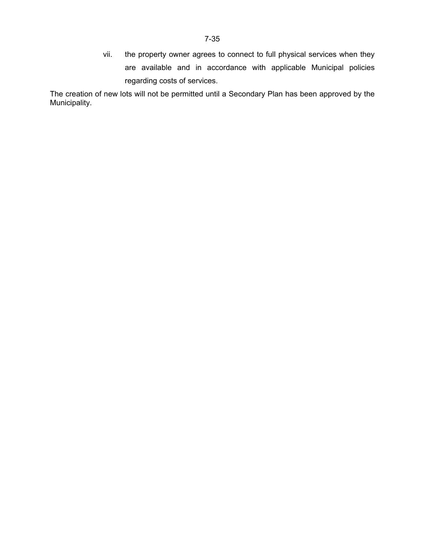vii. the property owner agrees to connect to full physical services when they are available and in accordance with applicable Municipal policies regarding costs of services.

The creation of new lots will not be permitted until a Secondary Plan has been approved by the Municipality.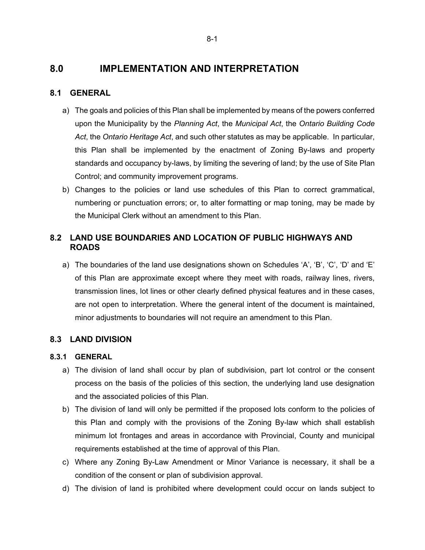# **8.0 IMPLEMENTATION AND INTERPRETATION**

### **8.1 GENERAL**

- a) The goals and policies of this Plan shall be implemented by means of the powers conferred upon the Municipality by the *Planning Act*, the *Municipal Act*, the *Ontario Building Code Act*, the *Ontario Heritage Act*, and such other statutes as may be applicable. In particular, this Plan shall be implemented by the enactment of Zoning By-laws and property standards and occupancy by-laws, by limiting the severing of land; by the use of Site Plan Control; and community improvement programs.
- b) Changes to the policies or land use schedules of this Plan to correct grammatical, numbering or punctuation errors; or, to alter formatting or map toning, may be made by the Municipal Clerk without an amendment to this Plan.

## **8.2 LAND USE BOUNDARIES AND LOCATION OF PUBLIC HIGHWAYS AND ROADS**

a) The boundaries of the land use designations shown on Schedules 'A', 'B', 'C', 'D' and 'E' of this Plan are approximate except where they meet with roads, railway lines, rivers, transmission lines, lot lines or other clearly defined physical features and in these cases, are not open to interpretation. Where the general intent of the document is maintained, minor adjustments to boundaries will not require an amendment to this Plan.

## **8.3 LAND DIVISION**

### **8.3.1 GENERAL**

- a) The division of land shall occur by plan of subdivision, part lot control or the consent process on the basis of the policies of this section, the underlying land use designation and the associated policies of this Plan.
- b) The division of land will only be permitted if the proposed lots conform to the policies of this Plan and comply with the provisions of the Zoning By-law which shall establish minimum lot frontages and areas in accordance with Provincial, County and municipal requirements established at the time of approval of this Plan.
- c) Where any Zoning By-Law Amendment or Minor Variance is necessary, it shall be a condition of the consent or plan of subdivision approval.
- d) The division of land is prohibited where development could occur on lands subject to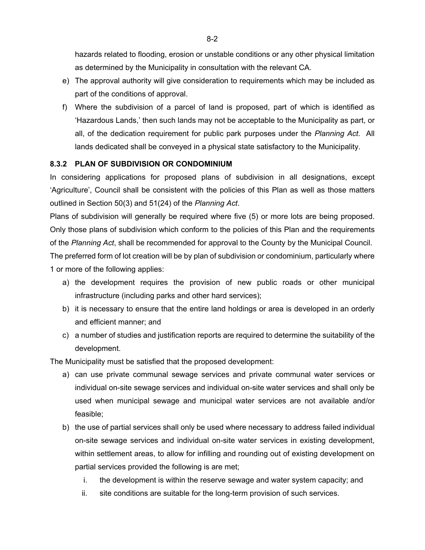hazards related to flooding, erosion or unstable conditions or any other physical limitation as determined by the Municipality in consultation with the relevant CA.

- e) The approval authority will give consideration to requirements which may be included as part of the conditions of approval.
- f) Where the subdivision of a parcel of land is proposed, part of which is identified as 'Hazardous Lands,' then such lands may not be acceptable to the Municipality as part, or all, of the dedication requirement for public park purposes under the *Planning Act*. All lands dedicated shall be conveyed in a physical state satisfactory to the Municipality.

## **8.3.2 PLAN OF SUBDIVISION OR CONDOMINIUM**

In considering applications for proposed plans of subdivision in all designations, except 'Agriculture', Council shall be consistent with the policies of this Plan as well as those matters outlined in Section 50(3) and 51(24) of the *Planning Act*.

Plans of subdivision will generally be required where five (5) or more lots are being proposed. Only those plans of subdivision which conform to the policies of this Plan and the requirements of the *Planning Act*, shall be recommended for approval to the County by the Municipal Council.

The preferred form of lot creation will be by plan of subdivision or condominium, particularly where 1 or more of the following applies:

- a) the development requires the provision of new public roads or other municipal infrastructure (including parks and other hard services);
- b) it is necessary to ensure that the entire land holdings or area is developed in an orderly and efficient manner; and
- c) a number of studies and justification reports are required to determine the suitability of the development.

The Municipality must be satisfied that the proposed development:

- a) can use private communal sewage services and private communal water services or individual on-site sewage services and individual on-site water services and shall only be used when municipal sewage and municipal water services are not available and/or feasible;
- b) the use of partial services shall only be used where necessary to address failed individual on-site sewage services and individual on-site water services in existing development, within settlement areas, to allow for infilling and rounding out of existing development on partial services provided the following is are met;
	- i. the development is within the reserve sewage and water system capacity; and
	- ii. site conditions are suitable for the long-term provision of such services.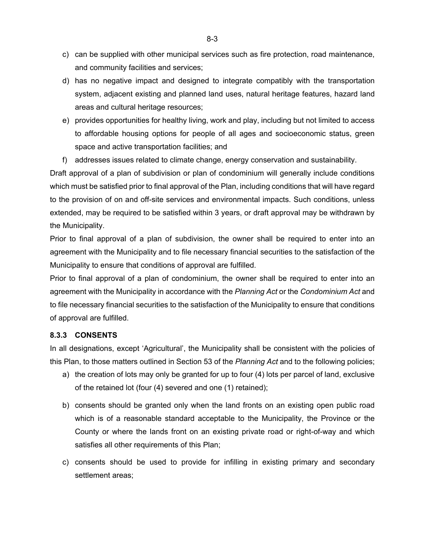- c) can be supplied with other municipal services such as fire protection, road maintenance, and community facilities and services;
- d) has no negative impact and designed to integrate compatibly with the transportation system, adjacent existing and planned land uses, natural heritage features, hazard land areas and cultural heritage resources;
- e) provides opportunities for healthy living, work and play, including but not limited to access to affordable housing options for people of all ages and socioeconomic status, green space and active transportation facilities; and
- f) addresses issues related to climate change, energy conservation and sustainability.

Draft approval of a plan of subdivision or plan of condominium will generally include conditions which must be satisfied prior to final approval of the Plan, including conditions that will have regard to the provision of on and off-site services and environmental impacts. Such conditions, unless extended, may be required to be satisfied within 3 years, or draft approval may be withdrawn by the Municipality.

Prior to final approval of a plan of subdivision, the owner shall be required to enter into an agreement with the Municipality and to file necessary financial securities to the satisfaction of the Municipality to ensure that conditions of approval are fulfilled.

Prior to final approval of a plan of condominium, the owner shall be required to enter into an agreement with the Municipality in accordance with the *Planning Act* or the *Condominium Act* and to file necessary financial securities to the satisfaction of the Municipality to ensure that conditions of approval are fulfilled.

### **8.3.3 CONSENTS**

In all designations, except 'Agricultural', the Municipality shall be consistent with the policies of this Plan, to those matters outlined in Section 53 of the *Planning Act* and to the following policies;

- a) the creation of lots may only be granted for up to four (4) lots per parcel of land, exclusive of the retained lot (four (4) severed and one (1) retained);
- b) consents should be granted only when the land fronts on an existing open public road which is of a reasonable standard acceptable to the Municipality, the Province or the County or where the lands front on an existing private road or right-of-way and which satisfies all other requirements of this Plan;
- c) consents should be used to provide for infilling in existing primary and secondary settlement areas;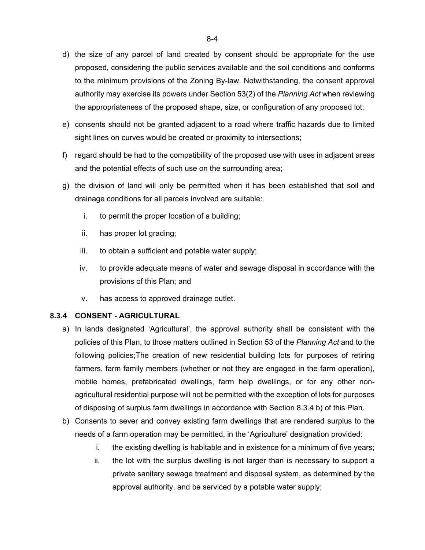- d) the size of any parcel of land created by consent should be appropriate for the use proposed, considering the public services available and the soil conditions and conforms to the minimum provisions of the Zoning By-law. Notwithstanding, the consent approval authority may exercise its powers under Section 53(2) of the *Planning Act* when reviewing the appropriateness of the proposed shape, size, or configuration of any proposed lot;
- e) consents should not be granted adjacent to a road where traffic hazards due to limited sight lines on curves would be created or proximity to intersections;
- f) regard should be had to the compatibility of the proposed use with uses in adjacent areas and the potential effects of such use on the surrounding area;
- g) the division of land will only be permitted when it has been established that soil and drainage conditions for all parcels involved are suitable:
	- i. to permit the proper location of a building;
	- ii. has proper lot grading;
	- iii. to obtain a sufficient and potable water supply;
	- iv. to provide adequate means of water and sewage disposal in accordance with the provisions of this Plan; and
	- v. has access to approved drainage outlet.

### **8.3.4 CONSENT - AGRICULTURAL**

- a) In lands designated 'Agricultural', the approval authority shall be consistent with the policies of this Plan, to those matters outlined in Section 53 of the *Planning Act* and to the following policies;The creation of new residential building lots for purposes of retiring farmers, farm family members (whether or not they are engaged in the farm operation), mobile homes, prefabricated dwellings, farm help dwellings, or for any other nonagricultural residential purpose will not be permitted with the exception of lots for purposes of disposing of surplus farm dwellings in accordance with Section 8.3.4 b) of this Plan.
- b) Consents to sever and convey existing farm dwellings that are rendered surplus to the needs of a farm operation may be permitted, in the 'Agriculture' designation provided:
	- i. the existing dwelling is habitable and in existence for a minimum of five years;
	- ii. the lot with the surplus dwelling is not larger than is necessary to support a private sanitary sewage treatment and disposal system, as determined by the approval authority, and be serviced by a potable water supply;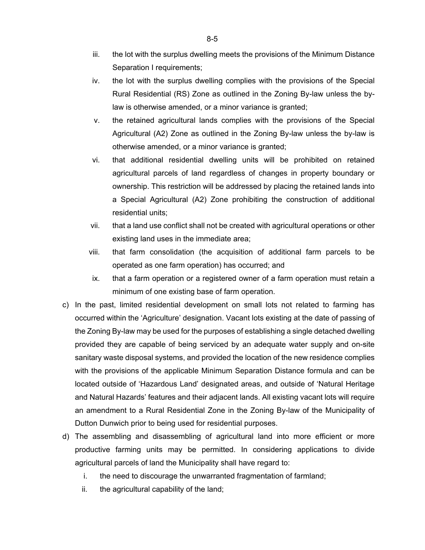- iii. the lot with the surplus dwelling meets the provisions of the Minimum Distance Separation I requirements;
- iv. the lot with the surplus dwelling complies with the provisions of the Special Rural Residential (RS) Zone as outlined in the Zoning By-law unless the bylaw is otherwise amended, or a minor variance is granted;
- v. the retained agricultural lands complies with the provisions of the Special Agricultural (A2) Zone as outlined in the Zoning By-law unless the by-law is otherwise amended, or a minor variance is granted;
- vi. that additional residential dwelling units will be prohibited on retained agricultural parcels of land regardless of changes in property boundary or ownership. This restriction will be addressed by placing the retained lands into a Special Agricultural (A2) Zone prohibiting the construction of additional residential units;
- vii. that a land use conflict shall not be created with agricultural operations or other existing land uses in the immediate area;
- viii. that farm consolidation (the acquisition of additional farm parcels to be operated as one farm operation) has occurred; and
- ix. that a farm operation or a registered owner of a farm operation must retain a minimum of one existing base of farm operation.
- c) In the past, limited residential development on small lots not related to farming has occurred within the 'Agriculture' designation. Vacant lots existing at the date of passing of the Zoning By-law may be used for the purposes of establishing a single detached dwelling provided they are capable of being serviced by an adequate water supply and on-site sanitary waste disposal systems, and provided the location of the new residence complies with the provisions of the applicable Minimum Separation Distance formula and can be located outside of 'Hazardous Land' designated areas, and outside of 'Natural Heritage and Natural Hazards' features and their adjacent lands. All existing vacant lots will require an amendment to a Rural Residential Zone in the Zoning By-law of the Municipality of Dutton Dunwich prior to being used for residential purposes.
- d) The assembling and disassembling of agricultural land into more efficient or more productive farming units may be permitted. In considering applications to divide agricultural parcels of land the Municipality shall have regard to:
	- i. the need to discourage the unwarranted fragmentation of farmland;
	- ii. the agricultural capability of the land;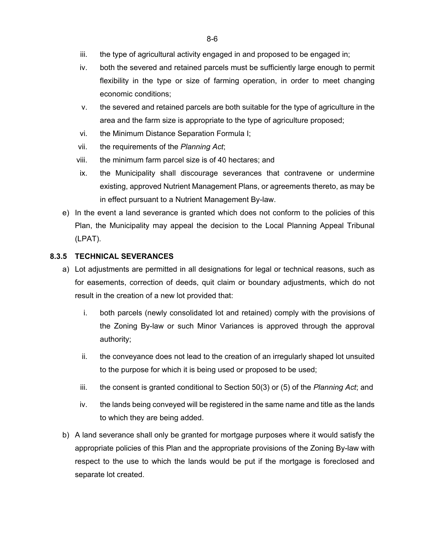- iii. the type of agricultural activity engaged in and proposed to be engaged in;
- iv. both the severed and retained parcels must be sufficiently large enough to permit flexibility in the type or size of farming operation, in order to meet changing economic conditions;
- v. the severed and retained parcels are both suitable for the type of agriculture in the area and the farm size is appropriate to the type of agriculture proposed;
- vi. the Minimum Distance Separation Formula I;
- vii. the requirements of the *Planning Act*;
- viii. the minimum farm parcel size is of 40 hectares; and
- ix. the Municipality shall discourage severances that contravene or undermine existing, approved Nutrient Management Plans, or agreements thereto, as may be in effect pursuant to a Nutrient Management By-law.
- e) In the event a land severance is granted which does not conform to the policies of this Plan, the Municipality may appeal the decision to the Local Planning Appeal Tribunal (LPAT).

#### **8.3.5 TECHNICAL SEVERANCES**

- a) Lot adjustments are permitted in all designations for legal or technical reasons, such as for easements, correction of deeds, quit claim or boundary adjustments, which do not result in the creation of a new lot provided that:
	- i. both parcels (newly consolidated lot and retained) comply with the provisions of the Zoning By-law or such Minor Variances is approved through the approval authority;
	- ii. the conveyance does not lead to the creation of an irregularly shaped lot unsuited to the purpose for which it is being used or proposed to be used;
	- iii. the consent is granted conditional to Section 50(3) or (5) of the *Planning Act*; and
	- iv. the lands being conveyed will be registered in the same name and title as the lands to which they are being added.
- b) A land severance shall only be granted for mortgage purposes where it would satisfy the appropriate policies of this Plan and the appropriate provisions of the Zoning By-law with respect to the use to which the lands would be put if the mortgage is foreclosed and separate lot created.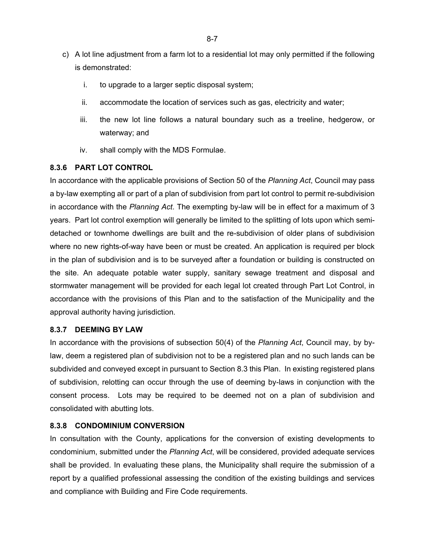- c) A lot line adjustment from a farm lot to a residential lot may only permitted if the following is demonstrated:
	- i. to upgrade to a larger septic disposal system;
	- ii. accommodate the location of services such as gas, electricity and water;
	- iii. the new lot line follows a natural boundary such as a treeline, hedgerow, or waterway; and
	- iv. shall comply with the MDS Formulae.

### **8.3.6 PART LOT CONTROL**

In accordance with the applicable provisions of Section 50 of the *Planning Act*, Council may pass a by-law exempting all or part of a plan of subdivision from part lot control to permit re-subdivision in accordance with the *Planning Act*. The exempting by-law will be in effect for a maximum of 3 years. Part lot control exemption will generally be limited to the splitting of lots upon which semidetached or townhome dwellings are built and the re-subdivision of older plans of subdivision where no new rights-of-way have been or must be created. An application is required per block in the plan of subdivision and is to be surveyed after a foundation or building is constructed on the site. An adequate potable water supply, sanitary sewage treatment and disposal and stormwater management will be provided for each legal lot created through Part Lot Control, in accordance with the provisions of this Plan and to the satisfaction of the Municipality and the approval authority having jurisdiction.

### **8.3.7 DEEMING BY LAW**

In accordance with the provisions of subsection 50(4) of the *Planning Act*, Council may, by bylaw, deem a registered plan of subdivision not to be a registered plan and no such lands can be subdivided and conveyed except in pursuant to Section 8.3 this Plan. In existing registered plans of subdivision, relotting can occur through the use of deeming by-laws in conjunction with the consent process. Lots may be required to be deemed not on a plan of subdivision and consolidated with abutting lots.

### **8.3.8 CONDOMINIUM CONVERSION**

In consultation with the County, applications for the conversion of existing developments to condominium, submitted under the *Planning Act*, will be considered, provided adequate services shall be provided. In evaluating these plans, the Municipality shall require the submission of a report by a qualified professional assessing the condition of the existing buildings and services and compliance with Building and Fire Code requirements.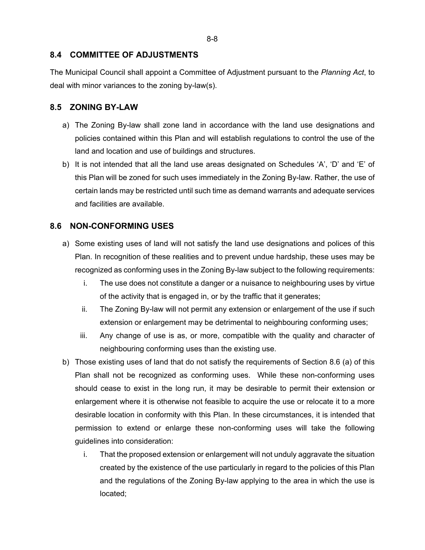### **8.4 COMMITTEE OF ADJUSTMENTS**

The Municipal Council shall appoint a Committee of Adjustment pursuant to the *Planning Act*, to deal with minor variances to the zoning by-law(s).

### **8.5 ZONING BY-LAW**

- a) The Zoning By-law shall zone land in accordance with the land use designations and policies contained within this Plan and will establish regulations to control the use of the land and location and use of buildings and structures.
- b) It is not intended that all the land use areas designated on Schedules 'A', 'D' and 'E' of this Plan will be zoned for such uses immediately in the Zoning By-law. Rather, the use of certain lands may be restricted until such time as demand warrants and adequate services and facilities are available.

## **8.6 NON-CONFORMING USES**

- a) Some existing uses of land will not satisfy the land use designations and polices of this Plan. In recognition of these realities and to prevent undue hardship, these uses may be recognized as conforming uses in the Zoning By-law subject to the following requirements:
	- i. The use does not constitute a danger or a nuisance to neighbouring uses by virtue of the activity that is engaged in, or by the traffic that it generates;
	- ii. The Zoning By-law will not permit any extension or enlargement of the use if such extension or enlargement may be detrimental to neighbouring conforming uses;
	- iii. Any change of use is as, or more, compatible with the quality and character of neighbouring conforming uses than the existing use.
- b) Those existing uses of land that do not satisfy the requirements of Section 8.6 (a) of this Plan shall not be recognized as conforming uses. While these non-conforming uses should cease to exist in the long run, it may be desirable to permit their extension or enlargement where it is otherwise not feasible to acquire the use or relocate it to a more desirable location in conformity with this Plan. In these circumstances, it is intended that permission to extend or enlarge these non-conforming uses will take the following guidelines into consideration:
	- i. That the proposed extension or enlargement will not unduly aggravate the situation created by the existence of the use particularly in regard to the policies of this Plan and the regulations of the Zoning By-law applying to the area in which the use is located;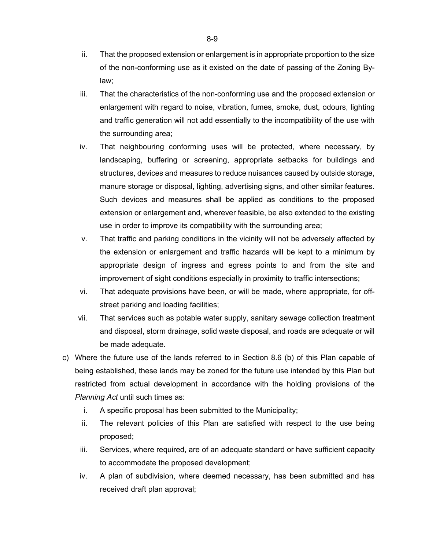- ii. That the proposed extension or enlargement is in appropriate proportion to the size of the non-conforming use as it existed on the date of passing of the Zoning Bylaw;
- iii. That the characteristics of the non-conforming use and the proposed extension or enlargement with regard to noise, vibration, fumes, smoke, dust, odours, lighting and traffic generation will not add essentially to the incompatibility of the use with the surrounding area;
- iv. That neighbouring conforming uses will be protected, where necessary, by landscaping, buffering or screening, appropriate setbacks for buildings and structures, devices and measures to reduce nuisances caused by outside storage, manure storage or disposal, lighting, advertising signs, and other similar features. Such devices and measures shall be applied as conditions to the proposed extension or enlargement and, wherever feasible, be also extended to the existing use in order to improve its compatibility with the surrounding area;
- v. That traffic and parking conditions in the vicinity will not be adversely affected by the extension or enlargement and traffic hazards will be kept to a minimum by appropriate design of ingress and egress points to and from the site and improvement of sight conditions especially in proximity to traffic intersections;
- vi. That adequate provisions have been, or will be made, where appropriate, for offstreet parking and loading facilities;
- vii. That services such as potable water supply, sanitary sewage collection treatment and disposal, storm drainage, solid waste disposal, and roads are adequate or will be made adequate.
- c) Where the future use of the lands referred to in Section 8.6 (b) of this Plan capable of being established, these lands may be zoned for the future use intended by this Plan but restricted from actual development in accordance with the holding provisions of the *Planning Act* until such times as:
	- i. A specific proposal has been submitted to the Municipality;
	- ii. The relevant policies of this Plan are satisfied with respect to the use being proposed;
	- iii. Services, where required, are of an adequate standard or have sufficient capacity to accommodate the proposed development;
	- iv. A plan of subdivision, where deemed necessary, has been submitted and has received draft plan approval;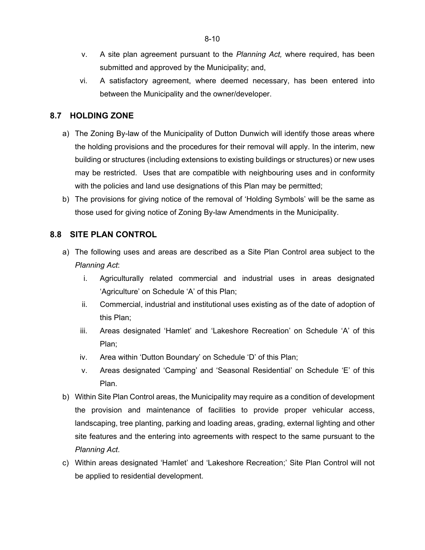- v. A site plan agreement pursuant to the *Planning Act,* where required, has been submitted and approved by the Municipality; and,
- vi. A satisfactory agreement, where deemed necessary, has been entered into between the Municipality and the owner/developer.

## **8.7 HOLDING ZONE**

- a) The Zoning By-law of the Municipality of Dutton Dunwich will identify those areas where the holding provisions and the procedures for their removal will apply. In the interim, new building or structures (including extensions to existing buildings or structures) or new uses may be restricted. Uses that are compatible with neighbouring uses and in conformity with the policies and land use designations of this Plan may be permitted;
- b) The provisions for giving notice of the removal of 'Holding Symbols' will be the same as those used for giving notice of Zoning By-law Amendments in the Municipality.

## **8.8 SITE PLAN CONTROL**

- a) The following uses and areas are described as a Site Plan Control area subject to the *Planning Act*:
	- i. Agriculturally related commercial and industrial uses in areas designated 'Agriculture' on Schedule 'A' of this Plan;
	- ii. Commercial, industrial and institutional uses existing as of the date of adoption of this Plan;
	- iii. Areas designated 'Hamlet' and 'Lakeshore Recreation' on Schedule 'A' of this Plan;
	- iv. Area within 'Dutton Boundary' on Schedule 'D' of this Plan;
	- v. Areas designated 'Camping' and 'Seasonal Residential' on Schedule 'E' of this Plan.
- b) Within Site Plan Control areas, the Municipality may require as a condition of development the provision and maintenance of facilities to provide proper vehicular access, landscaping, tree planting, parking and loading areas, grading, external lighting and other site features and the entering into agreements with respect to the same pursuant to the *Planning Act*.
- c) Within areas designated 'Hamlet' and 'Lakeshore Recreation;' Site Plan Control will not be applied to residential development.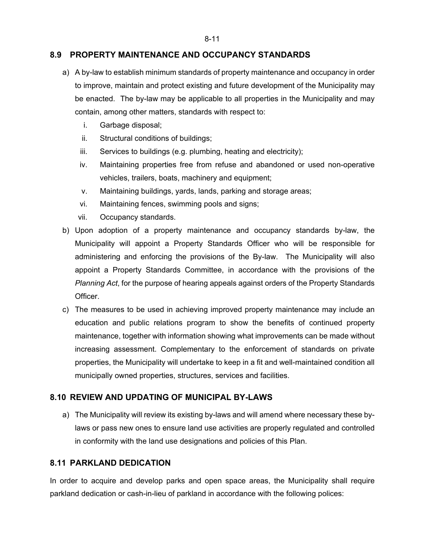### **8.9 PROPERTY MAINTENANCE AND OCCUPANCY STANDARDS**

- a) A by-law to establish minimum standards of property maintenance and occupancy in order to improve, maintain and protect existing and future development of the Municipality may be enacted. The by-law may be applicable to all properties in the Municipality and may contain, among other matters, standards with respect to:
	- i. Garbage disposal;
	- ii. Structural conditions of buildings;
	- iii. Services to buildings (e.g. plumbing, heating and electricity);
	- iv. Maintaining properties free from refuse and abandoned or used non-operative vehicles, trailers, boats, machinery and equipment;
	- v. Maintaining buildings, yards, lands, parking and storage areas;
	- vi. Maintaining fences, swimming pools and signs;
	- vii. Occupancy standards.
- b) Upon adoption of a property maintenance and occupancy standards by-law, the Municipality will appoint a Property Standards Officer who will be responsible for administering and enforcing the provisions of the By-law. The Municipality will also appoint a Property Standards Committee, in accordance with the provisions of the *Planning Act*, for the purpose of hearing appeals against orders of the Property Standards Officer.
- c) The measures to be used in achieving improved property maintenance may include an education and public relations program to show the benefits of continued property maintenance, together with information showing what improvements can be made without increasing assessment. Complementary to the enforcement of standards on private properties, the Municipality will undertake to keep in a fit and well-maintained condition all municipally owned properties, structures, services and facilities.

### **8.10 REVIEW AND UPDATING OF MUNICIPAL BY-LAWS**

a) The Municipality will review its existing by-laws and will amend where necessary these bylaws or pass new ones to ensure land use activities are properly regulated and controlled in conformity with the land use designations and policies of this Plan.

### **8.11 PARKLAND DEDICATION**

In order to acquire and develop parks and open space areas, the Municipality shall require parkland dedication or cash-in-lieu of parkland in accordance with the following polices: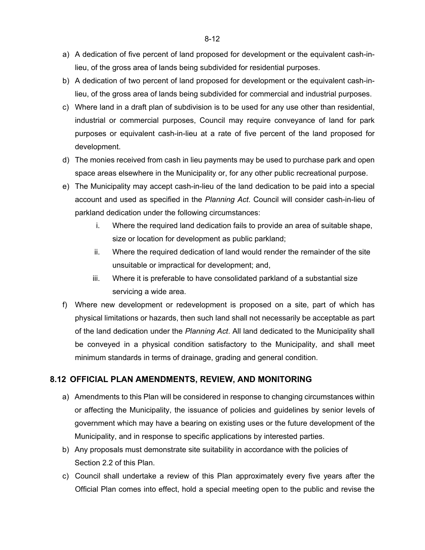- a) A dedication of five percent of land proposed for development or the equivalent cash-inlieu, of the gross area of lands being subdivided for residential purposes.
- b) A dedication of two percent of land proposed for development or the equivalent cash-inlieu, of the gross area of lands being subdivided for commercial and industrial purposes.
- c) Where land in a draft plan of subdivision is to be used for any use other than residential, industrial or commercial purposes, Council may require conveyance of land for park purposes or equivalent cash-in-lieu at a rate of five percent of the land proposed for development.
- d) The monies received from cash in lieu payments may be used to purchase park and open space areas elsewhere in the Municipality or, for any other public recreational purpose.
- e) The Municipality may accept cash-in-lieu of the land dedication to be paid into a special account and used as specified in the *Planning Act*. Council will consider cash-in-lieu of parkland dedication under the following circumstances:
	- i. Where the required land dedication fails to provide an area of suitable shape, size or location for development as public parkland;
	- ii. Where the required dedication of land would render the remainder of the site unsuitable or impractical for development; and,
	- iii. Where it is preferable to have consolidated parkland of a substantial size servicing a wide area.
- f) Where new development or redevelopment is proposed on a site, part of which has physical limitations or hazards, then such land shall not necessarily be acceptable as part of the land dedication under the *Planning Act*. All land dedicated to the Municipality shall be conveyed in a physical condition satisfactory to the Municipality, and shall meet minimum standards in terms of drainage, grading and general condition.

## **8.12 OFFICIAL PLAN AMENDMENTS, REVIEW, AND MONITORING**

- a) Amendments to this Plan will be considered in response to changing circumstances within or affecting the Municipality, the issuance of policies and guidelines by senior levels of government which may have a bearing on existing uses or the future development of the Municipality, and in response to specific applications by interested parties.
- b) Any proposals must demonstrate site suitability in accordance with the policies of Section 2.2 of this Plan.
- c) Council shall undertake a review of this Plan approximately every five years after the Official Plan comes into effect, hold a special meeting open to the public and revise the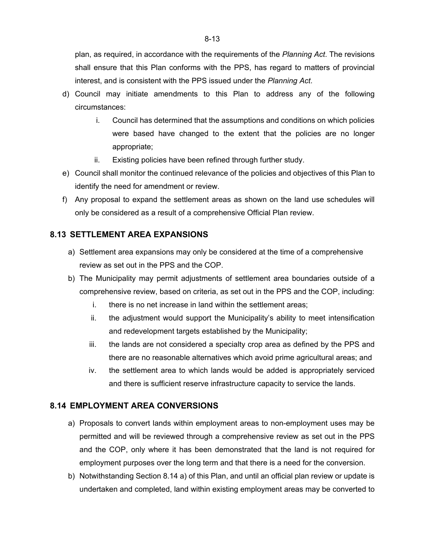plan, as required, in accordance with the requirements of the *Planning Act*. The revisions shall ensure that this Plan conforms with the PPS, has regard to matters of provincial interest, and is consistent with the PPS issued under the *Planning Act*.

- d) Council may initiate amendments to this Plan to address any of the following circumstances:
	- i. Council has determined that the assumptions and conditions on which policies were based have changed to the extent that the policies are no longer appropriate;
	- ii. Existing policies have been refined through further study.
- e) Council shall monitor the continued relevance of the policies and objectives of this Plan to identify the need for amendment or review.
- f) Any proposal to expand the settlement areas as shown on the land use schedules will only be considered as a result of a comprehensive Official Plan review.

## **8.13 SETTLEMENT AREA EXPANSIONS**

- a) Settlement area expansions may only be considered at the time of a comprehensive review as set out in the PPS and the COP.
- b) The Municipality may permit adjustments of settlement area boundaries outside of a comprehensive review, based on criteria, as set out in the PPS and the COP, including:
	- i. there is no net increase in land within the settlement areas;
	- ii. the adjustment would support the Municipality's ability to meet intensification and redevelopment targets established by the Municipality;
	- iii. the lands are not considered a specialty crop area as defined by the PPS and there are no reasonable alternatives which avoid prime agricultural areas; and
	- iv. the settlement area to which lands would be added is appropriately serviced and there is sufficient reserve infrastructure capacity to service the lands.

### **8.14 EMPLOYMENT AREA CONVERSIONS**

- a) Proposals to convert lands within employment areas to non-employment uses may be permitted and will be reviewed through a comprehensive review as set out in the PPS and the COP, only where it has been demonstrated that the land is not required for employment purposes over the long term and that there is a need for the conversion.
- b) Notwithstanding Section 8.14 a) of this Plan, and until an official plan review or update is undertaken and completed, land within existing employment areas may be converted to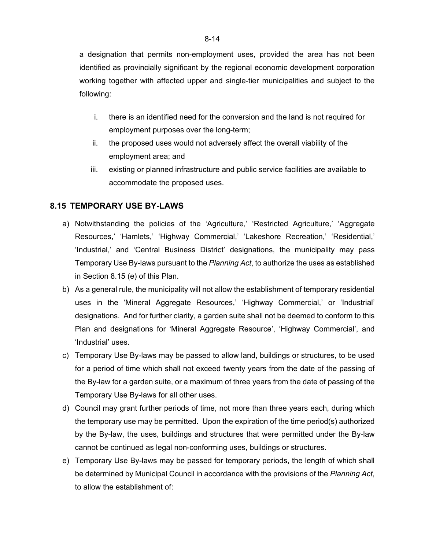a designation that permits non-employment uses, provided the area has not been identified as provincially significant by the regional economic development corporation working together with affected upper and single-tier municipalities and subject to the following:

- i. there is an identified need for the conversion and the land is not required for employment purposes over the long-term;
- ii. the proposed uses would not adversely affect the overall viability of the employment area; and
- iii. existing or planned infrastructure and public service facilities are available to accommodate the proposed uses.

### **8.15 TEMPORARY USE BY-LAWS**

- a) Notwithstanding the policies of the 'Agriculture,' 'Restricted Agriculture,' 'Aggregate Resources,' 'Hamlets,' 'Highway Commercial,' 'Lakeshore Recreation,' 'Residential,' 'Industrial,' and 'Central Business District' designations, the municipality may pass Temporary Use By-laws pursuant to the *Planning Act*, to authorize the uses as established in Section 8.15 (e) of this Plan.
- b) As a general rule, the municipality will not allow the establishment of temporary residential uses in the 'Mineral Aggregate Resources,' 'Highway Commercial,' or 'Industrial' designations. And for further clarity, a garden suite shall not be deemed to conform to this Plan and designations for 'Mineral Aggregate Resource', 'Highway Commercial', and 'Industrial' uses.
- c) Temporary Use By-laws may be passed to allow land, buildings or structures, to be used for a period of time which shall not exceed twenty years from the date of the passing of the By-law for a garden suite, or a maximum of three years from the date of passing of the Temporary Use By-laws for all other uses.
- d) Council may grant further periods of time, not more than three years each, during which the temporary use may be permitted. Upon the expiration of the time period(s) authorized by the By-law, the uses, buildings and structures that were permitted under the By-law cannot be continued as legal non-conforming uses, buildings or structures.
- e) Temporary Use By-laws may be passed for temporary periods, the length of which shall be determined by Municipal Council in accordance with the provisions of the *Planning Act*, to allow the establishment of: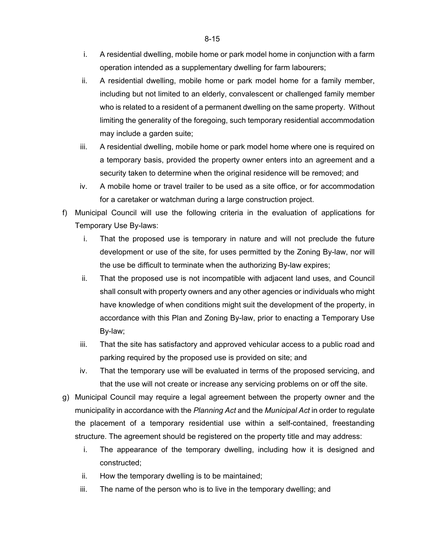- i. A residential dwelling, mobile home or park model home in conjunction with a farm operation intended as a supplementary dwelling for farm labourers;
- ii. A residential dwelling, mobile home or park model home for a family member, including but not limited to an elderly, convalescent or challenged family member who is related to a resident of a permanent dwelling on the same property. Without limiting the generality of the foregoing, such temporary residential accommodation may include a garden suite;
- iii. A residential dwelling, mobile home or park model home where one is required on a temporary basis, provided the property owner enters into an agreement and a security taken to determine when the original residence will be removed; and
- iv. A mobile home or travel trailer to be used as a site office, or for accommodation for a caretaker or watchman during a large construction project.
- f) Municipal Council will use the following criteria in the evaluation of applications for Temporary Use By-laws:
	- i. That the proposed use is temporary in nature and will not preclude the future development or use of the site, for uses permitted by the Zoning By-law, nor will the use be difficult to terminate when the authorizing By-law expires;
	- ii. That the proposed use is not incompatible with adjacent land uses, and Council shall consult with property owners and any other agencies or individuals who might have knowledge of when conditions might suit the development of the property, in accordance with this Plan and Zoning By-law, prior to enacting a Temporary Use By-law;
	- iii. That the site has satisfactory and approved vehicular access to a public road and parking required by the proposed use is provided on site; and
	- iv. That the temporary use will be evaluated in terms of the proposed servicing, and that the use will not create or increase any servicing problems on or off the site.
- g) Municipal Council may require a legal agreement between the property owner and the municipality in accordance with the *Planning Act* and the *Municipal Act* in order to regulate the placement of a temporary residential use within a self-contained, freestanding structure. The agreement should be registered on the property title and may address:
	- i. The appearance of the temporary dwelling, including how it is designed and constructed;
	- ii. How the temporary dwelling is to be maintained;
	- iii. The name of the person who is to live in the temporary dwelling; and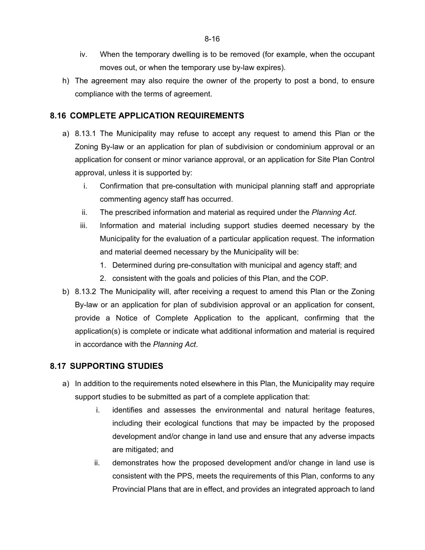- iv. When the temporary dwelling is to be removed (for example, when the occupant moves out, or when the temporary use by-law expires).
- h) The agreement may also require the owner of the property to post a bond, to ensure compliance with the terms of agreement.

## **8.16 COMPLETE APPLICATION REQUIREMENTS**

- a) 8.13.1 The Municipality may refuse to accept any request to amend this Plan or the Zoning By-law or an application for plan of subdivision or condominium approval or an application for consent or minor variance approval, or an application for Site Plan Control approval, unless it is supported by:
	- i. Confirmation that pre-consultation with municipal planning staff and appropriate commenting agency staff has occurred.
	- ii. The prescribed information and material as required under the *Planning Act*.
	- iii. Information and material including support studies deemed necessary by the Municipality for the evaluation of a particular application request. The information and material deemed necessary by the Municipality will be:
		- 1. Determined during pre-consultation with municipal and agency staff; and
		- 2. consistent with the goals and policies of this Plan, and the COP.
- b) 8.13.2 The Municipality will, after receiving a request to amend this Plan or the Zoning By-law or an application for plan of subdivision approval or an application for consent, provide a Notice of Complete Application to the applicant, confirming that the application(s) is complete or indicate what additional information and material is required in accordance with the *Planning Act*.

## **8.17 SUPPORTING STUDIES**

- a) In addition to the requirements noted elsewhere in this Plan, the Municipality may require support studies to be submitted as part of a complete application that:
	- i. identifies and assesses the environmental and natural heritage features, including their ecological functions that may be impacted by the proposed development and/or change in land use and ensure that any adverse impacts are mitigated; and
	- ii. demonstrates how the proposed development and/or change in land use is consistent with the PPS, meets the requirements of this Plan, conforms to any Provincial Plans that are in effect, and provides an integrated approach to land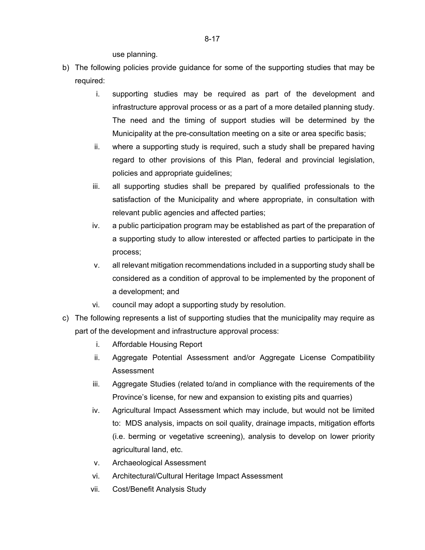use planning.

- b) The following policies provide guidance for some of the supporting studies that may be required:
	- i. supporting studies may be required as part of the development and infrastructure approval process or as a part of a more detailed planning study. The need and the timing of support studies will be determined by the Municipality at the pre-consultation meeting on a site or area specific basis;
	- ii. where a supporting study is required, such a study shall be prepared having regard to other provisions of this Plan, federal and provincial legislation, policies and appropriate guidelines;
	- iii. all supporting studies shall be prepared by qualified professionals to the satisfaction of the Municipality and where appropriate, in consultation with relevant public agencies and affected parties;
	- iv. a public participation program may be established as part of the preparation of a supporting study to allow interested or affected parties to participate in the process;
	- v. all relevant mitigation recommendations included in a supporting study shall be considered as a condition of approval to be implemented by the proponent of a development; and
	- vi. council may adopt a supporting study by resolution.
- c) The following represents a list of supporting studies that the municipality may require as part of the development and infrastructure approval process:
	- i. Affordable Housing Report
	- ii. Aggregate Potential Assessment and/or Aggregate License Compatibility Assessment
	- iii. Aggregate Studies (related to/and in compliance with the requirements of the Province's license, for new and expansion to existing pits and quarries)
	- iv. Agricultural Impact Assessment which may include, but would not be limited to: MDS analysis, impacts on soil quality, drainage impacts, mitigation efforts (i.e. berming or vegetative screening), analysis to develop on lower priority agricultural land, etc.
	- v. Archaeological Assessment
	- vi. Architectural/Cultural Heritage Impact Assessment
	- vii. Cost/Benefit Analysis Study